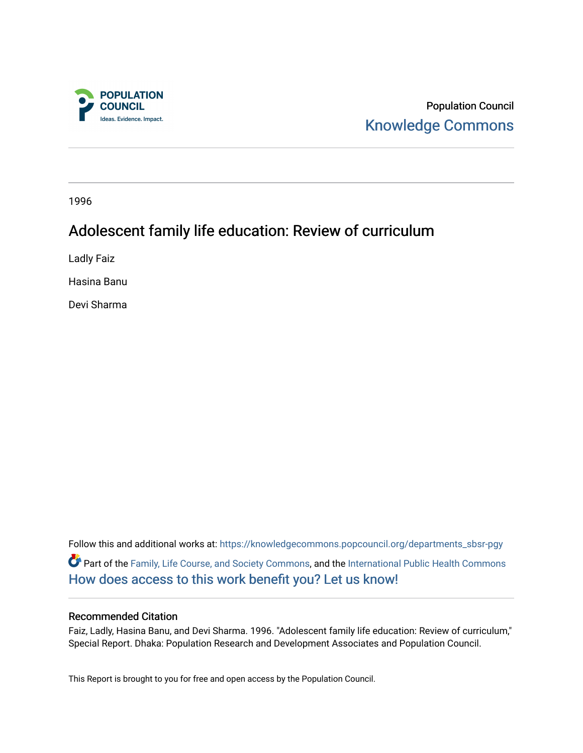

Population Council [Knowledge Commons](https://knowledgecommons.popcouncil.org/) 

1996

# Adolescent family life education: Review of curriculum

Ladly Faiz

Hasina Banu

Devi Sharma

Follow this and additional works at: [https://knowledgecommons.popcouncil.org/departments\\_sbsr-pgy](https://knowledgecommons.popcouncil.org/departments_sbsr-pgy?utm_source=knowledgecommons.popcouncil.org%2Fdepartments_sbsr-pgy%2F1583&utm_medium=PDF&utm_campaign=PDFCoverPages)  Part of the [Family, Life Course, and Society Commons,](https://network.bepress.com/hgg/discipline/419?utm_source=knowledgecommons.popcouncil.org%2Fdepartments_sbsr-pgy%2F1583&utm_medium=PDF&utm_campaign=PDFCoverPages) and the [International Public Health Commons](https://network.bepress.com/hgg/discipline/746?utm_source=knowledgecommons.popcouncil.org%2Fdepartments_sbsr-pgy%2F1583&utm_medium=PDF&utm_campaign=PDFCoverPages)  [How does access to this work benefit you? Let us know!](https://pcouncil.wufoo.com/forms/open-access-to-population-council-research/)

#### Recommended Citation

Faiz, Ladly, Hasina Banu, and Devi Sharma. 1996. "Adolescent family life education: Review of curriculum," Special Report. Dhaka: Population Research and Development Associates and Population Council.

This Report is brought to you for free and open access by the Population Council.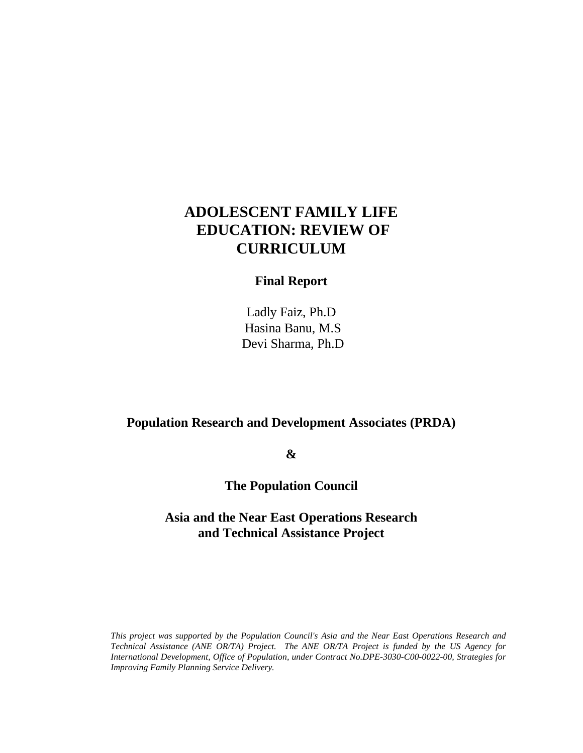# **ADOLESCENT FAMILY LIFE EDUCATION: REVIEW OF CURRICULUM**

# **Final Report**

Ladly Faiz, Ph.D Hasina Banu, M.S Devi Sharma, Ph.D

# **Population Research and Development Associates (PRDA)**

**&**

**The Population Council**

# **Asia and the Near East Operations Research and Technical Assistance Project**

*This project was supported by the Population Council's Asia and the Near East Operations Research and Technical Assistance (ANE OR/TA) Project. The ANE OR/TA Project is funded by the US Agency for International Development, Office of Population, under Contract No.DPE-3030-C00-0022-00, Strategies for Improving Family Planning Service Delivery.*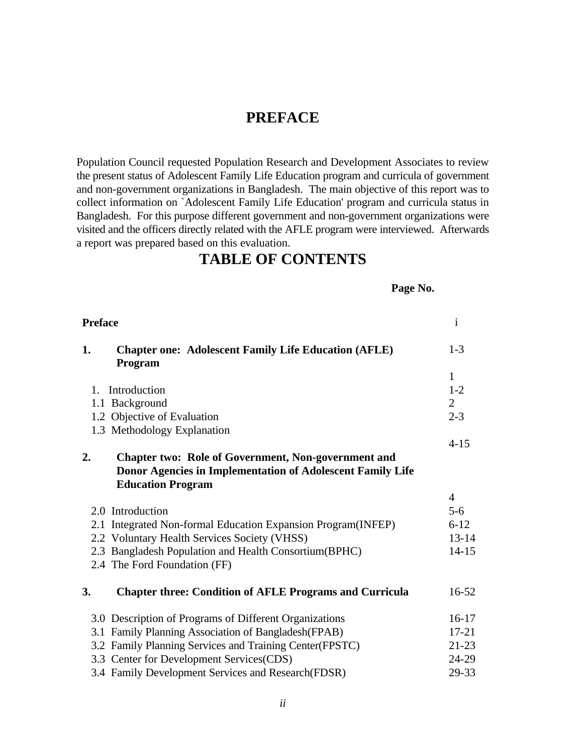# **PREFACE**

Population Council requested Population Research and Development Associates to review the present status of Adolescent Family Life Education program and curricula of government and non-government organizations in Bangladesh. The main objective of this report was to collect information on `Adolescent Family Life Education' program and curricula status in Bangladesh. For this purpose different government and non-government organizations were visited and the officers directly related with the AFLE program were interviewed. Afterwards a report was prepared based on this evaluation.

# **TABLE OF CONTENTS**

#### **Page No.**

| <b>Preface</b> |                                                                        | $\mathbf{i}$   |
|----------------|------------------------------------------------------------------------|----------------|
| 1.             | <b>Chapter one: Adolescent Family Life Education (AFLE)</b><br>Program | $1 - 3$        |
|                |                                                                        | $\mathbf{1}$   |
| $1_{-}$        | Introduction                                                           | $1 - 2$        |
|                | 1.1 Background                                                         | $\overline{2}$ |
|                | 1.2 Objective of Evaluation                                            | $2 - 3$        |
|                | 1.3 Methodology Explanation                                            |                |
|                |                                                                        | $4 - 15$       |
| 2.             | <b>Chapter two: Role of Government, Non-government and</b>             |                |
|                | Donor Agencies in Implementation of Adolescent Family Life             |                |
|                | <b>Education Program</b>                                               |                |
|                |                                                                        | $\overline{4}$ |
|                | 2.0 Introduction                                                       | $5 - 6$        |
|                | 2.1 Integrated Non-formal Education Expansion Program(INFEP)           | $6 - 12$       |
|                | 2.2 Voluntary Health Services Society (VHSS)                           | $13 - 14$      |
|                | 2.3 Bangladesh Population and Health Consortium (BPHC)                 | $14 - 15$      |
|                | 2.4 The Ford Foundation (FF)                                           |                |
| 3.             | <b>Chapter three: Condition of AFLE Programs and Curricula</b>         | $16 - 52$      |
|                | 3.0 Description of Programs of Different Organizations                 | $16-17$        |
|                | 3.1 Family Planning Association of Bangladesh (FPAB)                   | $17 - 21$      |
|                | 3.2 Family Planning Services and Training Center(FPSTC)                | $21 - 23$      |
|                | 3.3 Center for Development Services(CDS)                               | 24-29          |
|                | 3.4 Family Development Services and Research (FDSR)                    | 29-33          |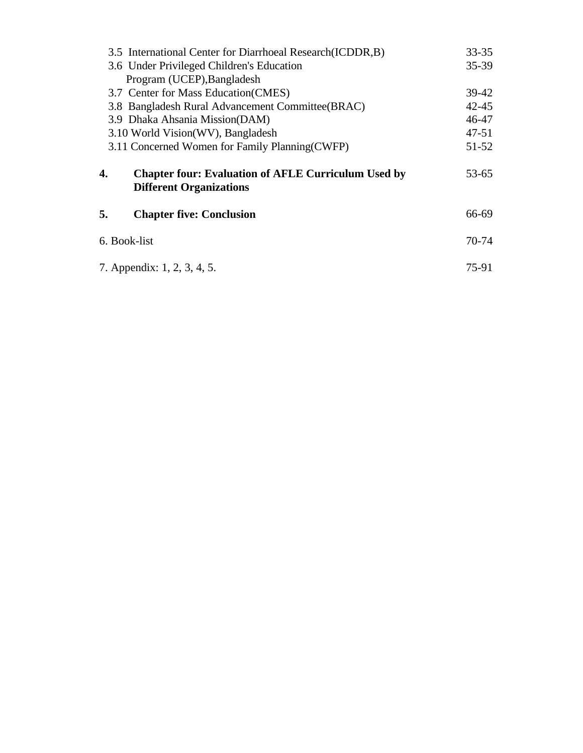| 3.5 International Center for Diarrhoeal Research (ICDDR, B)                                        | $33 - 35$ |  |
|----------------------------------------------------------------------------------------------------|-----------|--|
| 3.6 Under Privileged Children's Education                                                          | $35-39$   |  |
| Program (UCEP), Bangladesh                                                                         |           |  |
| 3.7 Center for Mass Education (CMES)                                                               | $39-42$   |  |
| 3.8 Bangladesh Rural Advancement Committee(BRAC)                                                   | $42 - 45$ |  |
| 3.9 Dhaka Ahsania Mission(DAM)                                                                     | 46-47     |  |
| 3.10 World Vision(WV), Bangladesh                                                                  | $47 - 51$ |  |
| 3.11 Concerned Women for Family Planning (CWFP)                                                    | $51 - 52$ |  |
| 4.<br><b>Chapter four: Evaluation of AFLE Curriculum Used by</b><br><b>Different Organizations</b> | $53 - 65$ |  |
| 5.<br><b>Chapter five: Conclusion</b>                                                              | 66-69     |  |
| 6. Book-list                                                                                       | 70-74     |  |
| 7. Appendix: 1, 2, 3, 4, 5.                                                                        |           |  |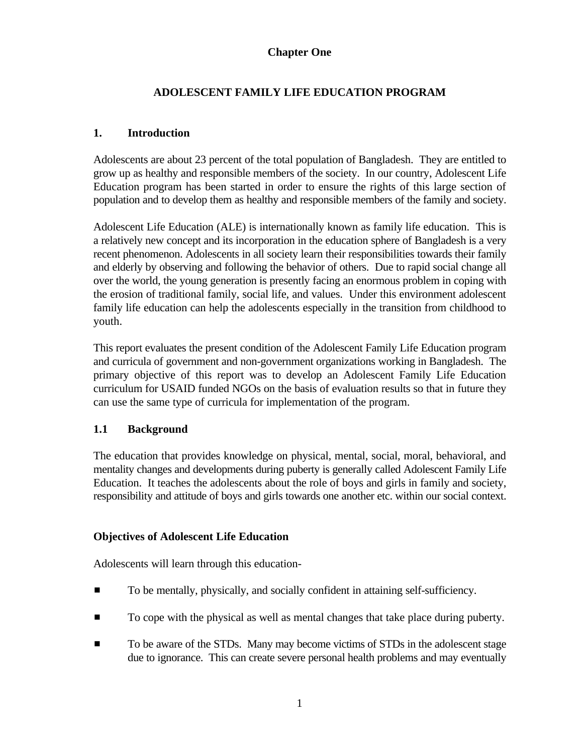### **Chapter One**

## **ADOLESCENT FAMILY LIFE EDUCATION PROGRAM**

#### **1. Introduction**

Adolescents are about 23 percent of the total population of Bangladesh. They are entitled to grow up as healthy and responsible members of the society. In our country, Adolescent Life Education program has been started in order to ensure the rights of this large section of population and to develop them as healthy and responsible members of the family and society.

Adolescent Life Education (ALE) is internationally known as family life education. This is a relatively new concept and its incorporation in the education sphere of Bangladesh is a very recent phenomenon. Adolescents in all society learn their responsibilities towards their family and elderly by observing and following the behavior of others. Due to rapid social change all over the world, the young generation is presently facing an enormous problem in coping with the erosion of traditional family, social life, and values. Under this environment adolescent family life education can help the adolescents especially in the transition from childhood to youth.

This report evaluates the present condition of the Adolescent Family Life Education program and curricula of government and non-government organizations working in Bangladesh. The primary objective of this report was to develop an Adolescent Family Life Education curriculum for USAID funded NGOs on the basis of evaluation results so that in future they can use the same type of curricula for implementation of the program.

## **1.1 Background**

The education that provides knowledge on physical, mental, social, moral, behavioral, and mentality changes and developments during puberty is generally called Adolescent Family Life Education. It teaches the adolescents about the role of boys and girls in family and society, responsibility and attitude of boys and girls towards one another etc. within our social context.

#### **Objectives of Adolescent Life Education**

Adolescents will learn through this education-

- $\blacksquare$  To be mentally, physically, and socially confident in attaining self-sufficiency.
- **To cope with the physical as well as mental changes that take place during puberty.**
- To be aware of the STDs. Many may become victims of STDs in the adolescent stage due to ignorance. This can create severe personal health problems and may eventually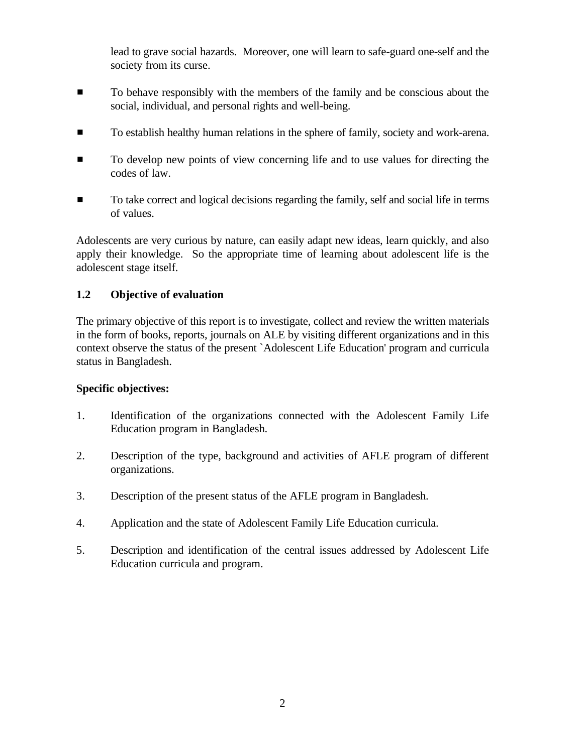lead to grave social hazards. Moreover, one will learn to safe-guard one-self and the society from its curse.

- $\blacksquare$  To behave responsibly with the members of the family and be conscious about the social, individual, and personal rights and well-being.
- $\blacksquare$  To establish healthy human relations in the sphere of family, society and work-arena.
- $\blacksquare$  To develop new points of view concerning life and to use values for directing the codes of law.
- $\blacksquare$  To take correct and logical decisions regarding the family, self and social life in terms of values.

Adolescents are very curious by nature, can easily adapt new ideas, learn quickly, and also apply their knowledge. So the appropriate time of learning about adolescent life is the adolescent stage itself.

## **1.2 Objective of evaluation**

The primary objective of this report is to investigate, collect and review the written materials in the form of books, reports, journals on ALE by visiting different organizations and in this context observe the status of the present `Adolescent Life Education' program and curricula status in Bangladesh.

## **Specific objectives:**

- 1. Identification of the organizations connected with the Adolescent Family Life Education program in Bangladesh.
- 2. Description of the type, background and activities of AFLE program of different organizations.
- 3. Description of the present status of the AFLE program in Bangladesh.
- 4. Application and the state of Adolescent Family Life Education curricula.
- 5. Description and identification of the central issues addressed by Adolescent Life Education curricula and program.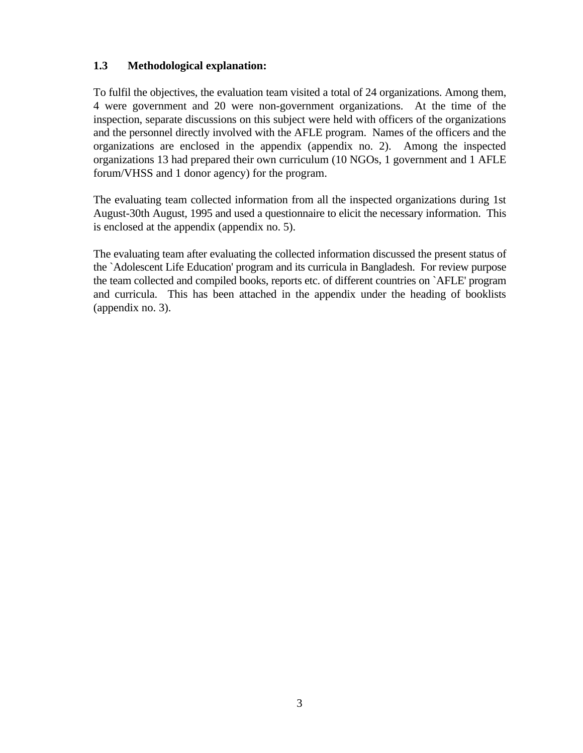## **1.3 Methodological explanation:**

To fulfil the objectives, the evaluation team visited a total of 24 organizations. Among them, 4 were government and 20 were non-government organizations. At the time of the inspection, separate discussions on this subject were held with officers of the organizations and the personnel directly involved with the AFLE program. Names of the officers and the organizations are enclosed in the appendix (appendix no. 2). Among the inspected organizations 13 had prepared their own curriculum (10 NGOs, 1 government and 1 AFLE forum/VHSS and 1 donor agency) for the program.

The evaluating team collected information from all the inspected organizations during 1st August-30th August, 1995 and used a questionnaire to elicit the necessary information. This is enclosed at the appendix (appendix no. 5).

The evaluating team after evaluating the collected information discussed the present status of the `Adolescent Life Education' program and its curricula in Bangladesh. For review purpose the team collected and compiled books, reports etc. of different countries on `AFLE' program and curricula. This has been attached in the appendix under the heading of booklists (appendix no. 3).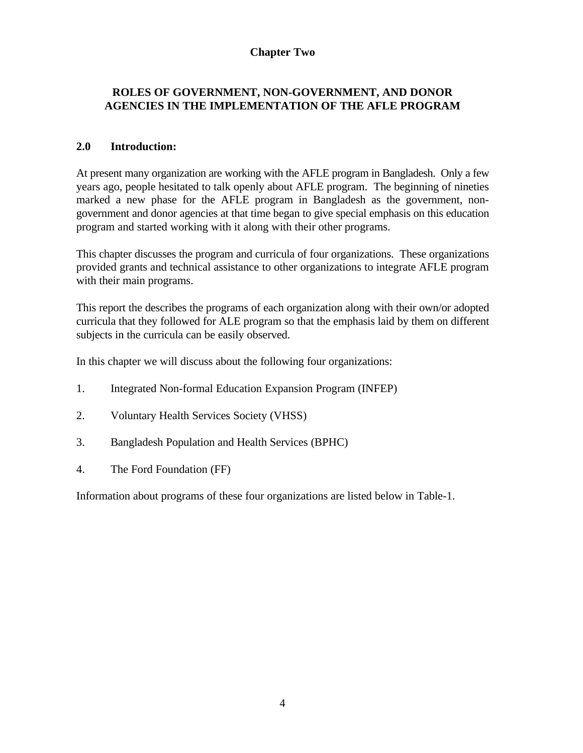### **Chapter Two**

## **ROLES OF GOVERNMENT, NON-GOVERNMENT, AND DONOR AGENCIES IN THE IMPLEMENTATION OF THE AFLE PROGRAM**

## **2.0 Introduction:**

At present many organization are working with the AFLE program in Bangladesh. Only a few years ago, people hesitated to talk openly about AFLE program. The beginning of nineties marked a new phase for the AFLE program in Bangladesh as the government, nongovernment and donor agencies at that time began to give special emphasis on this education program and started working with it along with their other programs.

This chapter discusses the program and curricula of four organizations. These organizations provided grants and technical assistance to other organizations to integrate AFLE program with their main programs.

This report the describes the programs of each organization along with their own/or adopted curricula that they followed for ALE program so that the emphasis laid by them on different subjects in the curricula can be easily observed.

In this chapter we will discuss about the following four organizations:

- 1. Integrated Non-formal Education Expansion Program (INFEP)
- 2. Voluntary Health Services Society (VHSS)
- 3. Bangladesh Population and Health Services (BPHC)
- 4. The Ford Foundation (FF)

Information about programs of these four organizations are listed below in Table-1.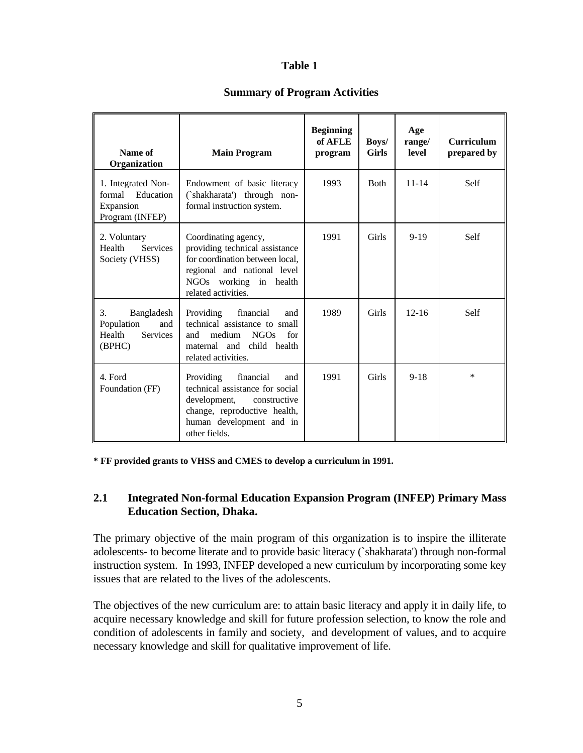## **Table 1**

#### **Summary of Program Activities**

| Name of<br>Organization                                                      | <b>Main Program</b>                                                                                                                                                           | <b>Beginning</b><br>of AFLE<br>program | Boys/<br><b>Girls</b> | Age<br>range/<br>level | <b>Curriculum</b><br>prepared by |
|------------------------------------------------------------------------------|-------------------------------------------------------------------------------------------------------------------------------------------------------------------------------|----------------------------------------|-----------------------|------------------------|----------------------------------|
| 1. Integrated Non-<br>formal Education<br>Expansion<br>Program (INFEP)       | Endowment of basic literacy<br>(`shakharata') through non-<br>formal instruction system.                                                                                      | 1993                                   | <b>Both</b>           | $11 - 14$              | Self                             |
| 2. Voluntary<br><b>Services</b><br>Health<br>Society (VHSS)                  | Coordinating agency,<br>providing technical assistance<br>for coordination between local,<br>regional and national level<br>NGOs working in health<br>related activities.     | 1991                                   | Girls                 | $9 - 19$               | Self                             |
| 3.<br>Bangladesh<br>Population<br>and<br>Health<br><b>Services</b><br>(BPHC) | financial<br>Providing<br>and<br>technical assistance to small<br>medium<br>NGOs<br>for<br>and<br>maternal and child health<br>related activities.                            | 1989                                   | Girls                 | $12 - 16$              | Self                             |
| 4. Ford<br>Foundation (FF)                                                   | Providing<br>financial<br>and<br>technical assistance for social<br>development,<br>constructive<br>change, reproductive health,<br>human development and in<br>other fields. | 1991                                   | Girls                 | $9 - 18$               | $\ast$                           |

**\* FF provided grants to VHSS and CMES to develop a curriculum in 1991.**

## **2.1 Integrated Non-formal Education Expansion Program (INFEP) Primary Mass Education Section, Dhaka.**

The primary objective of the main program of this organization is to inspire the illiterate adolescents- to become literate and to provide basic literacy (`shakharata') through non-formal instruction system. In 1993, INFEP developed a new curriculum by incorporating some key issues that are related to the lives of the adolescents.

The objectives of the new curriculum are: to attain basic literacy and apply it in daily life, to acquire necessary knowledge and skill for future profession selection, to know the role and condition of adolescents in family and society, and development of values, and to acquire necessary knowledge and skill for qualitative improvement of life.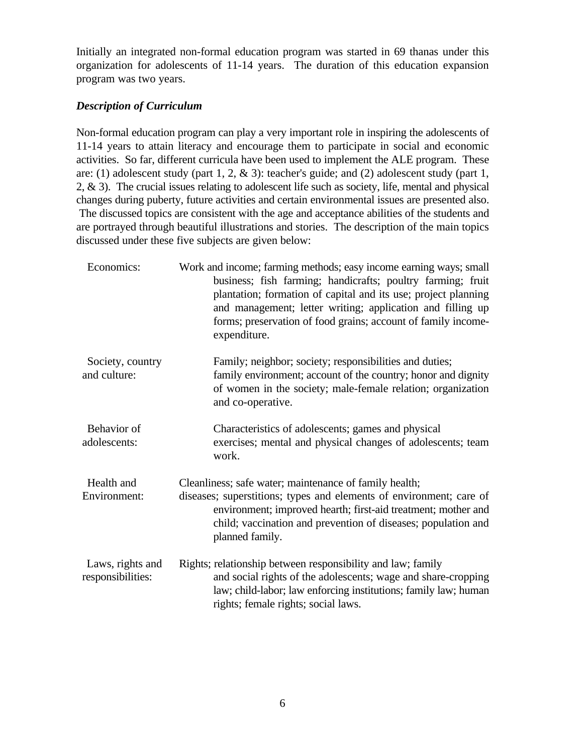Initially an integrated non-formal education program was started in 69 thanas under this organization for adolescents of 11-14 years. The duration of this education expansion program was two years.

#### *Description of Curriculum*

Non-formal education program can play a very important role in inspiring the adolescents of 11-14 years to attain literacy and encourage them to participate in social and economic activities. So far, different curricula have been used to implement the ALE program. These are: (1) adolescent study (part 1, 2, & 3): teacher's guide; and (2) adolescent study (part 1, 2, & 3). The crucial issues relating to adolescent life such as society, life, mental and physical changes during puberty, future activities and certain environmental issues are presented also. The discussed topics are consistent with the age and acceptance abilities of the students and are portrayed through beautiful illustrations and stories. The description of the main topics discussed under these five subjects are given below:

| Economics:                            | Work and income; farming methods; easy income earning ways; small<br>business; fish farming; handicrafts; poultry farming; fruit<br>plantation; formation of capital and its use; project planning<br>and management; letter writing; application and filling up<br>forms; preservation of food grains; account of family income-<br>expenditure. |
|---------------------------------------|---------------------------------------------------------------------------------------------------------------------------------------------------------------------------------------------------------------------------------------------------------------------------------------------------------------------------------------------------|
| Society, country<br>and culture:      | Family; neighbor; society; responsibilities and duties;<br>family environment; account of the country; honor and dignity<br>of women in the society; male-female relation; organization<br>and co-operative.                                                                                                                                      |
| Behavior of<br>adolescents:           | Characteristics of adolescents; games and physical<br>exercises; mental and physical changes of adolescents; team<br>work.                                                                                                                                                                                                                        |
| Health and<br>Environment:            | Cleanliness; safe water; maintenance of family health;<br>diseases; superstitions; types and elements of environment; care of<br>environment; improved hearth; first-aid treatment; mother and<br>child; vaccination and prevention of diseases; population and<br>planned family.                                                                |
| Laws, rights and<br>responsibilities: | Rights; relationship between responsibility and law; family<br>and social rights of the adolescents; wage and share-cropping<br>law; child-labor; law enforcing institutions; family law; human<br>rights; female rights; social laws.                                                                                                            |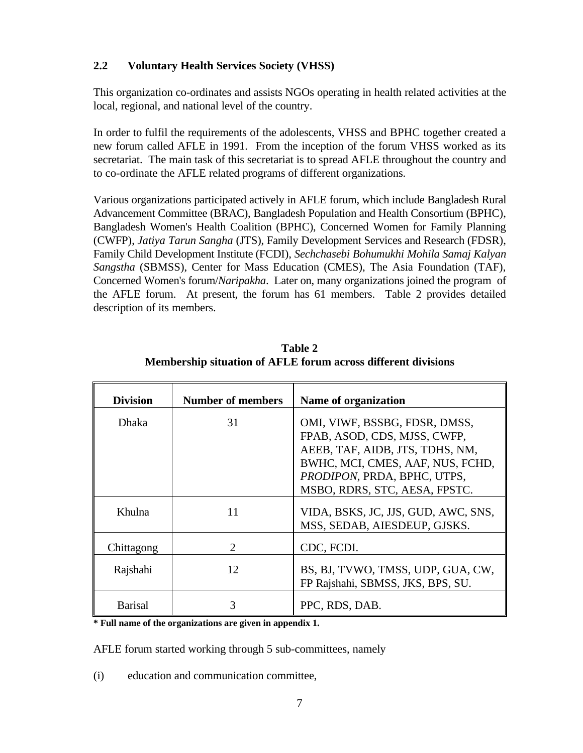## **2.2 Voluntary Health Services Society (VHSS)**

This organization co-ordinates and assists NGOs operating in health related activities at the local, regional, and national level of the country.

In order to fulfil the requirements of the adolescents, VHSS and BPHC together created a new forum called AFLE in 1991. From the inception of the forum VHSS worked as its secretariat. The main task of this secretariat is to spread AFLE throughout the country and to co-ordinate the AFLE related programs of different organizations.

Various organizations participated actively in AFLE forum, which include Bangladesh Rural Advancement Committee (BRAC), Bangladesh Population and Health Consortium (BPHC), Bangladesh Women's Health Coalition (BPHC), Concerned Women for Family Planning (CWFP), *Jatiya Tarun Sangha* (JTS), Family Development Services and Research (FDSR), Family Child Development Institute (FCDI), *Sechchasebi Bohumukhi Mohila Samaj Kalyan Sangstha* (SBMSS), Center for Mass Education (CMES), The Asia Foundation (TAF), Concerned Women's forum/*Naripakha*. Later on, many organizations joined the program of the AFLE forum. At present, the forum has 61 members. Table 2 provides detailed description of its members.

| <b>Division</b> | <b>Number of members</b> | Name of organization                                                                                                                                                                                 |
|-----------------|--------------------------|------------------------------------------------------------------------------------------------------------------------------------------------------------------------------------------------------|
| <b>Dhaka</b>    | 31                       | OMI, VIWF, BSSBG, FDSR, DMSS,<br>FPAB, ASOD, CDS, MJSS, CWFP,<br>AEEB, TAF, AIDB, JTS, TDHS, NM,<br>BWHC, MCI, CMES, AAF, NUS, FCHD,<br>PRODIPON, PRDA, BPHC, UTPS,<br>MSBO, RDRS, STC, AESA, FPSTC. |
| Khulna          | 11                       | VIDA, BSKS, JC, JJS, GUD, AWC, SNS,<br>MSS, SEDAB, AIESDEUP, GJSKS.                                                                                                                                  |
| Chittagong      | $\mathcal{D}$            | CDC, FCDI.                                                                                                                                                                                           |
| Rajshahi        | 12                       | BS, BJ, TVWO, TMSS, UDP, GUA, CW,<br>FP Rajshahi, SBMSS, JKS, BPS, SU.                                                                                                                               |
| <b>Barisal</b>  |                          | PPC, RDS, DAB.                                                                                                                                                                                       |

**Table 2 Membership situation of AFLE forum across different divisions**

**\* Full name of the organizations are given in appendix 1.**

AFLE forum started working through 5 sub-committees, namely

(i) education and communication committee,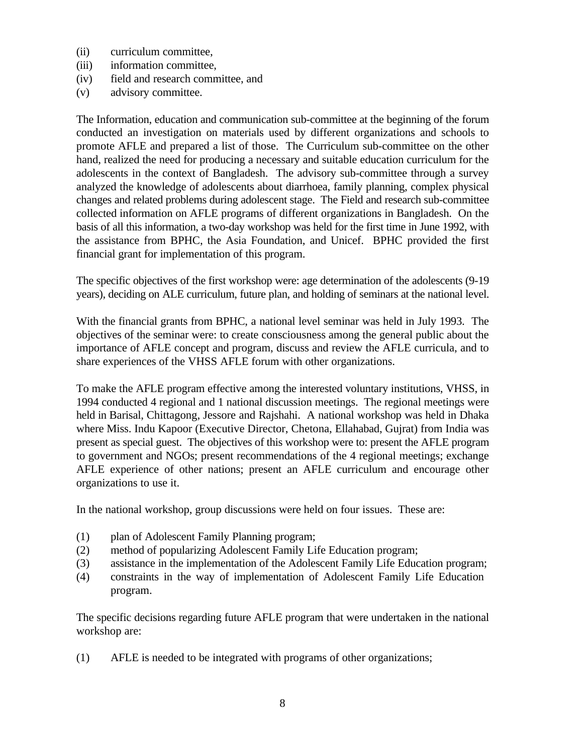- (ii) curriculum committee,
- (iii) information committee,
- (iv) field and research committee, and
- (v) advisory committee.

The Information, education and communication sub-committee at the beginning of the forum conducted an investigation on materials used by different organizations and schools to promote AFLE and prepared a list of those. The Curriculum sub-committee on the other hand, realized the need for producing a necessary and suitable education curriculum for the adolescents in the context of Bangladesh. The advisory sub-committee through a survey analyzed the knowledge of adolescents about diarrhoea, family planning, complex physical changes and related problems during adolescent stage. The Field and research sub-committee collected information on AFLE programs of different organizations in Bangladesh. On the basis of all this information, a two-day workshop was held for the first time in June 1992, with the assistance from BPHC, the Asia Foundation, and Unicef. BPHC provided the first financial grant for implementation of this program.

The specific objectives of the first workshop were: age determination of the adolescents (9-19 years), deciding on ALE curriculum, future plan, and holding of seminars at the national level.

With the financial grants from BPHC, a national level seminar was held in July 1993. The objectives of the seminar were: to create consciousness among the general public about the importance of AFLE concept and program, discuss and review the AFLE curricula, and to share experiences of the VHSS AFLE forum with other organizations.

To make the AFLE program effective among the interested voluntary institutions, VHSS, in 1994 conducted 4 regional and 1 national discussion meetings. The regional meetings were held in Barisal, Chittagong, Jessore and Rajshahi. A national workshop was held in Dhaka where Miss. Indu Kapoor (Executive Director, Chetona, Ellahabad, Gujrat) from India was present as special guest. The objectives of this workshop were to: present the AFLE program to government and NGOs; present recommendations of the 4 regional meetings; exchange AFLE experience of other nations; present an AFLE curriculum and encourage other organizations to use it.

In the national workshop, group discussions were held on four issues. These are:

- (1) plan of Adolescent Family Planning program;
- (2) method of popularizing Adolescent Family Life Education program;
- (3) assistance in the implementation of the Adolescent Family Life Education program;
- (4) constraints in the way of implementation of Adolescent Family Life Education program.

The specific decisions regarding future AFLE program that were undertaken in the national workshop are:

(1) AFLE is needed to be integrated with programs of other organizations;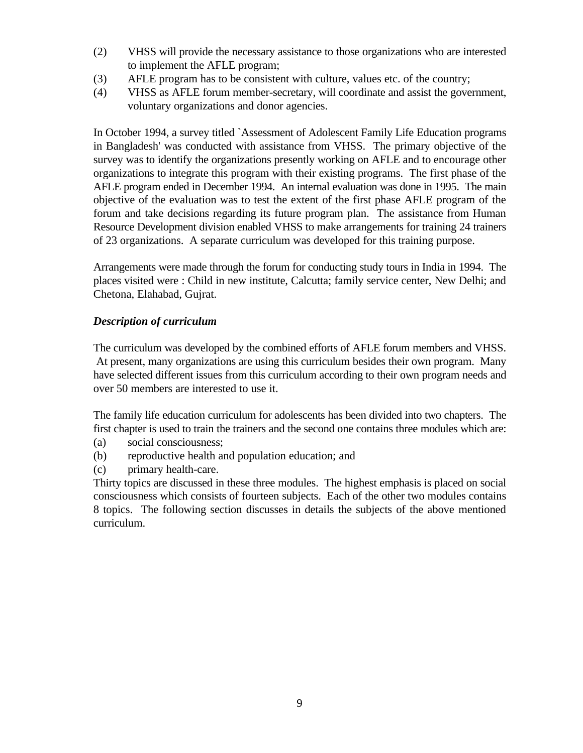- (2) VHSS will provide the necessary assistance to those organizations who are interested to implement the AFLE program;
- (3) AFLE program has to be consistent with culture, values etc. of the country;
- (4) VHSS as AFLE forum member-secretary, will coordinate and assist the government, voluntary organizations and donor agencies.

In October 1994, a survey titled `Assessment of Adolescent Family Life Education programs in Bangladesh' was conducted with assistance from VHSS. The primary objective of the survey was to identify the organizations presently working on AFLE and to encourage other organizations to integrate this program with their existing programs. The first phase of the AFLE program ended in December 1994. An internal evaluation was done in 1995. The main objective of the evaluation was to test the extent of the first phase AFLE program of the forum and take decisions regarding its future program plan. The assistance from Human Resource Development division enabled VHSS to make arrangements for training 24 trainers of 23 organizations. A separate curriculum was developed for this training purpose.

Arrangements were made through the forum for conducting study tours in India in 1994. The places visited were : Child in new institute, Calcutta; family service center, New Delhi; and Chetona, Elahabad, Gujrat.

## *Description of curriculum*

The curriculum was developed by the combined efforts of AFLE forum members and VHSS. At present, many organizations are using this curriculum besides their own program. Many have selected different issues from this curriculum according to their own program needs and over 50 members are interested to use it.

The family life education curriculum for adolescents has been divided into two chapters. The first chapter is used to train the trainers and the second one contains three modules which are:

- (a) social consciousness;
- (b) reproductive health and population education; and
- (c) primary health-care.

Thirty topics are discussed in these three modules. The highest emphasis is placed on social consciousness which consists of fourteen subjects. Each of the other two modules contains 8 topics. The following section discusses in details the subjects of the above mentioned curriculum.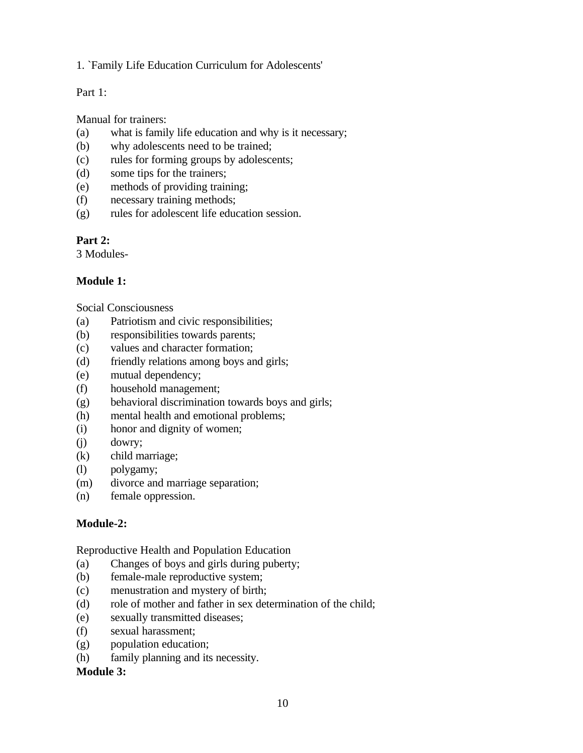#### 1. `Family Life Education Curriculum for Adolescents'

## Part 1:

Manual for trainers:

- (a) what is family life education and why is it necessary;
- (b) why adolescents need to be trained;
- (c) rules for forming groups by adolescents;
- (d) some tips for the trainers;
- (e) methods of providing training;
- (f) necessary training methods;
- (g) rules for adolescent life education session.

## **Part 2:**

3 Modules-

## **Module 1:**

Social Consciousness

- (a) Patriotism and civic responsibilities;
- (b) responsibilities towards parents;
- (c) values and character formation;
- (d) friendly relations among boys and girls;
- (e) mutual dependency;
- (f) household management;
- (g) behavioral discrimination towards boys and girls;
- (h) mental health and emotional problems;
- (i) honor and dignity of women;
- (j) dowry;
- (k) child marriage;
- (l) polygamy;
- (m) divorce and marriage separation;
- (n) female oppression.

# **Module-2:**

Reproductive Health and Population Education

- (a) Changes of boys and girls during puberty;
- (b) female-male reproductive system;
- (c) menustration and mystery of birth;
- (d) role of mother and father in sex determination of the child;
- (e) sexually transmitted diseases;
- (f) sexual harassment;
- (g) population education;
- (h) family planning and its necessity.

## **Module 3:**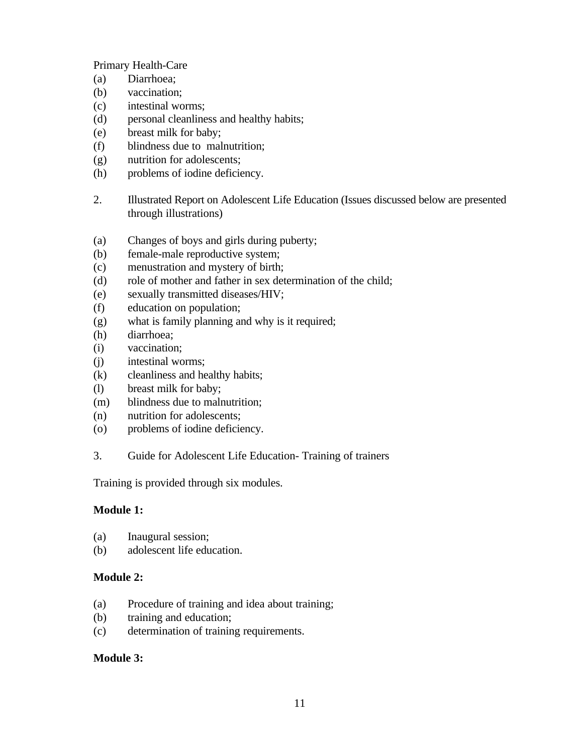Primary Health-Care

- (a) Diarrhoea;
- (b) vaccination;
- (c) intestinal worms;
- (d) personal cleanliness and healthy habits;
- (e) breast milk for baby;
- (f) blindness due to malnutrition;
- (g) nutrition for adolescents;
- (h) problems of iodine deficiency.
- 2. Illustrated Report on Adolescent Life Education (Issues discussed below are presented through illustrations)
- (a) Changes of boys and girls during puberty;
- (b) female-male reproductive system;
- (c) menustration and mystery of birth;
- (d) role of mother and father in sex determination of the child;
- (e) sexually transmitted diseases/HIV;
- (f) education on population;
- (g) what is family planning and why is it required;
- (h) diarrhoea;
- (i) vaccination;
- (j) intestinal worms;
- (k) cleanliness and healthy habits;
- (l) breast milk for baby;
- (m) blindness due to malnutrition;
- (n) nutrition for adolescents;
- (o) problems of iodine deficiency.
- 3. Guide for Adolescent Life Education- Training of trainers

Training is provided through six modules.

## **Module 1:**

- (a) Inaugural session;
- (b) adolescent life education.

## **Module 2:**

- (a) Procedure of training and idea about training;
- (b) training and education;
- (c) determination of training requirements.

## **Module 3:**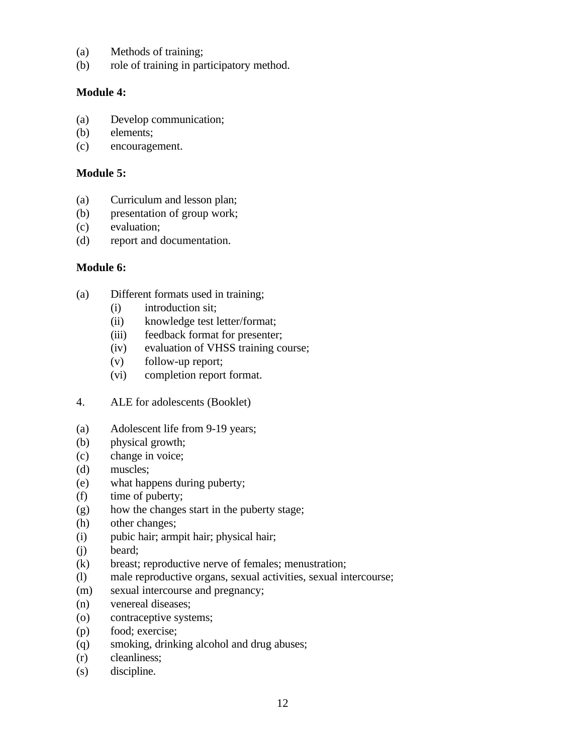- (a) Methods of training;
- (b) role of training in participatory method.

#### **Module 4:**

- (a) Develop communication;
- (b) elements;
- (c) encouragement.

#### **Module 5:**

- (a) Curriculum and lesson plan;
- (b) presentation of group work;
- (c) evaluation;
- (d) report and documentation.

#### **Module 6:**

- (a) Different formats used in training;
	- (i) introduction sit;
	- (ii) knowledge test letter/format;
	- (iii) feedback format for presenter;
	- (iv) evaluation of VHSS training course;
	- (v) follow-up report;
	- (vi) completion report format.
- 4. ALE for adolescents (Booklet)
- (a) Adolescent life from 9-19 years;
- (b) physical growth;
- (c) change in voice;
- (d) muscles;
- (e) what happens during puberty;
- (f) time of puberty;
- (g) how the changes start in the puberty stage;
- (h) other changes;
- (i) pubic hair; armpit hair; physical hair;
- (j) beard;
- (k) breast; reproductive nerve of females; menustration;
- (l) male reproductive organs, sexual activities, sexual intercourse;
- (m) sexual intercourse and pregnancy;
- (n) venereal diseases;
- (o) contraceptive systems;
- (p) food; exercise;
- (q) smoking, drinking alcohol and drug abuses;
- (r) cleanliness;
- (s) discipline.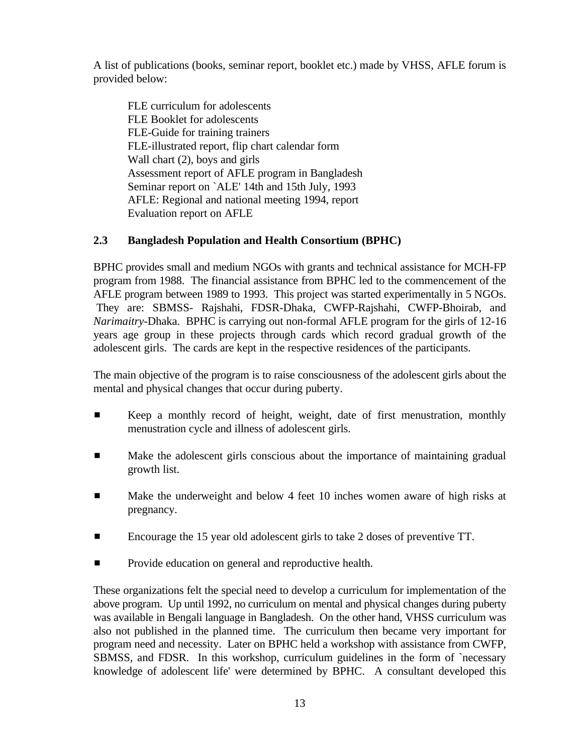A list of publications (books, seminar report, booklet etc.) made by VHSS, AFLE forum is provided below:

FLE curriculum for adolescents FLE Booklet for adolescents FLE-Guide for training trainers FLE-illustrated report, flip chart calendar form Wall chart (2), boys and girls Assessment report of AFLE program in Bangladesh Seminar report on `ALE' 14th and 15th July, 1993 AFLE: Regional and national meeting 1994, report Evaluation report on AFLE

# **2.3 Bangladesh Population and Health Consortium (BPHC)**

BPHC provides small and medium NGOs with grants and technical assistance for MCH-FP program from 1988. The financial assistance from BPHC led to the commencement of the AFLE program between 1989 to 1993. This project was started experimentally in 5 NGOs. They are: SBMSS- Rajshahi, FDSR-Dhaka, CWFP-Rajshahi, CWFP-Bhoirab, and *Narimaitry*-Dhaka. BPHC is carrying out non-formal AFLE program for the girls of 12-16 years age group in these projects through cards which record gradual growth of the adolescent girls. The cards are kept in the respective residences of the participants.

The main objective of the program is to raise consciousness of the adolescent girls about the mental and physical changes that occur during puberty.

- **EXECT** Keep a monthly record of height, weight, date of first menustration, monthly menustration cycle and illness of adolescent girls.
- **EXECUTE:** Make the adolescent girls conscious about the importance of maintaining gradual growth list.
- **EXECUTE:** Make the underweight and below 4 feet 10 inches women aware of high risks at pregnancy.
- Encourage the 15 year old adolescent girls to take 2 doses of preventive TT.
- **EXECUTE:** Provide education on general and reproductive health.

These organizations felt the special need to develop a curriculum for implementation of the above program. Up until 1992, no curriculum on mental and physical changes during puberty was available in Bengali language in Bangladesh. On the other hand, VHSS curriculum was also not published in the planned time. The curriculum then became very important for program need and necessity. Later on BPHC held a workshop with assistance from CWFP, SBMSS, and FDSR. In this workshop, curriculum guidelines in the form of `necessary knowledge of adolescent life' were determined by BPHC. A consultant developed this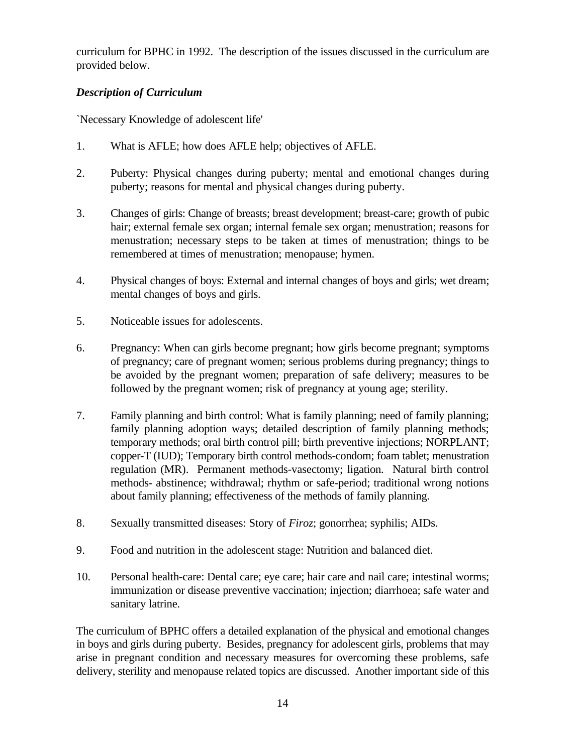curriculum for BPHC in 1992. The description of the issues discussed in the curriculum are provided below.

## *Description of Curriculum*

`Necessary Knowledge of adolescent life'

- 1. What is AFLE; how does AFLE help; objectives of AFLE.
- 2. Puberty: Physical changes during puberty; mental and emotional changes during puberty; reasons for mental and physical changes during puberty.
- 3. Changes of girls: Change of breasts; breast development; breast-care; growth of pubic hair; external female sex organ; internal female sex organ; menustration; reasons for menustration; necessary steps to be taken at times of menustration; things to be remembered at times of menustration; menopause; hymen.
- 4. Physical changes of boys: External and internal changes of boys and girls; wet dream; mental changes of boys and girls.
- 5. Noticeable issues for adolescents.
- 6. Pregnancy: When can girls become pregnant; how girls become pregnant; symptoms of pregnancy; care of pregnant women; serious problems during pregnancy; things to be avoided by the pregnant women; preparation of safe delivery; measures to be followed by the pregnant women; risk of pregnancy at young age; sterility.
- 7. Family planning and birth control: What is family planning; need of family planning; family planning adoption ways; detailed description of family planning methods; temporary methods; oral birth control pill; birth preventive injections; NORPLANT; copper-T (IUD); Temporary birth control methods-condom; foam tablet; menustration regulation (MR). Permanent methods-vasectomy; ligation. Natural birth control methods- abstinence; withdrawal; rhythm or safe-period; traditional wrong notions about family planning; effectiveness of the methods of family planning.
- 8. Sexually transmitted diseases: Story of *Firoz*; gonorrhea; syphilis; AIDs.
- 9. Food and nutrition in the adolescent stage: Nutrition and balanced diet.
- 10. Personal health-care: Dental care; eye care; hair care and nail care; intestinal worms; immunization or disease preventive vaccination; injection; diarrhoea; safe water and sanitary latrine.

The curriculum of BPHC offers a detailed explanation of the physical and emotional changes in boys and girls during puberty. Besides, pregnancy for adolescent girls, problems that may arise in pregnant condition and necessary measures for overcoming these problems, safe delivery, sterility and menopause related topics are discussed. Another important side of this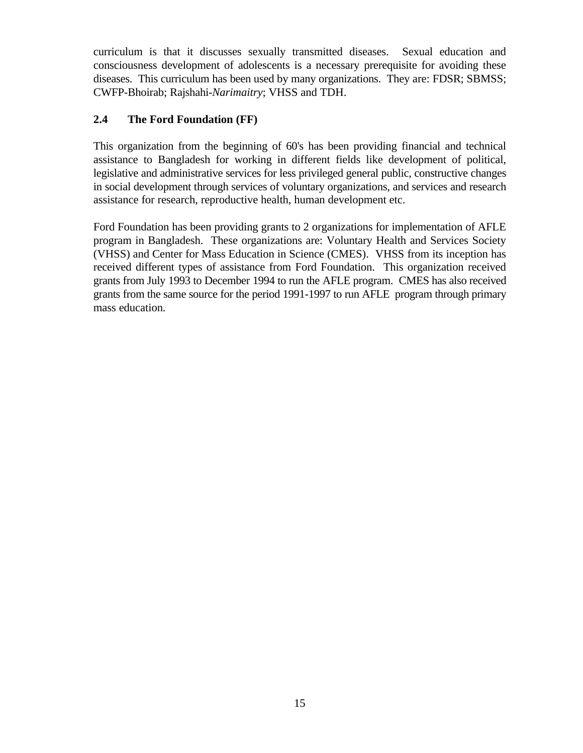curriculum is that it discusses sexually transmitted diseases. Sexual education and consciousness development of adolescents is a necessary prerequisite for avoiding these diseases. This curriculum has been used by many organizations. They are: FDSR; SBMSS; CWFP-Bhoirab; Rajshahi-*Narimaitry*; VHSS and TDH.

## **2.4 The Ford Foundation (FF)**

This organization from the beginning of 60's has been providing financial and technical assistance to Bangladesh for working in different fields like development of political, legislative and administrative services for less privileged general public, constructive changes in social development through services of voluntary organizations, and services and research assistance for research, reproductive health, human development etc.

Ford Foundation has been providing grants to 2 organizations for implementation of AFLE program in Bangladesh. These organizations are: Voluntary Health and Services Society (VHSS) and Center for Mass Education in Science (CMES). VHSS from its inception has received different types of assistance from Ford Foundation. This organization received grants from July 1993 to December 1994 to run the AFLE program. CMES has also received grants from the same source for the period 1991-1997 to run AFLE program through primary mass education.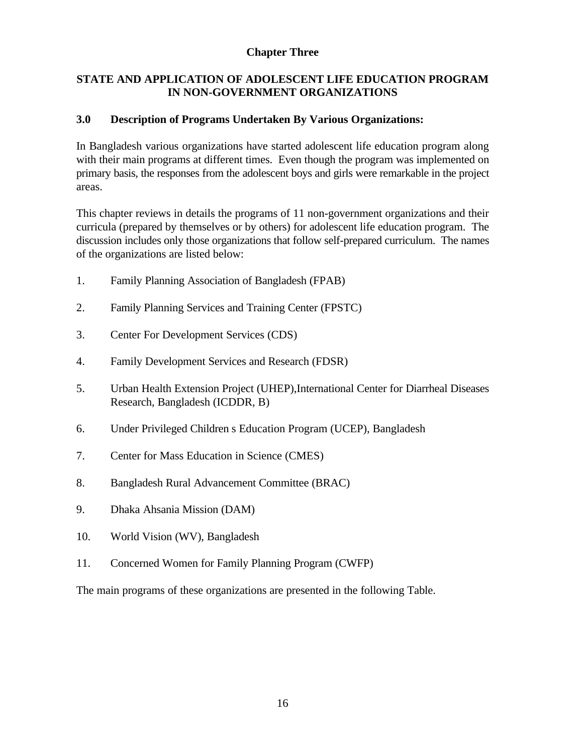## **Chapter Three**

## **STATE AND APPLICATION OF ADOLESCENT LIFE EDUCATION PROGRAM IN NON-GOVERNMENT ORGANIZATIONS**

## **3.0 Description of Programs Undertaken By Various Organizations:**

In Bangladesh various organizations have started adolescent life education program along with their main programs at different times. Even though the program was implemented on primary basis, the responses from the adolescent boys and girls were remarkable in the project areas.

This chapter reviews in details the programs of 11 non-government organizations and their curricula (prepared by themselves or by others) for adolescent life education program. The discussion includes only those organizations that follow self-prepared curriculum. The names of the organizations are listed below:

- 1. Family Planning Association of Bangladesh (FPAB)
- 2. Family Planning Services and Training Center (FPSTC)
- 3. Center For Development Services (CDS)
- 4. Family Development Services and Research (FDSR)
- 5. Urban Health Extension Project (UHEP),International Center for Diarrheal Diseases Research, Bangladesh (ICDDR, B)
- 6. Under Privileged Children s Education Program (UCEP), Bangladesh
- 7. Center for Mass Education in Science (CMES)
- 8. Bangladesh Rural Advancement Committee (BRAC)
- 9. Dhaka Ahsania Mission (DAM)
- 10. World Vision (WV), Bangladesh
- 11. Concerned Women for Family Planning Program (CWFP)

The main programs of these organizations are presented in the following Table.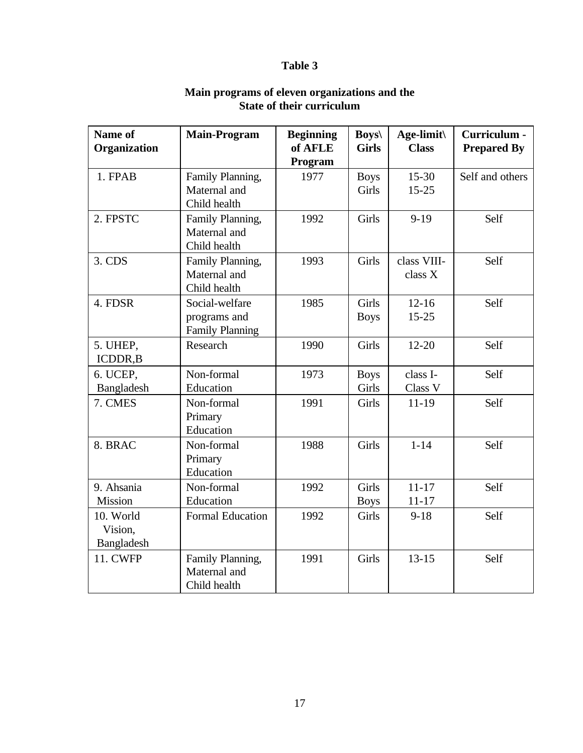# **Table 3**

| Name of<br>Organization            | <b>Main-Program</b>                                      | <b>Beginning</b><br>of AFLE<br>Program | $Boys \setminus$<br><b>Girls</b> | Age-limit\<br><b>Class</b> | Curriculum -<br><b>Prepared By</b> |
|------------------------------------|----------------------------------------------------------|----------------------------------------|----------------------------------|----------------------------|------------------------------------|
| 1. FPAB                            | Family Planning,<br>Maternal and<br>Child health         | 1977                                   | <b>Boys</b><br>Girls             | $15 - 30$<br>$15 - 25$     | Self and others                    |
| 2. FPSTC                           | Family Planning,<br>Maternal and<br>Child health         | 1992                                   | Girls                            | $9-19$                     | Self                               |
| 3. CDS                             | Family Planning,<br>Maternal and<br>Child health         | 1993                                   | <b>Girls</b>                     | class VIII-<br>class X     | Self                               |
| 4. FDSR                            | Social-welfare<br>programs and<br><b>Family Planning</b> | 1985                                   | <b>Girls</b><br><b>Boys</b>      | $12 - 16$<br>$15 - 25$     | Self                               |
| 5. UHEP,<br>ICDDR, B               | Research                                                 | 1990                                   | Girls                            | $12 - 20$                  | Self                               |
| 6. UCEP,<br>Bangladesh             | Non-formal<br>Education                                  | 1973                                   | <b>Boys</b><br>Girls             | class I-<br>Class V        | Self                               |
| 7. CMES                            | Non-formal<br>Primary<br>Education                       | 1991                                   | Girls                            | $11-19$                    | Self                               |
| 8. BRAC                            | Non-formal<br>Primary<br>Education                       | 1988                                   | <b>Girls</b>                     | $1 - 14$                   | Self                               |
| 9. Ahsania<br>Mission              | Non-formal<br>Education                                  | 1992                                   | Girls<br><b>Boys</b>             | $11 - 17$<br>$11 - 17$     | Self                               |
| 10. World<br>Vision,<br>Bangladesh | <b>Formal Education</b>                                  | 1992                                   | Girls                            | $9 - 18$                   | Self                               |
| <b>11. CWFP</b>                    | Family Planning,<br>Maternal and<br>Child health         | 1991                                   | Girls                            | $13 - 15$                  | Self                               |

#### **Main programs of eleven organizations and the State of their curriculum**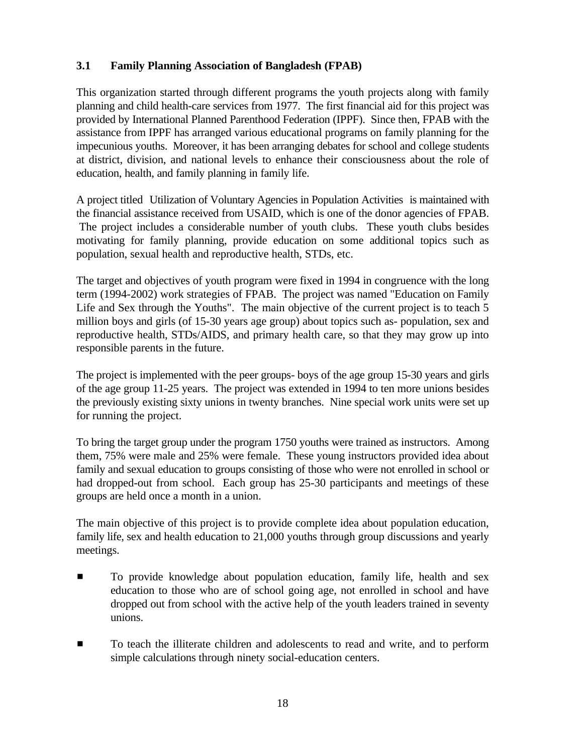# **3.1 Family Planning Association of Bangladesh (FPAB)**

This organization started through different programs the youth projects along with family planning and child health-care services from 1977. The first financial aid for this project was provided by International Planned Parenthood Federation (IPPF). Since then, FPAB with the assistance from IPPF has arranged various educational programs on family planning for the impecunious youths. Moreover, it has been arranging debates for school and college students at district, division, and national levels to enhance their consciousness about the role of education, health, and family planning in family life.

A project titled Utilization of Voluntary Agencies in Population Activities is maintained with the financial assistance received from USAID, which is one of the donor agencies of FPAB. The project includes a considerable number of youth clubs. These youth clubs besides motivating for family planning, provide education on some additional topics such as population, sexual health and reproductive health, STDs, etc.

The target and objectives of youth program were fixed in 1994 in congruence with the long term (1994-2002) work strategies of FPAB. The project was named "Education on Family Life and Sex through the Youths". The main objective of the current project is to teach 5 million boys and girls (of 15-30 years age group) about topics such as- population, sex and reproductive health, STDs/AIDS, and primary health care, so that they may grow up into responsible parents in the future.

The project is implemented with the peer groups- boys of the age group 15-30 years and girls of the age group 11-25 years. The project was extended in 1994 to ten more unions besides the previously existing sixty unions in twenty branches. Nine special work units were set up for running the project.

To bring the target group under the program 1750 youths were trained as instructors. Among them, 75% were male and 25% were female. These young instructors provided idea about family and sexual education to groups consisting of those who were not enrolled in school or had dropped-out from school. Each group has 25-30 participants and meetings of these groups are held once a month in a union.

The main objective of this project is to provide complete idea about population education, family life, sex and health education to 21,000 youths through group discussions and yearly meetings.

- **EXECUTE:** To provide knowledge about population education, family life, health and sex education to those who are of school going age, not enrolled in school and have dropped out from school with the active help of the youth leaders trained in seventy unions.
- $\blacksquare$  To teach the illiterate children and adolescents to read and write, and to perform simple calculations through ninety social-education centers.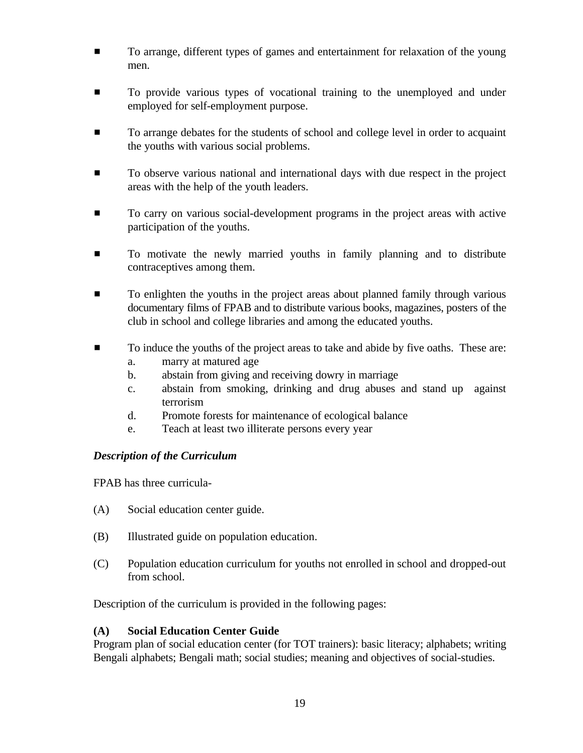- **To arrange, different types of games and entertainment for relaxation of the young** men.
- **To provide various types of vocational training to the unemployed and under** employed for self-employment purpose.
- **Example 1** To arrange debates for the students of school and college level in order to acquaint the youths with various social problems.
- **Example 3** To observe various national and international days with due respect in the project areas with the help of the youth leaders.
- **To carry on various social-development programs in the project areas with active** participation of the youths.
- **To motivate the newly married youths in family planning and to distribute** contraceptives among them.
- **EXECUTE:** To enlighten the youths in the project areas about planned family through various documentary films of FPAB and to distribute various books, magazines, posters of the club in school and college libraries and among the educated youths.
- $\blacksquare$  To induce the youths of the project areas to take and abide by five oaths. These are:
	- a. marry at matured age
	- b. abstain from giving and receiving dowry in marriage
	- c. abstain from smoking, drinking and drug abuses and stand up against terrorism
	- d. Promote forests for maintenance of ecological balance
	- e. Teach at least two illiterate persons every year

## *Description of the Curriculum*

FPAB has three curricula-

- (A) Social education center guide.
- (B) Illustrated guide on population education.
- (C) Population education curriculum for youths not enrolled in school and dropped-out from school.

Description of the curriculum is provided in the following pages:

## **(A) Social Education Center Guide**

Program plan of social education center (for TOT trainers): basic literacy; alphabets; writing Bengali alphabets; Bengali math; social studies; meaning and objectives of social-studies.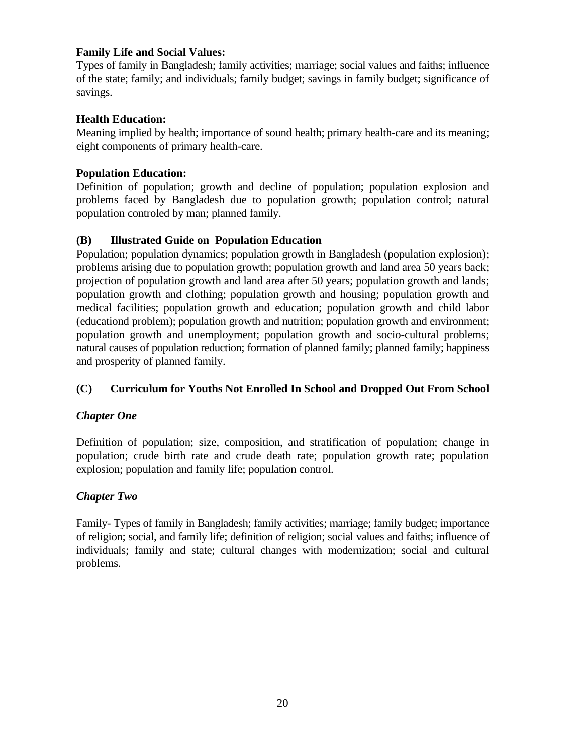## **Family Life and Social Values:**

Types of family in Bangladesh; family activities; marriage; social values and faiths; influence of the state; family; and individuals; family budget; savings in family budget; significance of savings.

## **Health Education:**

Meaning implied by health; importance of sound health; primary health-care and its meaning; eight components of primary health-care.

## **Population Education:**

Definition of population; growth and decline of population; population explosion and problems faced by Bangladesh due to population growth; population control; natural population controled by man; planned family.

# **(B) Illustrated Guide on Population Education**

Population; population dynamics; population growth in Bangladesh (population explosion); problems arising due to population growth; population growth and land area 50 years back; projection of population growth and land area after 50 years; population growth and lands; population growth and clothing; population growth and housing; population growth and medical facilities; population growth and education; population growth and child labor (educationd problem); population growth and nutrition; population growth and environment; population growth and unemployment; population growth and socio-cultural problems; natural causes of population reduction; formation of planned family; planned family; happiness and prosperity of planned family.

# **(C) Curriculum for Youths Not Enrolled In School and Dropped Out From School**

## *Chapter One*

Definition of population; size, composition, and stratification of population; change in population; crude birth rate and crude death rate; population growth rate; population explosion; population and family life; population control.

# *Chapter Two*

Family- Types of family in Bangladesh; family activities; marriage; family budget; importance of religion; social, and family life; definition of religion; social values and faiths; influence of individuals; family and state; cultural changes with modernization; social and cultural problems.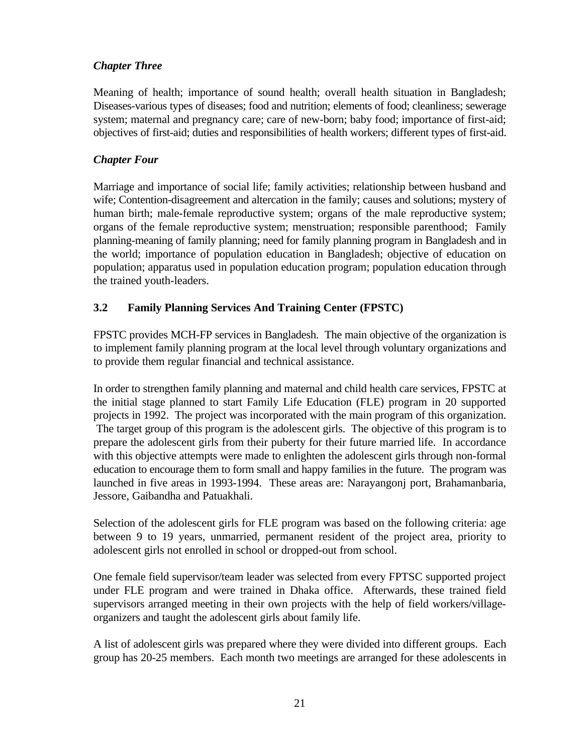## *Chapter Three*

Meaning of health; importance of sound health; overall health situation in Bangladesh; Diseases-various types of diseases; food and nutrition; elements of food; cleanliness; sewerage system; maternal and pregnancy care; care of new-born; baby food; importance of first-aid; objectives of first-aid; duties and responsibilities of health workers; different types of first-aid.

## *Chapter Four*

Marriage and importance of social life; family activities; relationship between husband and wife; Contention-disagreement and altercation in the family; causes and solutions; mystery of human birth; male-female reproductive system; organs of the male reproductive system; organs of the female reproductive system; menstruation; responsible parenthood; Family planning-meaning of family planning; need for family planning program in Bangladesh and in the world; importance of population education in Bangladesh; objective of education on population; apparatus used in population education program; population education through the trained youth-leaders.

## **3.2 Family Planning Services And Training Center (FPSTC)**

FPSTC provides MCH-FP services in Bangladesh. The main objective of the organization is to implement family planning program at the local level through voluntary organizations and to provide them regular financial and technical assistance.

In order to strengthen family planning and maternal and child health care services, FPSTC at the initial stage planned to start Family Life Education (FLE) program in 20 supported projects in 1992. The project was incorporated with the main program of this organization. The target group of this program is the adolescent girls. The objective of this program is to prepare the adolescent girls from their puberty for their future married life. In accordance with this objective attempts were made to enlighten the adolescent girls through non-formal education to encourage them to form small and happy families in the future. The program was launched in five areas in 1993-1994. These areas are: Narayangonj port, Brahamanbaria, Jessore, Gaibandha and Patuakhali.

Selection of the adolescent girls for FLE program was based on the following criteria: age between 9 to 19 years, unmarried, permanent resident of the project area, priority to adolescent girls not enrolled in school or dropped-out from school.

One female field supervisor/team leader was selected from every FPTSC supported project under FLE program and were trained in Dhaka office. Afterwards, these trained field supervisors arranged meeting in their own projects with the help of field workers/villageorganizers and taught the adolescent girls about family life.

A list of adolescent girls was prepared where they were divided into different groups. Each group has 20-25 members. Each month two meetings are arranged for these adolescents in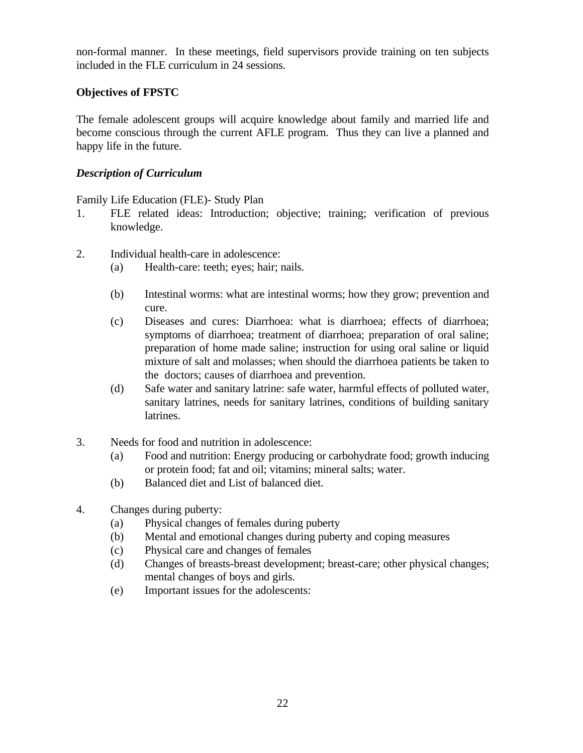non-formal manner. In these meetings, field supervisors provide training on ten subjects included in the FLE curriculum in 24 sessions.

## **Objectives of FPSTC**

The female adolescent groups will acquire knowledge about family and married life and become conscious through the current AFLE program. Thus they can live a planned and happy life in the future.

## *Description of Curriculum*

Family Life Education (FLE)- Study Plan

- 1. FLE related ideas: Introduction; objective; training; verification of previous knowledge.
- 2. Individual health-care in adolescence:
	- (a) Health-care: teeth; eyes; hair; nails.
	- (b) Intestinal worms: what are intestinal worms; how they grow; prevention and cure.
	- (c) Diseases and cures: Diarrhoea: what is diarrhoea; effects of diarrhoea; symptoms of diarrhoea; treatment of diarrhoea; preparation of oral saline; preparation of home made saline; instruction for using oral saline or liquid mixture of salt and molasses; when should the diarrhoea patients be taken to the doctors; causes of diarrhoea and prevention.
	- (d) Safe water and sanitary latrine: safe water, harmful effects of polluted water, sanitary latrines, needs for sanitary latrines, conditions of building sanitary latrines.
- 3. Needs for food and nutrition in adolescence:
	- (a) Food and nutrition: Energy producing or carbohydrate food; growth inducing or protein food; fat and oil; vitamins; mineral salts; water.
	- (b) Balanced diet and List of balanced diet.
- 4. Changes during puberty:
	- (a) Physical changes of females during puberty
	- (b) Mental and emotional changes during puberty and coping measures
	- (c) Physical care and changes of females
	- (d) Changes of breasts-breast development; breast-care; other physical changes; mental changes of boys and girls.
	- (e) Important issues for the adolescents: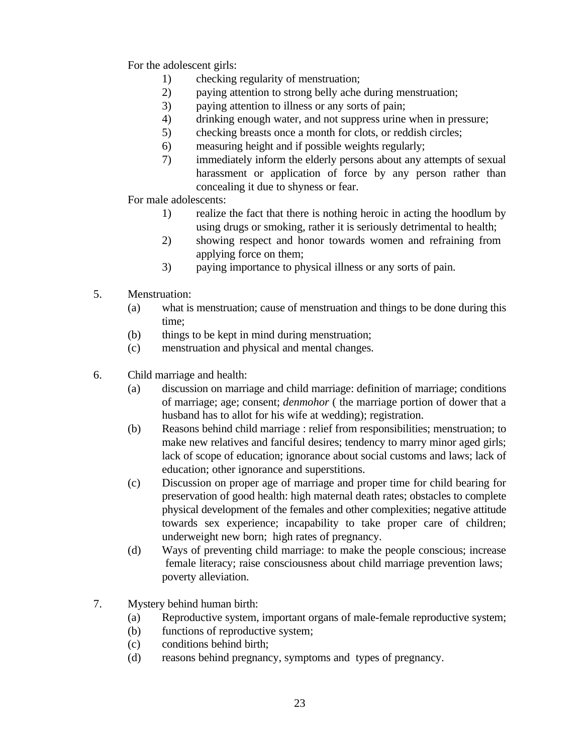For the adolescent girls:

- 1) checking regularity of menstruation;
- 2) paying attention to strong belly ache during menstruation;
- 3) paying attention to illness or any sorts of pain;
- 4) drinking enough water, and not suppress urine when in pressure;
- 5) checking breasts once a month for clots, or reddish circles;
- 6) measuring height and if possible weights regularly;
- 7) immediately inform the elderly persons about any attempts of sexual harassment or application of force by any person rather than concealing it due to shyness or fear.
- For male adolescents:
	- 1) realize the fact that there is nothing heroic in acting the hoodlum by using drugs or smoking, rather it is seriously detrimental to health;
	- 2) showing respect and honor towards women and refraining from applying force on them;
	- 3) paying importance to physical illness or any sorts of pain.
- 5. Menstruation:
	- (a) what is menstruation; cause of menstruation and things to be done during this time;
	- (b) things to be kept in mind during menstruation;
	- (c) menstruation and physical and mental changes.
- 6. Child marriage and health:
	- (a) discussion on marriage and child marriage: definition of marriage; conditions of marriage; age; consent; *denmohor* ( the marriage portion of dower that a husband has to allot for his wife at wedding); registration.
	- (b) Reasons behind child marriage : relief from responsibilities; menstruation; to make new relatives and fanciful desires; tendency to marry minor aged girls; lack of scope of education; ignorance about social customs and laws; lack of education; other ignorance and superstitions.
	- (c) Discussion on proper age of marriage and proper time for child bearing for preservation of good health: high maternal death rates; obstacles to complete physical development of the females and other complexities; negative attitude towards sex experience; incapability to take proper care of children; underweight new born; high rates of pregnancy.
	- (d) Ways of preventing child marriage: to make the people conscious; increase female literacy; raise consciousness about child marriage prevention laws; poverty alleviation.
- 7. Mystery behind human birth:
	- (a) Reproductive system, important organs of male-female reproductive system;
	- (b) functions of reproductive system;
	- (c) conditions behind birth;
	- (d) reasons behind pregnancy, symptoms and types of pregnancy.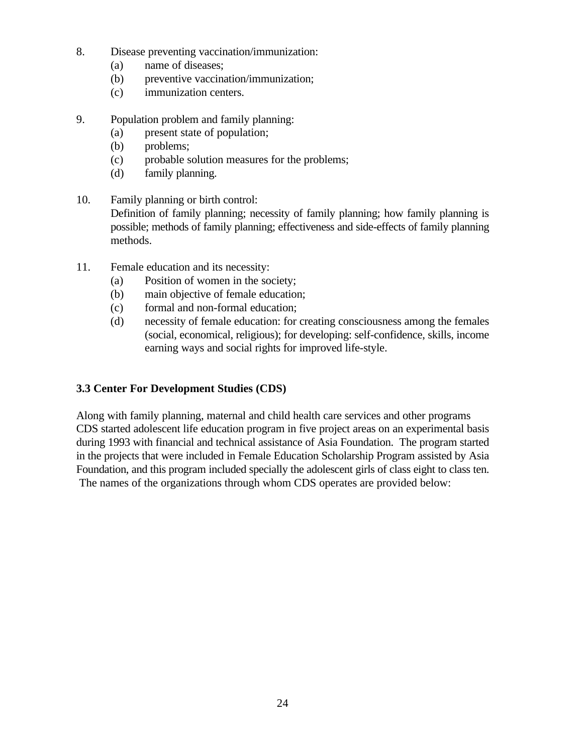- 8. Disease preventing vaccination/immunization:
	- (a) name of diseases;
	- (b) preventive vaccination/immunization;
	- (c) immunization centers.
- 9. Population problem and family planning:
	- (a) present state of population;
	- (b) problems;
	- (c) probable solution measures for the problems;
	- (d) family planning.
- 10. Family planning or birth control: Definition of family planning; necessity of family planning; how family planning is possible; methods of family planning; effectiveness and side-effects of family planning methods.
- 11. Female education and its necessity:
	- (a) Position of women in the society;
	- (b) main objective of female education;
	- (c) formal and non-formal education;
	- (d) necessity of female education: for creating consciousness among the females (social, economical, religious); for developing: self-confidence, skills, income earning ways and social rights for improved life-style.

## **3.3 Center For Development Studies (CDS)**

Along with family planning, maternal and child health care services and other programs CDS started adolescent life education program in five project areas on an experimental basis during 1993 with financial and technical assistance of Asia Foundation. The program started in the projects that were included in Female Education Scholarship Program assisted by Asia Foundation, and this program included specially the adolescent girls of class eight to class ten. The names of the organizations through whom CDS operates are provided below: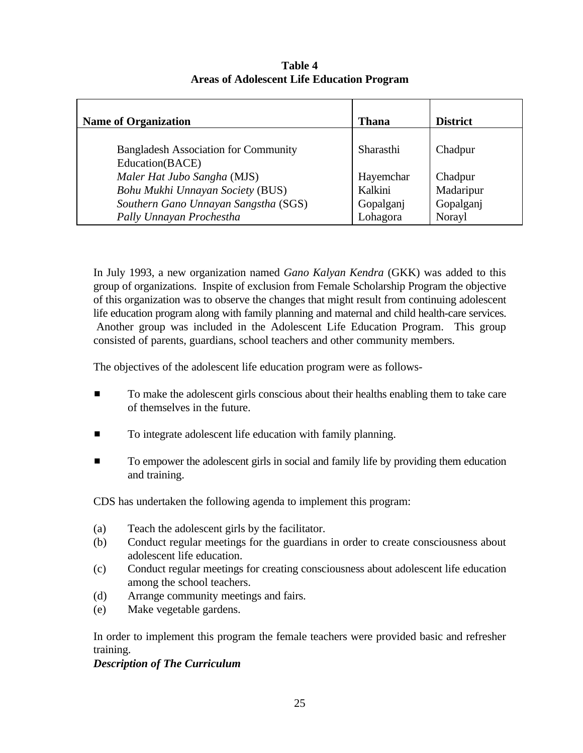| <b>Name of Organization</b>                                    | <b>Thana</b>     | <b>District</b> |
|----------------------------------------------------------------|------------------|-----------------|
| <b>Bangladesh Association for Community</b><br>Education(BACE) | <b>Sharasthi</b> | Chadpur         |
| Maler Hat Jubo Sangha (MJS)                                    | Hayemchar        | Chadpur         |
| Bohu Mukhi Unnayan Society (BUS)                               | Kalkini          | Madaripur       |
| Southern Gano Unnayan Sangstha (SGS)                           | Gopalganj        | Gopalganj       |
| Pally Unnayan Prochestha                                       | Lohagora         | Norayl          |

**Table 4 Areas of Adolescent Life Education Program**

In July 1993, a new organization named *Gano Kalyan Kendra* (GKK) was added to this group of organizations. Inspite of exclusion from Female Scholarship Program the objective of this organization was to observe the changes that might result from continuing adolescent life education program along with family planning and maternal and child health-care services. Another group was included in the Adolescent Life Education Program. This group consisted of parents, guardians, school teachers and other community members.

The objectives of the adolescent life education program were as follows-

- $\blacksquare$  To make the adolescent girls conscious about their healths enabling them to take care of themselves in the future.
- **To integrate adolescent life education with family planning.**
- **Example 1** To empower the adolescent girls in social and family life by providing them education and training.

CDS has undertaken the following agenda to implement this program:

- (a) Teach the adolescent girls by the facilitator.
- (b) Conduct regular meetings for the guardians in order to create consciousness about adolescent life education.
- (c) Conduct regular meetings for creating consciousness about adolescent life education among the school teachers.
- (d) Arrange community meetings and fairs.
- (e) Make vegetable gardens.

In order to implement this program the female teachers were provided basic and refresher training.

#### *Description of The Curriculum*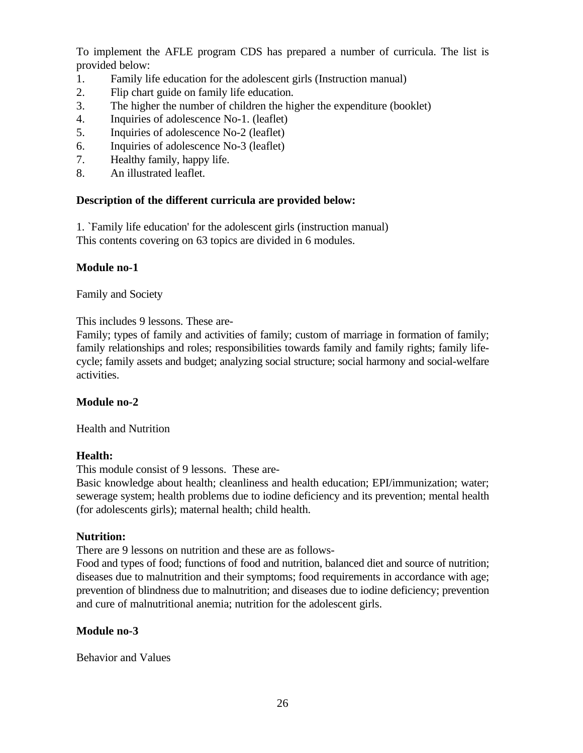To implement the AFLE program CDS has prepared a number of curricula. The list is provided below:

- 1. Family life education for the adolescent girls (Instruction manual)
- 2. Flip chart guide on family life education.
- 3. The higher the number of children the higher the expenditure (booklet)
- 4. Inquiries of adolescence No-1. (leaflet)
- 5. Inquiries of adolescence No-2 (leaflet)
- 6. Inquiries of adolescence No-3 (leaflet)
- 7. Healthy family, happy life.
- 8. An illustrated leaflet.

#### **Description of the different curricula are provided below:**

1. `Family life education' for the adolescent girls (instruction manual) This contents covering on 63 topics are divided in 6 modules.

#### **Module no-1**

Family and Society

This includes 9 lessons. These are-

Family; types of family and activities of family; custom of marriage in formation of family; family relationships and roles; responsibilities towards family and family rights; family lifecycle; family assets and budget; analyzing social structure; social harmony and social-welfare activities.

## **Module no-2**

Health and Nutrition

#### **Health:**

This module consist of 9 lessons. These are-

Basic knowledge about health; cleanliness and health education; EPI/immunization; water; sewerage system; health problems due to iodine deficiency and its prevention; mental health (for adolescents girls); maternal health; child health.

#### **Nutrition:**

There are 9 lessons on nutrition and these are as follows-

Food and types of food; functions of food and nutrition, balanced diet and source of nutrition; diseases due to malnutrition and their symptoms; food requirements in accordance with age; prevention of blindness due to malnutrition; and diseases due to iodine deficiency; prevention and cure of malnutritional anemia; nutrition for the adolescent girls.

#### **Module no-3**

Behavior and Values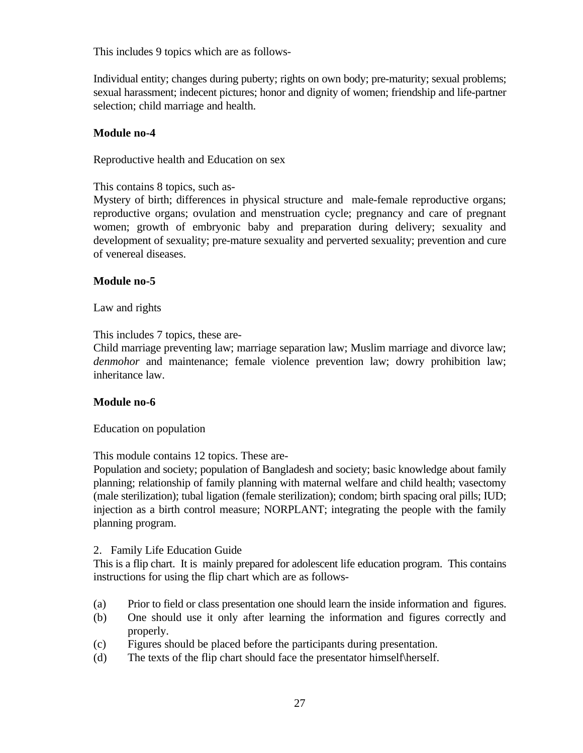This includes 9 topics which are as follows-

Individual entity; changes during puberty; rights on own body; pre-maturity; sexual problems; sexual harassment; indecent pictures; honor and dignity of women; friendship and life-partner selection; child marriage and health.

#### **Module no-4**

Reproductive health and Education on sex

#### This contains 8 topics, such as-

Mystery of birth; differences in physical structure and male-female reproductive organs; reproductive organs; ovulation and menstruation cycle; pregnancy and care of pregnant women; growth of embryonic baby and preparation during delivery; sexuality and development of sexuality; pre-mature sexuality and perverted sexuality; prevention and cure of venereal diseases.

#### **Module no-5**

Law and rights

This includes 7 topics, these are-

Child marriage preventing law; marriage separation law; Muslim marriage and divorce law; *denmohor* and maintenance; female violence prevention law; dowry prohibition law; inheritance law.

## **Module no-6**

Education on population

This module contains 12 topics. These are-

Population and society; population of Bangladesh and society; basic knowledge about family planning; relationship of family planning with maternal welfare and child health; vasectomy (male sterilization); tubal ligation (female sterilization); condom; birth spacing oral pills; IUD; injection as a birth control measure; NORPLANT; integrating the people with the family planning program.

## 2. Family Life Education Guide

This is a flip chart. It is mainly prepared for adolescent life education program. This contains instructions for using the flip chart which are as follows-

- (a) Prior to field or class presentation one should learn the inside information and figures.
- (b) One should use it only after learning the information and figures correctly and properly.
- (c) Figures should be placed before the participants during presentation.
- (d) The texts of the flip chart should face the presentator himself\herself.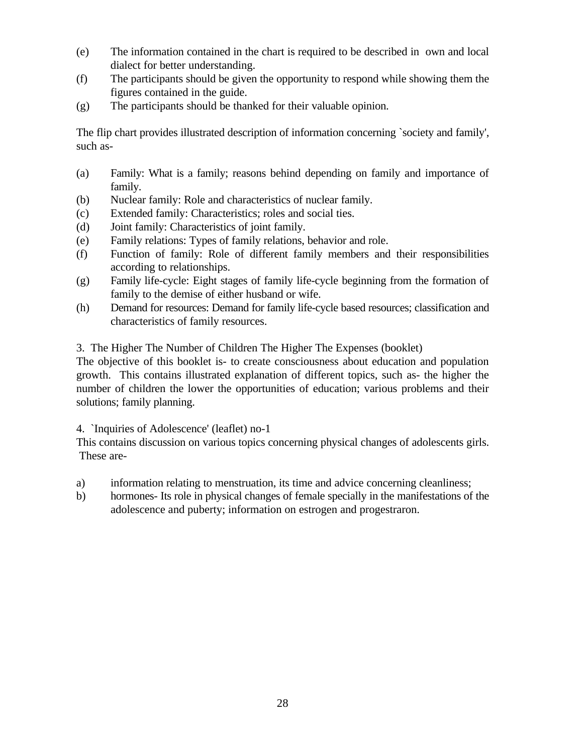- (e) The information contained in the chart is required to be described in own and local dialect for better understanding.
- (f) The participants should be given the opportunity to respond while showing them the figures contained in the guide.
- (g) The participants should be thanked for their valuable opinion.

The flip chart provides illustrated description of information concerning `society and family', such as-

- (a) Family: What is a family; reasons behind depending on family and importance of family.
- (b) Nuclear family: Role and characteristics of nuclear family.
- (c) Extended family: Characteristics; roles and social ties.
- (d) Joint family: Characteristics of joint family.
- (e) Family relations: Types of family relations, behavior and role.
- (f) Function of family: Role of different family members and their responsibilities according to relationships.
- (g) Family life-cycle: Eight stages of family life-cycle beginning from the formation of family to the demise of either husband or wife.
- (h) Demand for resources: Demand for family life-cycle based resources; classification and characteristics of family resources.

3. The Higher The Number of Children The Higher The Expenses (booklet)

The objective of this booklet is- to create consciousness about education and population growth. This contains illustrated explanation of different topics, such as- the higher the number of children the lower the opportunities of education; various problems and their solutions; family planning.

## 4. `Inquiries of Adolescence' (leaflet) no-1

This contains discussion on various topics concerning physical changes of adolescents girls. These are-

- a) information relating to menstruation, its time and advice concerning cleanliness;
- b) hormones- Its role in physical changes of female specially in the manifestations of the adolescence and puberty; information on estrogen and progestraron.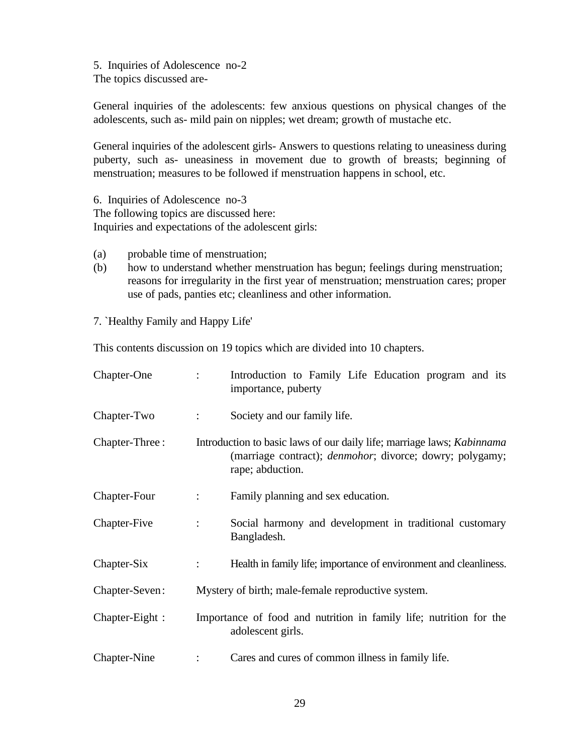5. Inquiries of Adolescence no-2 The topics discussed are-

General inquiries of the adolescents: few anxious questions on physical changes of the adolescents, such as- mild pain on nipples; wet dream; growth of mustache etc.

General inquiries of the adolescent girls- Answers to questions relating to uneasiness during puberty, such as- uneasiness in movement due to growth of breasts; beginning of menstruation; measures to be followed if menstruation happens in school, etc.

6. Inquiries of Adolescence no-3 The following topics are discussed here: Inquiries and expectations of the adolescent girls:

- (a) probable time of menstruation;
- (b) how to understand whether menstruation has begun; feelings during menstruation; reasons for irregularity in the first year of menstruation; menstruation cares; proper use of pads, panties etc; cleanliness and other information.

7. `Healthy Family and Happy Life'

This contents discussion on 19 topics which are divided into 10 chapters.

| Chapter-One       | $\ddot{\cdot}$            | Introduction to Family Life Education program and its<br>importance, puberty                                                                                          |
|-------------------|---------------------------|-----------------------------------------------------------------------------------------------------------------------------------------------------------------------|
| Chapter-Two       | $\mathcal{L}$             | Society and our family life.                                                                                                                                          |
| Chapter-Three:    |                           | Introduction to basic laws of our daily life; marriage laws; <i>Kabinnama</i><br>(marriage contract); <i>denmohor</i> ; divorce; dowry; polygamy;<br>rape; abduction. |
| Chapter-Four      | $\mathbb{R}^{\mathbb{Z}}$ | Family planning and sex education.                                                                                                                                    |
| Chapter-Five      | $\mathbb{R}^{\mathbb{Z}}$ | Social harmony and development in traditional customary<br>Bangladesh.                                                                                                |
| Chapter-Six       | ÷                         | Health in family life; importance of environment and cleanliness.                                                                                                     |
| Chapter-Seven:    |                           | Mystery of birth; male-female reproductive system.                                                                                                                    |
| $Chapter$ -Eight: |                           | Importance of food and nutrition in family life; nutrition for the<br>adolescent girls.                                                                               |
| Chapter-Nine      |                           | Cares and cures of common illness in family life.                                                                                                                     |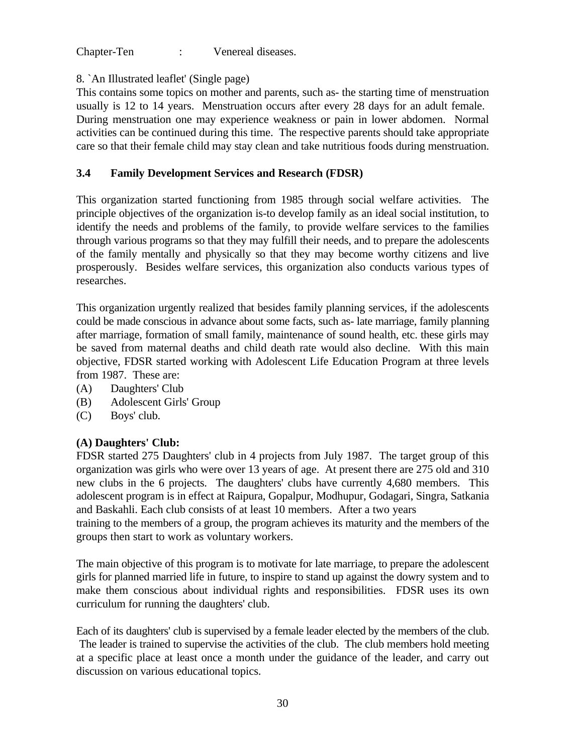Chapter-Ten : Venereal diseases.

# 8. `An Illustrated leaflet' (Single page)

This contains some topics on mother and parents, such as- the starting time of menstruation usually is 12 to 14 years. Menstruation occurs after every 28 days for an adult female. During menstruation one may experience weakness or pain in lower abdomen. Normal activities can be continued during this time. The respective parents should take appropriate care so that their female child may stay clean and take nutritious foods during menstruation.

# **3.4 Family Development Services and Research (FDSR)**

This organization started functioning from 1985 through social welfare activities. The principle objectives of the organization is-to develop family as an ideal social institution, to identify the needs and problems of the family, to provide welfare services to the families through various programs so that they may fulfill their needs, and to prepare the adolescents of the family mentally and physically so that they may become worthy citizens and live prosperously. Besides welfare services, this organization also conducts various types of researches.

This organization urgently realized that besides family planning services, if the adolescents could be made conscious in advance about some facts, such as- late marriage, family planning after marriage, formation of small family, maintenance of sound health, etc. these girls may be saved from maternal deaths and child death rate would also decline. With this main objective, FDSR started working with Adolescent Life Education Program at three levels from 1987. These are:

- (A) Daughters' Club
- (B) Adolescent Girls' Group
- (C) Boys' club.

# **(A) Daughters' Club:**

FDSR started 275 Daughters' club in 4 projects from July 1987. The target group of this organization was girls who were over 13 years of age. At present there are 275 old and 310 new clubs in the 6 projects. The daughters' clubs have currently 4,680 members. This adolescent program is in effect at Raipura, Gopalpur, Modhupur, Godagari, Singra, Satkania and Baskahli. Each club consists of at least 10 members. After a two years

training to the members of a group, the program achieves its maturity and the members of the groups then start to work as voluntary workers.

The main objective of this program is to motivate for late marriage, to prepare the adolescent girls for planned married life in future, to inspire to stand up against the dowry system and to make them conscious about individual rights and responsibilities. FDSR uses its own curriculum for running the daughters' club.

Each of its daughters' club is supervised by a female leader elected by the members of the club. The leader is trained to supervise the activities of the club. The club members hold meeting at a specific place at least once a month under the guidance of the leader, and carry out discussion on various educational topics.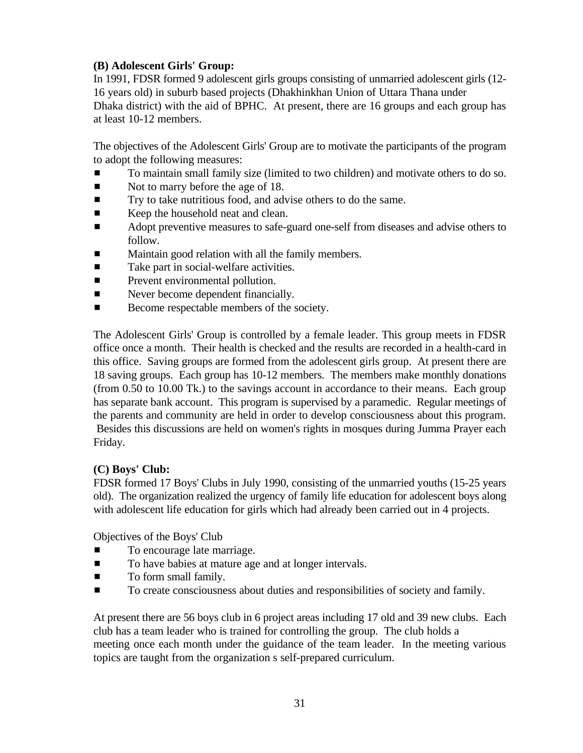## **(B) Adolescent Girls' Group:**

In 1991, FDSR formed 9 adolescent girls groups consisting of unmarried adolescent girls (12- 16 years old) in suburb based projects (Dhakhinkhan Union of Uttara Thana under Dhaka district) with the aid of BPHC. At present, there are 16 groups and each group has at least 10-12 members.

The objectives of the Adolescent Girls' Group are to motivate the participants of the program to adopt the following measures:

- # To maintain small family size (limited to two children) and motivate others to do so.
- Not to marry before the age of 18.
- **Try to take nutritious food, and advise others to do the same.**
- Keep the household neat and clean.
- **EXECUTE:** Adopt preventive measures to safe-guard one-self from diseases and advise others to follow.
- **EXECUTE:** Maintain good relation with all the family members.
- $\blacksquare$  Take part in social-welfare activities.
- **Exercise Prevent environmental pollution.**
- **Example 2** Never become dependent financially.
- Become respectable members of the society.

The Adolescent Girls' Group is controlled by a female leader. This group meets in FDSR office once a month. Their health is checked and the results are recorded in a health-card in this office. Saving groups are formed from the adolescent girls group. At present there are 18 saving groups. Each group has 10-12 members. The members make monthly donations (from 0.50 to 10.00 Tk.) to the savings account in accordance to their means. Each group has separate bank account. This program is supervised by a paramedic. Regular meetings of the parents and community are held in order to develop consciousness about this program. Besides this discussions are held on women's rights in mosques during Jumma Prayer each Friday.

#### **(C) Boys' Club:**

FDSR formed 17 Boys' Clubs in July 1990, consisting of the unmarried youths (15-25 years old). The organization realized the urgency of family life education for adolescent boys along with adolescent life education for girls which had already been carried out in 4 projects.

Objectives of the Boys' Club

- $\blacksquare$  To encourage late marriage.
- **To have babies at mature age and at longer intervals.**
- $\blacksquare$  To form small family.
- To create consciousness about duties and responsibilities of society and family.

At present there are 56 boys club in 6 project areas including 17 old and 39 new clubs. Each club has a team leader who is trained for controlling the group. The club holds a meeting once each month under the guidance of the team leader. In the meeting various topics are taught from the organization s self-prepared curriculum.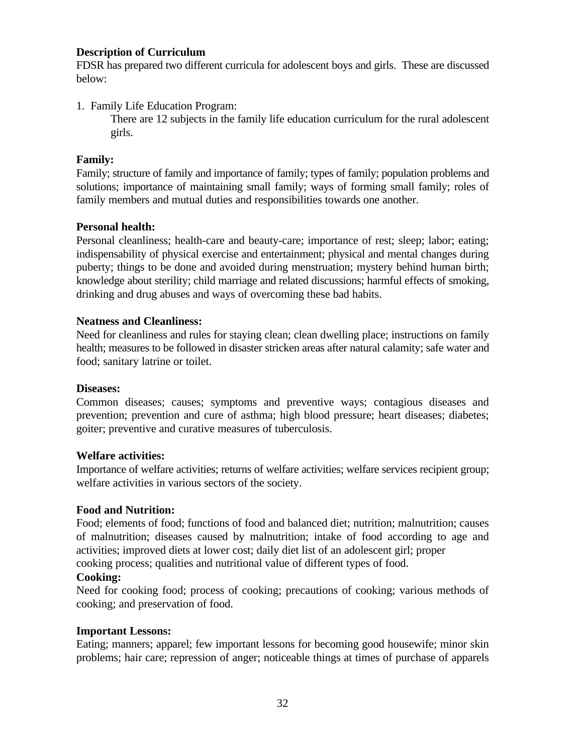#### **Description of Curriculum**

FDSR has prepared two different curricula for adolescent boys and girls. These are discussed below:

1. Family Life Education Program:

There are 12 subjects in the family life education curriculum for the rural adolescent girls.

#### **Family:**

Family; structure of family and importance of family; types of family; population problems and solutions; importance of maintaining small family; ways of forming small family; roles of family members and mutual duties and responsibilities towards one another.

#### **Personal health:**

Personal cleanliness; health-care and beauty-care; importance of rest; sleep; labor; eating; indispensability of physical exercise and entertainment; physical and mental changes during puberty; things to be done and avoided during menstruation; mystery behind human birth; knowledge about sterility; child marriage and related discussions; harmful effects of smoking, drinking and drug abuses and ways of overcoming these bad habits.

#### **Neatness and Cleanliness:**

Need for cleanliness and rules for staying clean; clean dwelling place; instructions on family health; measures to be followed in disaster stricken areas after natural calamity; safe water and food; sanitary latrine or toilet.

#### **Diseases:**

Common diseases; causes; symptoms and preventive ways; contagious diseases and prevention; prevention and cure of asthma; high blood pressure; heart diseases; diabetes; goiter; preventive and curative measures of tuberculosis.

## **Welfare activities:**

Importance of welfare activities; returns of welfare activities; welfare services recipient group; welfare activities in various sectors of the society.

## **Food and Nutrition:**

Food; elements of food; functions of food and balanced diet; nutrition; malnutrition; causes of malnutrition; diseases caused by malnutrition; intake of food according to age and activities; improved diets at lower cost; daily diet list of an adolescent girl; proper cooking process; qualities and nutritional value of different types of food.

#### **Cooking:**

Need for cooking food; process of cooking; precautions of cooking; various methods of cooking; and preservation of food.

#### **Important Lessons:**

Eating; manners; apparel; few important lessons for becoming good housewife; minor skin problems; hair care; repression of anger; noticeable things at times of purchase of apparels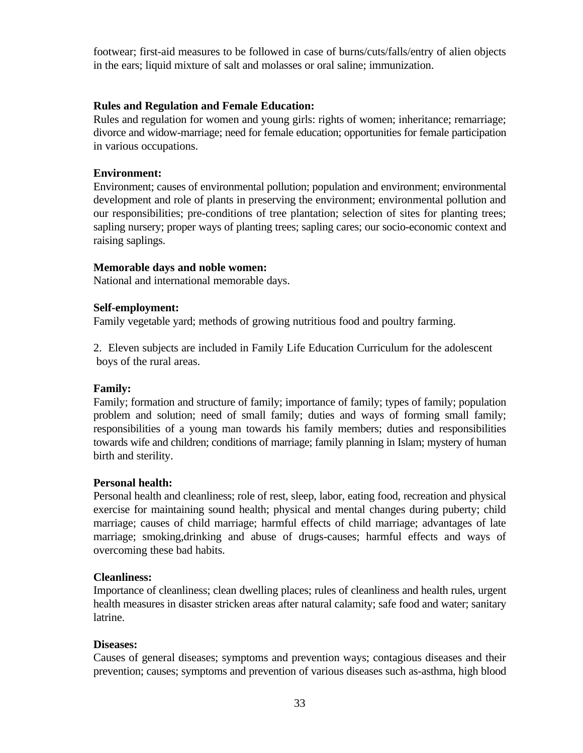footwear; first-aid measures to be followed in case of burns/cuts/falls/entry of alien objects in the ears; liquid mixture of salt and molasses or oral saline; immunization.

### **Rules and Regulation and Female Education:**

Rules and regulation for women and young girls: rights of women; inheritance; remarriage; divorce and widow-marriage; need for female education; opportunities for female participation in various occupations.

### **Environment:**

Environment; causes of environmental pollution; population and environment; environmental development and role of plants in preserving the environment; environmental pollution and our responsibilities; pre-conditions of tree plantation; selection of sites for planting trees; sapling nursery; proper ways of planting trees; sapling cares; our socio-economic context and raising saplings.

#### **Memorable days and noble women:**

National and international memorable days.

#### **Self-employment:**

Family vegetable yard; methods of growing nutritious food and poultry farming.

2. Eleven subjects are included in Family Life Education Curriculum for the adolescent boys of the rural areas.

# **Family:**

Family; formation and structure of family; importance of family; types of family; population problem and solution; need of small family; duties and ways of forming small family; responsibilities of a young man towards his family members; duties and responsibilities towards wife and children; conditions of marriage; family planning in Islam; mystery of human birth and sterility.

# **Personal health:**

Personal health and cleanliness; role of rest, sleep, labor, eating food, recreation and physical exercise for maintaining sound health; physical and mental changes during puberty; child marriage; causes of child marriage; harmful effects of child marriage; advantages of late marriage; smoking,drinking and abuse of drugs-causes; harmful effects and ways of overcoming these bad habits.

# **Cleanliness:**

Importance of cleanliness; clean dwelling places; rules of cleanliness and health rules, urgent health measures in disaster stricken areas after natural calamity; safe food and water; sanitary latrine.

#### **Diseases:**

Causes of general diseases; symptoms and prevention ways; contagious diseases and their prevention; causes; symptoms and prevention of various diseases such as-asthma, high blood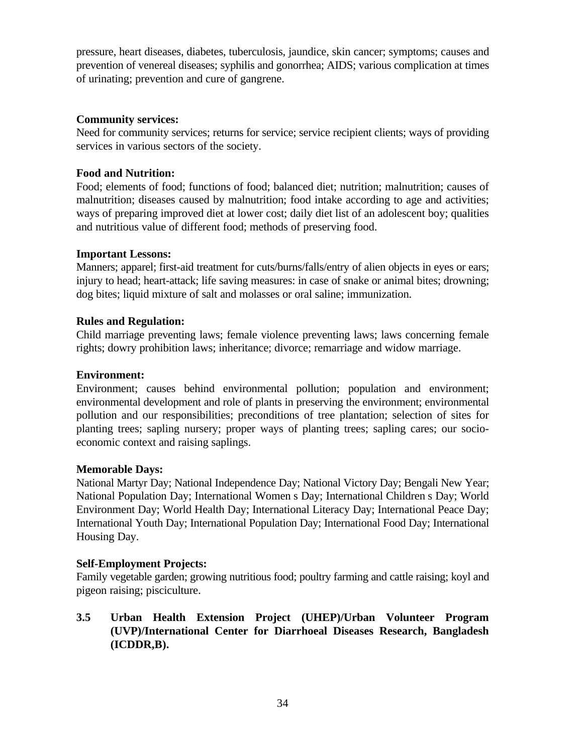pressure, heart diseases, diabetes, tuberculosis, jaundice, skin cancer; symptoms; causes and prevention of venereal diseases; syphilis and gonorrhea; AIDS; various complication at times of urinating; prevention and cure of gangrene.

#### **Community services:**

Need for community services; returns for service; service recipient clients; ways of providing services in various sectors of the society.

# **Food and Nutrition:**

Food; elements of food; functions of food; balanced diet; nutrition; malnutrition; causes of malnutrition; diseases caused by malnutrition; food intake according to age and activities; ways of preparing improved diet at lower cost; daily diet list of an adolescent boy; qualities and nutritious value of different food; methods of preserving food.

# **Important Lessons:**

Manners; apparel; first-aid treatment for cuts/burns/falls/entry of alien objects in eyes or ears; injury to head; heart-attack; life saving measures: in case of snake or animal bites; drowning; dog bites; liquid mixture of salt and molasses or oral saline; immunization.

# **Rules and Regulation:**

Child marriage preventing laws; female violence preventing laws; laws concerning female rights; dowry prohibition laws; inheritance; divorce; remarriage and widow marriage.

### **Environment:**

Environment; causes behind environmental pollution; population and environment; environmental development and role of plants in preserving the environment; environmental pollution and our responsibilities; preconditions of tree plantation; selection of sites for planting trees; sapling nursery; proper ways of planting trees; sapling cares; our socioeconomic context and raising saplings.

#### **Memorable Days:**

National Martyr Day; National Independence Day; National Victory Day; Bengali New Year; National Population Day; International Women s Day; International Children s Day; World Environment Day; World Health Day; International Literacy Day; International Peace Day; International Youth Day; International Population Day; International Food Day; International Housing Day.

#### **Self-Employment Projects:**

Family vegetable garden; growing nutritious food; poultry farming and cattle raising; koyl and pigeon raising; pisciculture.

**3.5 Urban Health Extension Project (UHEP)/Urban Volunteer Program (UVP)/International Center for Diarrhoeal Diseases Research, Bangladesh (ICDDR,B).**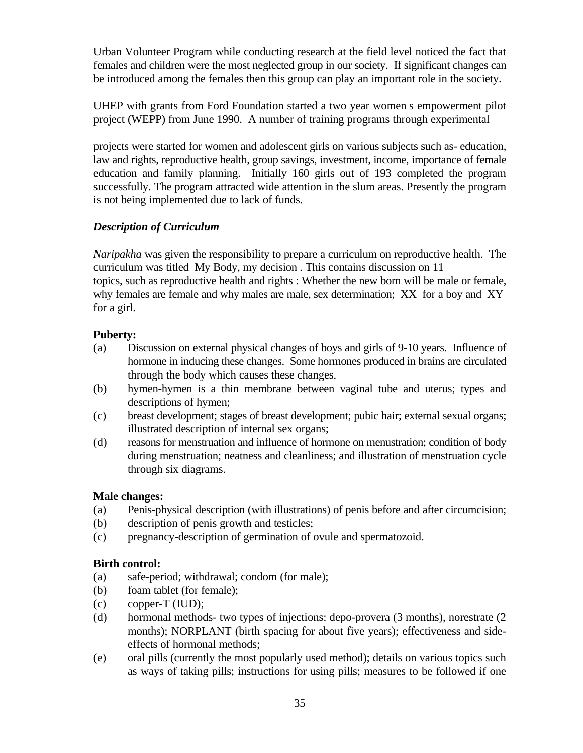Urban Volunteer Program while conducting research at the field level noticed the fact that females and children were the most neglected group in our society. If significant changes can be introduced among the females then this group can play an important role in the society.

UHEP with grants from Ford Foundation started a two year women s empowerment pilot project (WEPP) from June 1990. A number of training programs through experimental

projects were started for women and adolescent girls on various subjects such as- education, law and rights, reproductive health, group savings, investment, income, importance of female education and family planning. Initially 160 girls out of 193 completed the program successfully. The program attracted wide attention in the slum areas. Presently the program is not being implemented due to lack of funds.

# *Description of Curriculum*

*Naripakha* was given the responsibility to prepare a curriculum on reproductive health. The curriculum was titled My Body, my decision . This contains discussion on 11 topics, such as reproductive health and rights : Whether the new born will be male or female, why females are female and why males are male, sex determination; XX for a boy and XY for a girl.

# **Puberty:**

- (a) Discussion on external physical changes of boys and girls of 9-10 years. Influence of hormone in inducing these changes. Some hormones produced in brains are circulated through the body which causes these changes.
- (b) hymen-hymen is a thin membrane between vaginal tube and uterus; types and descriptions of hymen;
- (c) breast development; stages of breast development; pubic hair; external sexual organs; illustrated description of internal sex organs;
- (d) reasons for menstruation and influence of hormone on menustration; condition of body during menstruation; neatness and cleanliness; and illustration of menstruation cycle through six diagrams.

# **Male changes:**

- (a) Penis-physical description (with illustrations) of penis before and after circumcision;
- (b) description of penis growth and testicles;
- (c) pregnancy-description of germination of ovule and spermatozoid.

# **Birth control:**

- (a) safe-period; withdrawal; condom (for male);
- (b) foam tablet (for female);
- $\text{c}$  copper-T (IUD);
- (d) hormonal methods- two types of injections: depo-provera (3 months), norestrate (2 months); NORPLANT (birth spacing for about five years); effectiveness and sideeffects of hormonal methods;
- (e) oral pills (currently the most popularly used method); details on various topics such as ways of taking pills; instructions for using pills; measures to be followed if one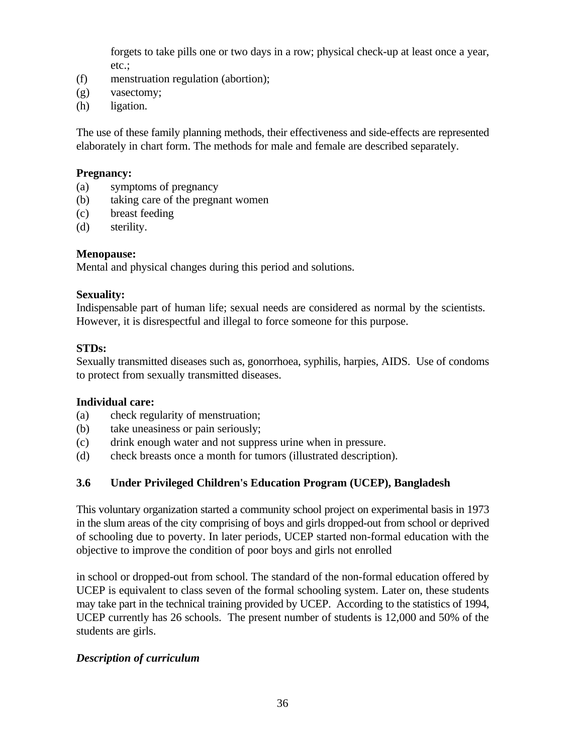forgets to take pills one or two days in a row; physical check-up at least once a year, etc.;

- (f) menstruation regulation (abortion);
- (g) vasectomy;
- (h) ligation.

The use of these family planning methods, their effectiveness and side-effects are represented elaborately in chart form. The methods for male and female are described separately.

#### **Pregnancy:**

- (a) symptoms of pregnancy
- (b) taking care of the pregnant women
- (c) breast feeding
- (d) sterility.

#### **Menopause:**

Mental and physical changes during this period and solutions.

#### **Sexuality:**

Indispensable part of human life; sexual needs are considered as normal by the scientists. However, it is disrespectful and illegal to force someone for this purpose.

#### **STDs:**

Sexually transmitted diseases such as, gonorrhoea, syphilis, harpies, AIDS. Use of condoms to protect from sexually transmitted diseases.

#### **Individual care:**

- (a) check regularity of menstruation;
- (b) take uneasiness or pain seriously;
- (c) drink enough water and not suppress urine when in pressure.
- (d) check breasts once a month for tumors (illustrated description).

# **3.6 Under Privileged Children's Education Program (UCEP), Bangladesh**

This voluntary organization started a community school project on experimental basis in 1973 in the slum areas of the city comprising of boys and girls dropped-out from school or deprived of schooling due to poverty. In later periods, UCEP started non-formal education with the objective to improve the condition of poor boys and girls not enrolled

in school or dropped-out from school. The standard of the non-formal education offered by UCEP is equivalent to class seven of the formal schooling system. Later on, these students may take part in the technical training provided by UCEP. According to the statistics of 1994, UCEP currently has 26 schools. The present number of students is 12,000 and 50% of the students are girls.

# *Description of curriculum*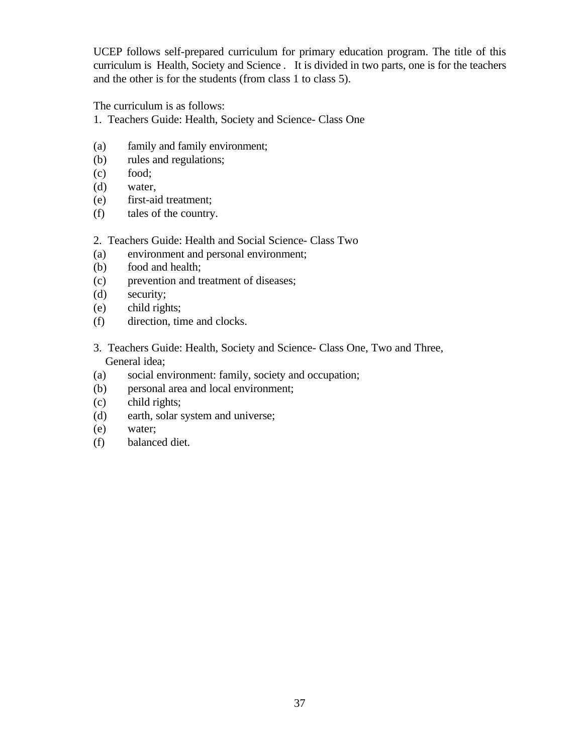UCEP follows self-prepared curriculum for primary education program. The title of this curriculum is Health, Society and Science . It is divided in two parts, one is for the teachers and the other is for the students (from class 1 to class 5).

The curriculum is as follows:

- 1. Teachers Guide: Health, Society and Science- Class One
- (a) family and family environment;
- (b) rules and regulations;
- (c) food;
- (d) water,
- (e) first-aid treatment;
- (f) tales of the country.

#### 2. Teachers Guide: Health and Social Science- Class Two

- (a) environment and personal environment;
- (b) food and health;
- (c) prevention and treatment of diseases;
- (d) security;
- (e) child rights;
- (f) direction, time and clocks.
- 3. Teachers Guide: Health, Society and Science- Class One, Two and Three, General idea;
- (a) social environment: family, society and occupation;
- (b) personal area and local environment;
- (c) child rights;
- (d) earth, solar system and universe;
- (e) water;
- (f) balanced diet.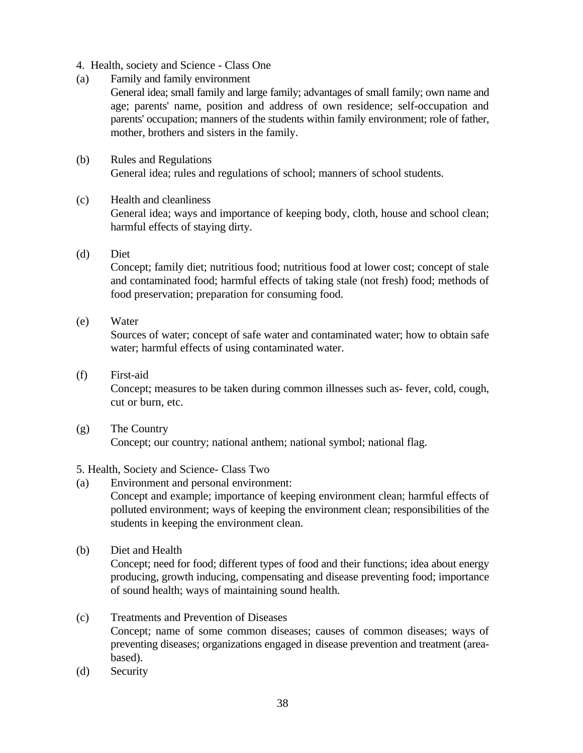- 4. Health, society and Science Class One
- (a) Family and family environment
	- General idea; small family and large family; advantages of small family; own name and age; parents' name, position and address of own residence; self-occupation and parents' occupation; manners of the students within family environment; role of father, mother, brothers and sisters in the family.
- (b) Rules and Regulations General idea; rules and regulations of school; manners of school students.
- (c) Health and cleanliness General idea; ways and importance of keeping body, cloth, house and school clean; harmful effects of staying dirty.
- (d) Diet

Concept; family diet; nutritious food; nutritious food at lower cost; concept of stale and contaminated food; harmful effects of taking stale (not fresh) food; methods of food preservation; preparation for consuming food.

(e) Water

Sources of water; concept of safe water and contaminated water; how to obtain safe water; harmful effects of using contaminated water.

(f) First-aid

Concept; measures to be taken during common illnesses such as- fever, cold, cough, cut or burn, etc.

(g) The Country Concept; our country; national anthem; national symbol; national flag.

# 5. Health, Society and Science- Class Two

- (a) Environment and personal environment: Concept and example; importance of keeping environment clean; harmful effects of polluted environment; ways of keeping the environment clean; responsibilities of the students in keeping the environment clean.
- (b) Diet and Health

Concept; need for food; different types of food and their functions; idea about energy producing, growth inducing, compensating and disease preventing food; importance of sound health; ways of maintaining sound health.

- (c) Treatments and Prevention of Diseases Concept; name of some common diseases; causes of common diseases; ways of preventing diseases; organizations engaged in disease prevention and treatment (areabased).
- (d) Security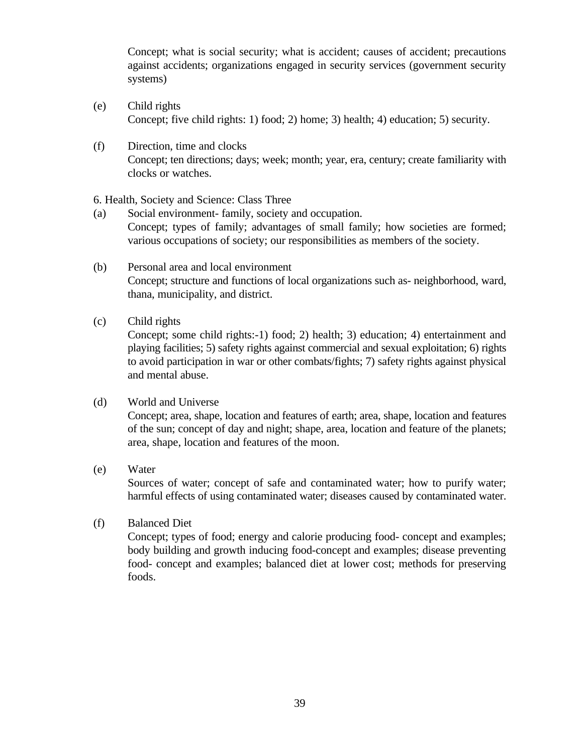Concept; what is social security; what is accident; causes of accident; precautions against accidents; organizations engaged in security services (government security systems)

- (e) Child rights Concept; five child rights: 1) food; 2) home; 3) health; 4) education; 5) security.
- (f) Direction, time and clocks Concept; ten directions; days; week; month; year, era, century; create familiarity with clocks or watches.

6. Health, Society and Science: Class Three

- (a) Social environment- family, society and occupation. Concept; types of family; advantages of small family; how societies are formed; various occupations of society; our responsibilities as members of the society.
- (b) Personal area and local environment Concept; structure and functions of local organizations such as- neighborhood, ward, thana, municipality, and district.
- (c) Child rights

Concept; some child rights:-1) food; 2) health; 3) education; 4) entertainment and playing facilities; 5) safety rights against commercial and sexual exploitation; 6) rights to avoid participation in war or other combats/fights; 7) safety rights against physical and mental abuse.

# (d) World and Universe

Concept; area, shape, location and features of earth; area, shape, location and features of the sun; concept of day and night; shape, area, location and feature of the planets; area, shape, location and features of the moon.

(e) Water

Sources of water; concept of safe and contaminated water; how to purify water; harmful effects of using contaminated water; diseases caused by contaminated water.

(f) Balanced Diet

Concept; types of food; energy and calorie producing food- concept and examples; body building and growth inducing food-concept and examples; disease preventing food- concept and examples; balanced diet at lower cost; methods for preserving foods.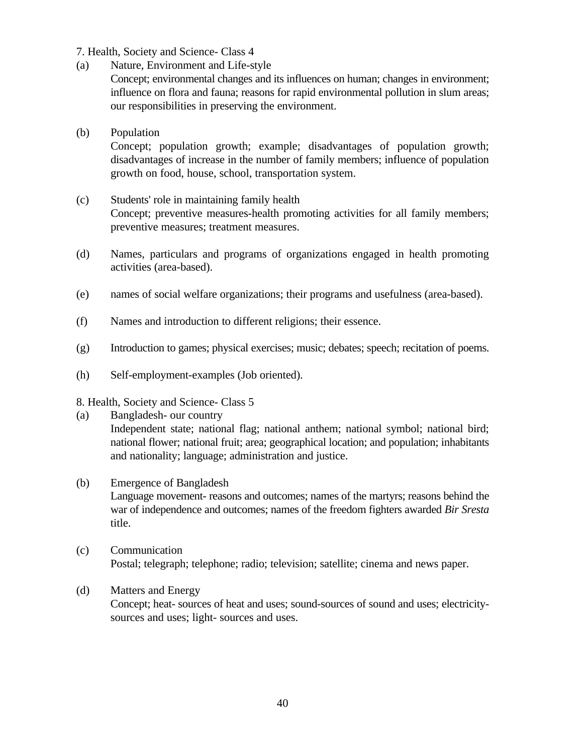### 7. Health, Society and Science- Class 4

(a) Nature, Environment and Life-style

Concept; environmental changes and its influences on human; changes in environment; influence on flora and fauna; reasons for rapid environmental pollution in slum areas; our responsibilities in preserving the environment.

#### (b) Population

Concept; population growth; example; disadvantages of population growth; disadvantages of increase in the number of family members; influence of population growth on food, house, school, transportation system.

# (c) Students' role in maintaining family health Concept; preventive measures-health promoting activities for all family members; preventive measures; treatment measures.

- (d) Names, particulars and programs of organizations engaged in health promoting activities (area-based).
- (e) names of social welfare organizations; their programs and usefulness (area-based).
- (f) Names and introduction to different religions; their essence.
- (g) Introduction to games; physical exercises; music; debates; speech; recitation of poems.
- (h) Self-employment-examples (Job oriented).

#### 8. Health, Society and Science- Class 5

- (a) Bangladesh- our country Independent state; national flag; national anthem; national symbol; national bird; national flower; national fruit; area; geographical location; and population; inhabitants and nationality; language; administration and justice.
- (b) Emergence of Bangladesh Language movement- reasons and outcomes; names of the martyrs; reasons behind the war of independence and outcomes; names of the freedom fighters awarded *Bir Sresta* title.
- (c) Communication Postal; telegraph; telephone; radio; television; satellite; cinema and news paper.
- (d) Matters and Energy Concept; heat- sources of heat and uses; sound-sources of sound and uses; electricitysources and uses; light- sources and uses.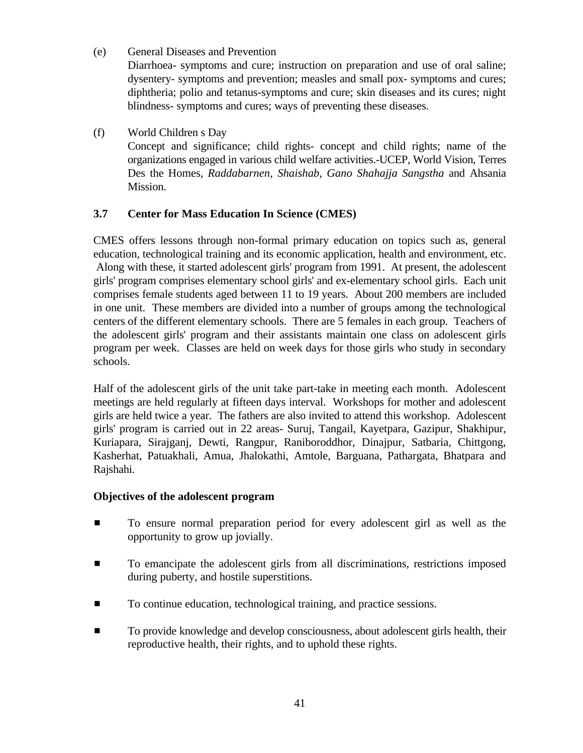(e) General Diseases and Prevention

Diarrhoea- symptoms and cure; instruction on preparation and use of oral saline; dysentery- symptoms and prevention; measles and small pox- symptoms and cures; diphtheria; polio and tetanus-symptoms and cure; skin diseases and its cures; night blindness- symptoms and cures; ways of preventing these diseases.

(f) World Children s Day Concept and significance; child rights- concept and child rights; name of the organizations engaged in various child welfare activities.-UCEP, World Vision, Terres Des the Homes, *Raddabarnen*, *Shaishab*, *Gano Shahajja Sangstha* and Ahsania Mission.

# **3.7 Center for Mass Education In Science (CMES)**

CMES offers lessons through non-formal primary education on topics such as, general education, technological training and its economic application, health and environment, etc. Along with these, it started adolescent girls' program from 1991. At present, the adolescent girls' program comprises elementary school girls' and ex-elementary school girls. Each unit comprises female students aged between 11 to 19 years. About 200 members are included in one unit. These members are divided into a number of groups among the technological centers of the different elementary schools. There are 5 females in each group. Teachers of the adolescent girls' program and their assistants maintain one class on adolescent girls program per week. Classes are held on week days for those girls who study in secondary schools.

Half of the adolescent girls of the unit take part-take in meeting each month. Adolescent meetings are held regularly at fifteen days interval. Workshops for mother and adolescent girls are held twice a year. The fathers are also invited to attend this workshop. Adolescent girls' program is carried out in 22 areas- Suruj, Tangail, Kayetpara, Gazipur, Shakhipur, Kuriapara, Sirajganj, Dewti, Rangpur, Raniboroddhor, Dinajpur, Satbaria, Chittgong, Kasherhat, Patuakhali, Amua, Jhalokathi, Amtole, Barguana, Pathargata, Bhatpara and Rajshahi.

# **Objectives of the adolescent program**

- $\blacksquare$  To ensure normal preparation period for every adolescent girl as well as the opportunity to grow up jovially.
- **To emancipate the adolescent girls from all discriminations, restrictions imposed** during puberty, and hostile superstitions.
- To continue education, technological training, and practice sessions.
- **EXECUTE:** To provide knowledge and develop consciousness, about adolescent girls health, their reproductive health, their rights, and to uphold these rights.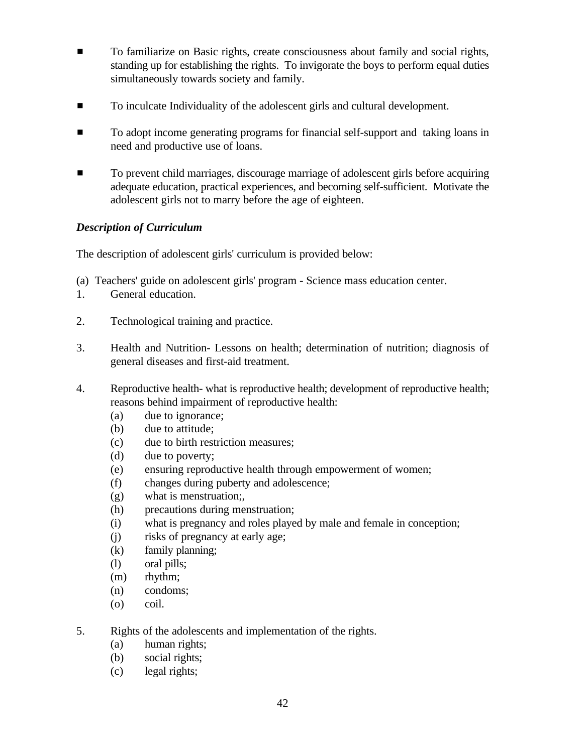- **EXECUTE:** To familiarize on Basic rights, create consciousness about family and social rights, standing up for establishing the rights. To invigorate the boys to perform equal duties simultaneously towards society and family.
- $\blacksquare$  To inculcate Individuality of the adolescent girls and cultural development.
- $\blacksquare$  To adopt income generating programs for financial self-support and taking loans in need and productive use of loans.
- **Example 3** To prevent child marriages, discourage marriage of adolescent girls before acquiring adequate education, practical experiences, and becoming self-sufficient. Motivate the adolescent girls not to marry before the age of eighteen.

# *Description of Curriculum*

The description of adolescent girls' curriculum is provided below:

- (a) Teachers' guide on adolescent girls' program Science mass education center.
- 1. General education.
- 2. Technological training and practice.
- 3. Health and Nutrition- Lessons on health; determination of nutrition; diagnosis of general diseases and first-aid treatment.
- 4. Reproductive health- what is reproductive health; development of reproductive health; reasons behind impairment of reproductive health:
	- (a) due to ignorance;
	- (b) due to attitude;
	- (c) due to birth restriction measures;
	- (d) due to poverty;
	- (e) ensuring reproductive health through empowerment of women;
	- (f) changes during puberty and adolescence;
	- (g) what is menstruation;,
	- (h) precautions during menstruation;
	- (i) what is pregnancy and roles played by male and female in conception;
	- (j) risks of pregnancy at early age;
	- (k) family planning;
	- (l) oral pills;
	- (m) rhythm;
	- (n) condoms;
	- (o) coil.
- 5. Rights of the adolescents and implementation of the rights.
	- (a) human rights;
	- (b) social rights;
	- (c) legal rights;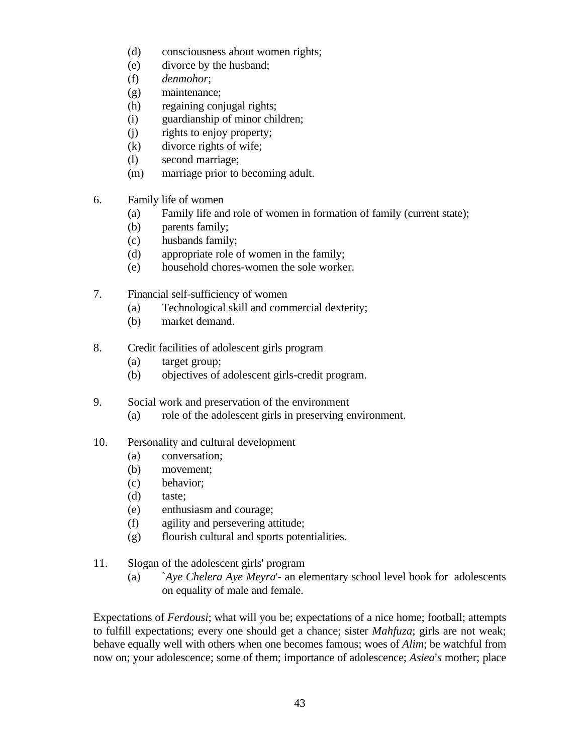- (d) consciousness about women rights;
- (e) divorce by the husband;
- (f) *denmohor*;
- (g) maintenance;
- (h) regaining conjugal rights;
- (i) guardianship of minor children;
- (j) rights to enjoy property;
- (k) divorce rights of wife;
- (l) second marriage;
- (m) marriage prior to becoming adult.
- 6. Family life of women
	- (a) Family life and role of women in formation of family (current state);
	- (b) parents family;
	- (c) husbands family;
	- (d) appropriate role of women in the family;
	- (e) household chores-women the sole worker.
- 7. Financial self-sufficiency of women
	- (a) Technological skill and commercial dexterity;
	- (b) market demand.
- 8. Credit facilities of adolescent girls program
	- (a) target group;
	- (b) objectives of adolescent girls-credit program.
- 9. Social work and preservation of the environment
	- (a) role of the adolescent girls in preserving environment.

#### 10. Personality and cultural development

- (a) conversation;
- (b) movement;
- (c) behavior;
- (d) taste;
- (e) enthusiasm and courage;
- (f) agility and persevering attitude;
- (g) flourish cultural and sports potentialities.
- 11. Slogan of the adolescent girls' program
	- (a) `*Aye Chelera Aye Meyra*'- an elementary school level book for adolescents on equality of male and female.

Expectations of *Ferdousi*; what will you be; expectations of a nice home; football; attempts to fulfill expectations; every one should get a chance; sister *Mahfuza*; girls are not weak; behave equally well with others when one becomes famous; woes of *Alim*; be watchful from now on; your adolescence; some of them; importance of adolescence; *Asiea*'s mother; place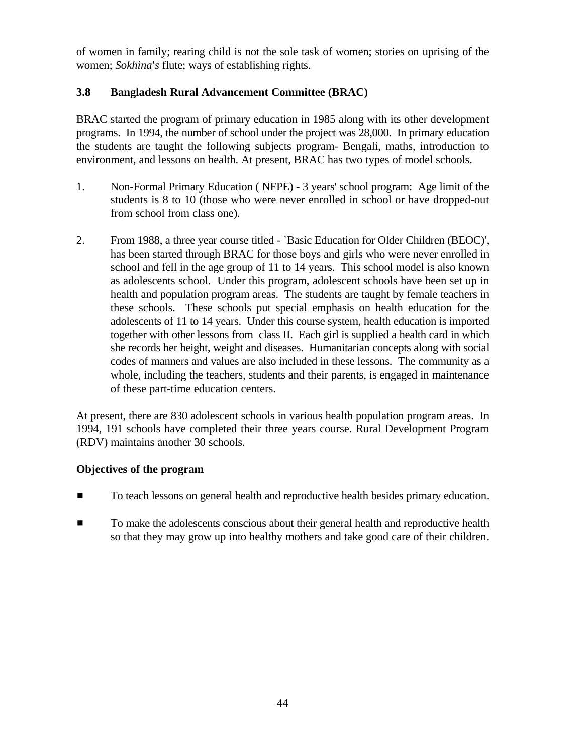of women in family; rearing child is not the sole task of women; stories on uprising of the women; *Sokhina*'s flute; ways of establishing rights.

# **3.8 Bangladesh Rural Advancement Committee (BRAC)**

BRAC started the program of primary education in 1985 along with its other development programs. In 1994, the number of school under the project was 28,000. In primary education the students are taught the following subjects program- Bengali, maths, introduction to environment, and lessons on health. At present, BRAC has two types of model schools.

- 1. Non-Formal Primary Education ( NFPE) 3 years' school program: Age limit of the students is 8 to 10 (those who were never enrolled in school or have dropped-out from school from class one).
- 2. From 1988, a three year course titled `Basic Education for Older Children (BEOC)', has been started through BRAC for those boys and girls who were never enrolled in school and fell in the age group of 11 to 14 years. This school model is also known as adolescents school. Under this program, adolescent schools have been set up in health and population program areas. The students are taught by female teachers in these schools. These schools put special emphasis on health education for the adolescents of 11 to 14 years. Under this course system, health education is imported together with other lessons from class II. Each girl is supplied a health card in which she records her height, weight and diseases. Humanitarian concepts along with social codes of manners and values are also included in these lessons. The community as a whole, including the teachers, students and their parents, is engaged in maintenance of these part-time education centers.

At present, there are 830 adolescent schools in various health population program areas. In 1994, 191 schools have completed their three years course. Rural Development Program (RDV) maintains another 30 schools.

# **Objectives of the program**

- To teach lessons on general health and reproductive health besides primary education.
- $\blacksquare$  To make the adolescents conscious about their general health and reproductive health so that they may grow up into healthy mothers and take good care of their children.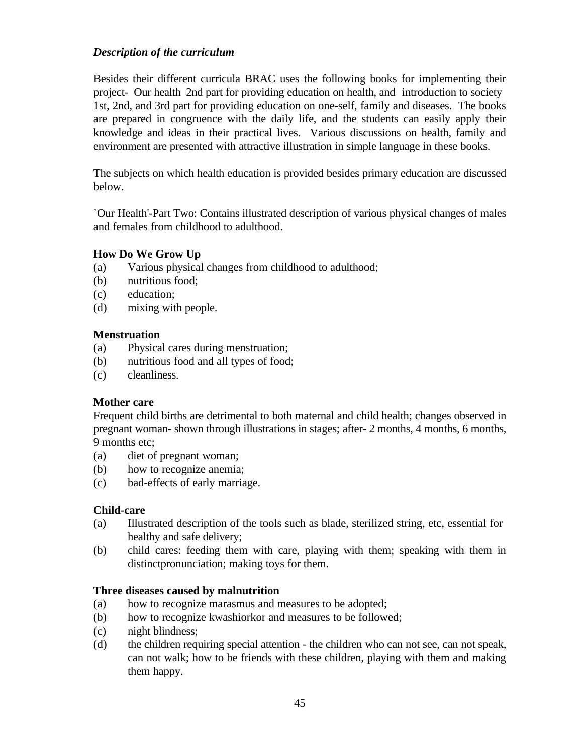# *Description of the curriculum*

Besides their different curricula BRAC uses the following books for implementing their project- Our health 2nd part for providing education on health, and introduction to society 1st, 2nd, and 3rd part for providing education on one-self, family and diseases. The books are prepared in congruence with the daily life, and the students can easily apply their knowledge and ideas in their practical lives. Various discussions on health, family and environment are presented with attractive illustration in simple language in these books.

The subjects on which health education is provided besides primary education are discussed below.

`Our Health'-Part Two: Contains illustrated description of various physical changes of males and females from childhood to adulthood.

#### **How Do We Grow Up**

- (a) Various physical changes from childhood to adulthood;
- (b) nutritious food;
- (c) education;
- (d) mixing with people.

#### **Menstruation**

- (a) Physical cares during menstruation;
- (b) nutritious food and all types of food;
- (c) cleanliness.

#### **Mother care**

Frequent child births are detrimental to both maternal and child health; changes observed in pregnant woman- shown through illustrations in stages; after- 2 months, 4 months, 6 months, 9 months etc;

- (a) diet of pregnant woman;
- (b) how to recognize anemia;
- (c) bad-effects of early marriage.

#### **Child-care**

- (a) Illustrated description of the tools such as blade, sterilized string, etc, essential for healthy and safe delivery;
- (b) child cares: feeding them with care, playing with them; speaking with them in distinctpronunciation; making toys for them.

#### **Three diseases caused by malnutrition**

- (a) how to recognize marasmus and measures to be adopted;
- (b) how to recognize kwashiorkor and measures to be followed;
- (c) night blindness;
- (d) the children requiring special attention the children who can not see, can not speak, can not walk; how to be friends with these children, playing with them and making them happy.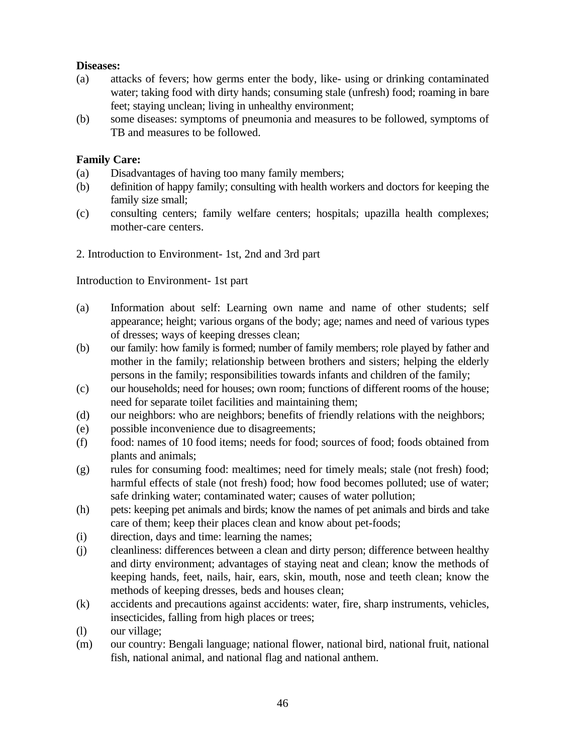### **Diseases:**

- (a) attacks of fevers; how germs enter the body, like- using or drinking contaminated water; taking food with dirty hands; consuming stale (unfresh) food; roaming in bare feet; staying unclean; living in unhealthy environment;
- (b) some diseases: symptoms of pneumonia and measures to be followed, symptoms of TB and measures to be followed.

# **Family Care:**

- (a) Disadvantages of having too many family members;
- (b) definition of happy family; consulting with health workers and doctors for keeping the family size small;
- (c) consulting centers; family welfare centers; hospitals; upazilla health complexes; mother-care centers.

# 2. Introduction to Environment- 1st, 2nd and 3rd part

# Introduction to Environment- 1st part

- (a) Information about self: Learning own name and name of other students; self appearance; height; various organs of the body; age; names and need of various types of dresses; ways of keeping dresses clean;
- (b) our family: how family is formed; number of family members; role played by father and mother in the family; relationship between brothers and sisters; helping the elderly persons in the family; responsibilities towards infants and children of the family;
- (c) our households; need for houses; own room; functions of different rooms of the house; need for separate toilet facilities and maintaining them;
- (d) our neighbors: who are neighbors; benefits of friendly relations with the neighbors;
- (e) possible inconvenience due to disagreements;
- (f) food: names of 10 food items; needs for food; sources of food; foods obtained from plants and animals;
- (g) rules for consuming food: mealtimes; need for timely meals; stale (not fresh) food; harmful effects of stale (not fresh) food; how food becomes polluted; use of water; safe drinking water; contaminated water; causes of water pollution;
- (h) pets: keeping pet animals and birds; know the names of pet animals and birds and take care of them; keep their places clean and know about pet-foods;
- (i) direction, days and time: learning the names;
- (j) cleanliness: differences between a clean and dirty person; difference between healthy and dirty environment; advantages of staying neat and clean; know the methods of keeping hands, feet, nails, hair, ears, skin, mouth, nose and teeth clean; know the methods of keeping dresses, beds and houses clean;
- (k) accidents and precautions against accidents: water, fire, sharp instruments, vehicles, insecticides, falling from high places or trees;
- (l) our village;
- (m) our country: Bengali language; national flower, national bird, national fruit, national fish, national animal, and national flag and national anthem.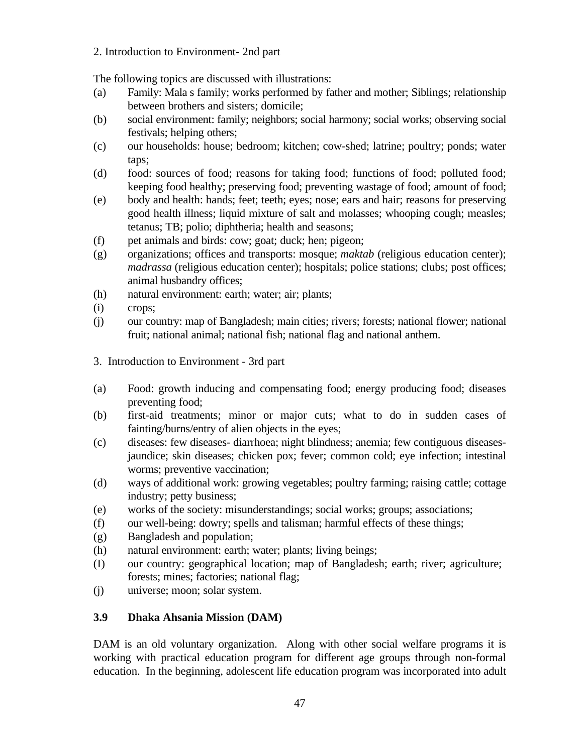2. Introduction to Environment- 2nd part

The following topics are discussed with illustrations:

- (a) Family: Mala s family; works performed by father and mother; Siblings; relationship between brothers and sisters; domicile;
- (b) social environment: family; neighbors; social harmony; social works; observing social festivals; helping others;
- (c) our households: house; bedroom; kitchen; cow-shed; latrine; poultry; ponds; water taps;
- (d) food: sources of food; reasons for taking food; functions of food; polluted food; keeping food healthy; preserving food; preventing wastage of food; amount of food;
- (e) body and health: hands; feet; teeth; eyes; nose; ears and hair; reasons for preserving good health illness; liquid mixture of salt and molasses; whooping cough; measles; tetanus; TB; polio; diphtheria; health and seasons;
- (f) pet animals and birds: cow; goat; duck; hen; pigeon;
- (g) organizations; offices and transports: mosque; *maktab* (religious education center); *madrassa* (religious education center); hospitals; police stations; clubs; post offices; animal husbandry offices;
- (h) natural environment: earth; water; air; plants;
- (i) crops;
- (j) our country: map of Bangladesh; main cities; rivers; forests; national flower; national fruit; national animal; national fish; national flag and national anthem.
- 3. Introduction to Environment 3rd part
- (a) Food: growth inducing and compensating food; energy producing food; diseases preventing food;
- (b) first-aid treatments; minor or major cuts; what to do in sudden cases of fainting/burns/entry of alien objects in the eyes;
- (c) diseases: few diseases- diarrhoea; night blindness; anemia; few contiguous diseasesjaundice; skin diseases; chicken pox; fever; common cold; eye infection; intestinal worms; preventive vaccination;
- (d) ways of additional work: growing vegetables; poultry farming; raising cattle; cottage industry; petty business;
- (e) works of the society: misunderstandings; social works; groups; associations;
- (f) our well-being: dowry; spells and talisman; harmful effects of these things;
- (g) Bangladesh and population;
- (h) natural environment: earth; water; plants; living beings;
- (I) our country: geographical location; map of Bangladesh; earth; river; agriculture; forests; mines; factories; national flag;
- (j) universe; moon; solar system.

# **3.9 Dhaka Ahsania Mission (DAM)**

DAM is an old voluntary organization. Along with other social welfare programs it is working with practical education program for different age groups through non-formal education. In the beginning, adolescent life education program was incorporated into adult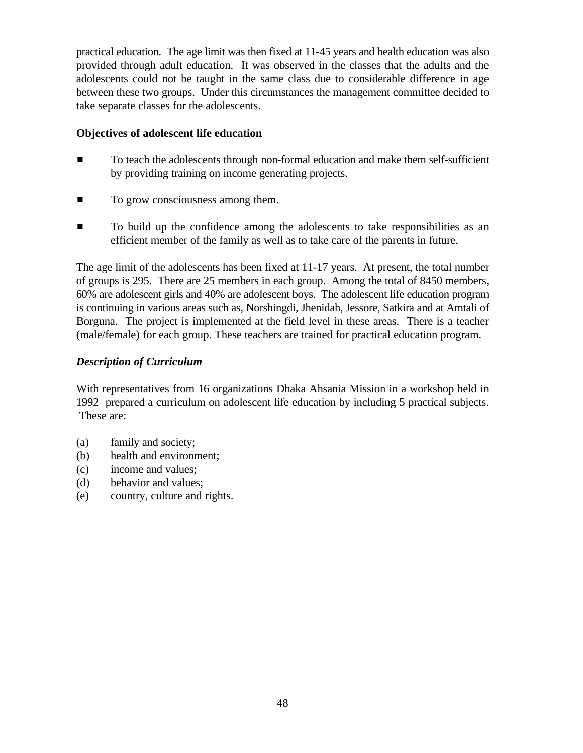practical education. The age limit was then fixed at 11-45 years and health education was also provided through adult education. It was observed in the classes that the adults and the adolescents could not be taught in the same class due to considerable difference in age between these two groups. Under this circumstances the management committee decided to take separate classes for the adolescents.

#### **Objectives of adolescent life education**

- $\blacksquare$  To teach the adolescents through non-formal education and make them self-sufficient by providing training on income generating projects.
- $\blacksquare$  To grow consciousness among them.
- $\blacksquare$  To build up the confidence among the adolescents to take responsibilities as an efficient member of the family as well as to take care of the parents in future.

The age limit of the adolescents has been fixed at 11-17 years. At present, the total number of groups is 295. There are 25 members in each group. Among the total of 8450 members, 60% are adolescent girls and 40% are adolescent boys. The adolescent life education program is continuing in various areas such as, Norshingdi, Jhenidah, Jessore, Satkira and at Amtali of Borguna. The project is implemented at the field level in these areas. There is a teacher (male/female) for each group. These teachers are trained for practical education program.

# *Description of Curriculum*

With representatives from 16 organizations Dhaka Ahsania Mission in a workshop held in 1992 prepared a curriculum on adolescent life education by including 5 practical subjects. These are:

- (a) family and society;
- (b) health and environment;
- (c) income and values;
- (d) behavior and values;
- (e) country, culture and rights.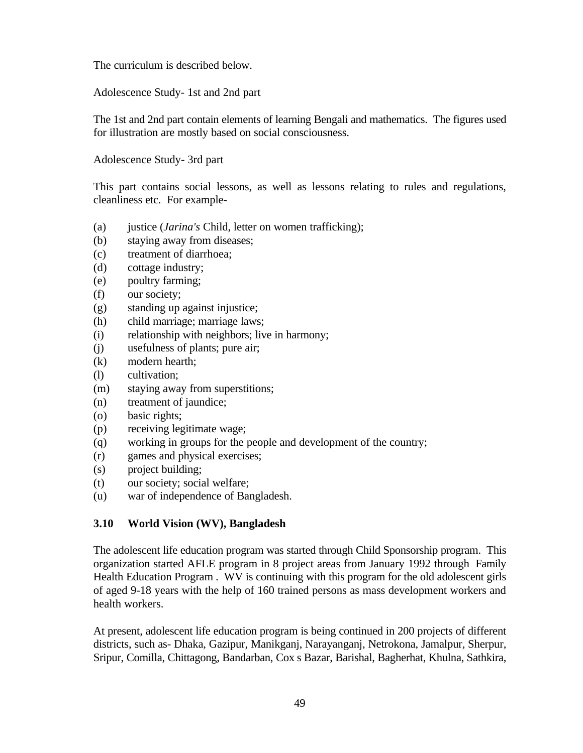The curriculum is described below.

Adolescence Study- 1st and 2nd part

The 1st and 2nd part contain elements of learning Bengali and mathematics. The figures used for illustration are mostly based on social consciousness.

Adolescence Study- 3rd part

This part contains social lessons, as well as lessons relating to rules and regulations, cleanliness etc. For example-

- (a) justice (*Jarina's* Child, letter on women trafficking);
- (b) staying away from diseases;
- (c) treatment of diarrhoea;
- (d) cottage industry;
- (e) poultry farming;
- (f) our society;
- (g) standing up against injustice;
- (h) child marriage; marriage laws;
- (i) relationship with neighbors; live in harmony;
- (j) usefulness of plants; pure air;
- (k) modern hearth;
- (l) cultivation;
- (m) staying away from superstitions;
- (n) treatment of jaundice;
- (o) basic rights;
- (p) receiving legitimate wage;
- (q) working in groups for the people and development of the country;
- (r) games and physical exercises;
- (s) project building;
- (t) our society; social welfare;
- (u) war of independence of Bangladesh.

# **3.10 World Vision (WV), Bangladesh**

The adolescent life education program was started through Child Sponsorship program. This organization started AFLE program in 8 project areas from January 1992 through Family Health Education Program . WV is continuing with this program for the old adolescent girls of aged 9-18 years with the help of 160 trained persons as mass development workers and health workers.

At present, adolescent life education program is being continued in 200 projects of different districts, such as- Dhaka, Gazipur, Manikganj, Narayanganj, Netrokona, Jamalpur, Sherpur, Sripur, Comilla, Chittagong, Bandarban, Cox s Bazar, Barishal, Bagherhat, Khulna, Sathkira,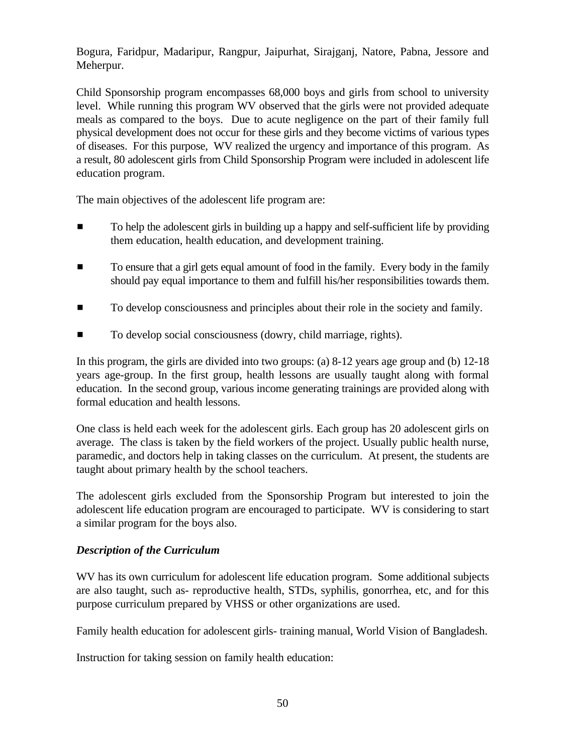Bogura, Faridpur, Madaripur, Rangpur, Jaipurhat, Sirajganj, Natore, Pabna, Jessore and Meherpur.

Child Sponsorship program encompasses 68,000 boys and girls from school to university level. While running this program WV observed that the girls were not provided adequate meals as compared to the boys. Due to acute negligence on the part of their family full physical development does not occur for these girls and they become victims of various types of diseases. For this purpose, WV realized the urgency and importance of this program. As a result, 80 adolescent girls from Child Sponsorship Program were included in adolescent life education program.

The main objectives of the adolescent life program are:

- $\blacksquare$  To help the adolescent girls in building up a happy and self-sufficient life by providing them education, health education, and development training.
- **To ensure that a girl gets equal amount of food in the family. Every body in the family** should pay equal importance to them and fulfill his/her responsibilities towards them.
- To develop consciousness and principles about their role in the society and family.
- To develop social consciousness (dowry, child marriage, rights).

In this program, the girls are divided into two groups: (a) 8-12 years age group and (b) 12-18 years age-group. In the first group, health lessons are usually taught along with formal education. In the second group, various income generating trainings are provided along with formal education and health lessons.

One class is held each week for the adolescent girls. Each group has 20 adolescent girls on average. The class is taken by the field workers of the project. Usually public health nurse, paramedic, and doctors help in taking classes on the curriculum. At present, the students are taught about primary health by the school teachers.

The adolescent girls excluded from the Sponsorship Program but interested to join the adolescent life education program are encouraged to participate. WV is considering to start a similar program for the boys also.

# *Description of the Curriculum*

WV has its own curriculum for adolescent life education program. Some additional subjects are also taught, such as- reproductive health, STDs, syphilis, gonorrhea, etc, and for this purpose curriculum prepared by VHSS or other organizations are used.

Family health education for adolescent girls- training manual, World Vision of Bangladesh.

Instruction for taking session on family health education: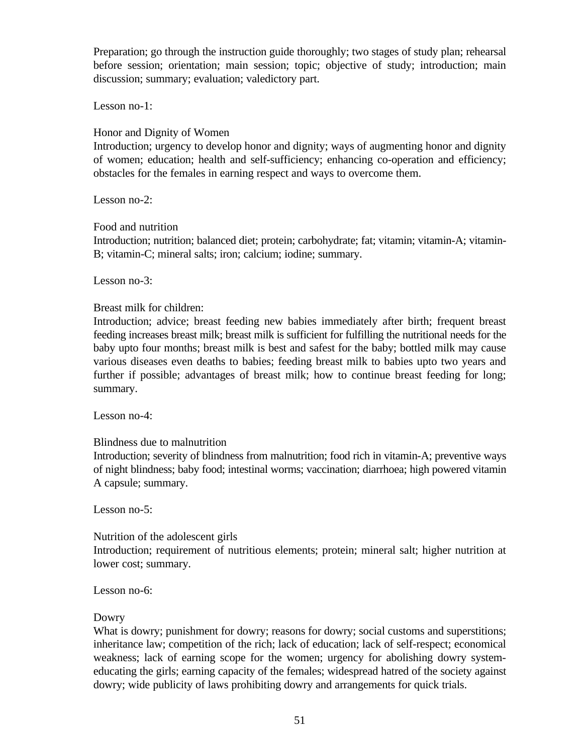Preparation; go through the instruction guide thoroughly; two stages of study plan; rehearsal before session; orientation; main session; topic; objective of study; introduction; main discussion; summary; evaluation; valedictory part.

Lesson no-1:

#### Honor and Dignity of Women

Introduction; urgency to develop honor and dignity; ways of augmenting honor and dignity of women; education; health and self-sufficiency; enhancing co-operation and efficiency; obstacles for the females in earning respect and ways to overcome them.

Lesson no-2:

#### Food and nutrition

Introduction; nutrition; balanced diet; protein; carbohydrate; fat; vitamin; vitamin-A; vitamin-B; vitamin-C; mineral salts; iron; calcium; iodine; summary.

Lesson no-3:

# Breast milk for children:

Introduction; advice; breast feeding new babies immediately after birth; frequent breast feeding increases breast milk; breast milk is sufficient for fulfilling the nutritional needs for the baby upto four months; breast milk is best and safest for the baby; bottled milk may cause various diseases even deaths to babies; feeding breast milk to babies upto two years and further if possible; advantages of breast milk; how to continue breast feeding for long; summary.

Lesson no-4:

# Blindness due to malnutrition

Introduction; severity of blindness from malnutrition; food rich in vitamin-A; preventive ways of night blindness; baby food; intestinal worms; vaccination; diarrhoea; high powered vitamin A capsule; summary.

Lesson no-5:

Nutrition of the adolescent girls

Introduction; requirement of nutritious elements; protein; mineral salt; higher nutrition at lower cost; summary.

Lesson no-6:

# Dowry

What is dowry; punishment for dowry; reasons for dowry; social customs and superstitions; inheritance law; competition of the rich; lack of education; lack of self-respect; economical weakness; lack of earning scope for the women; urgency for abolishing dowry systemeducating the girls; earning capacity of the females; widespread hatred of the society against dowry; wide publicity of laws prohibiting dowry and arrangements for quick trials.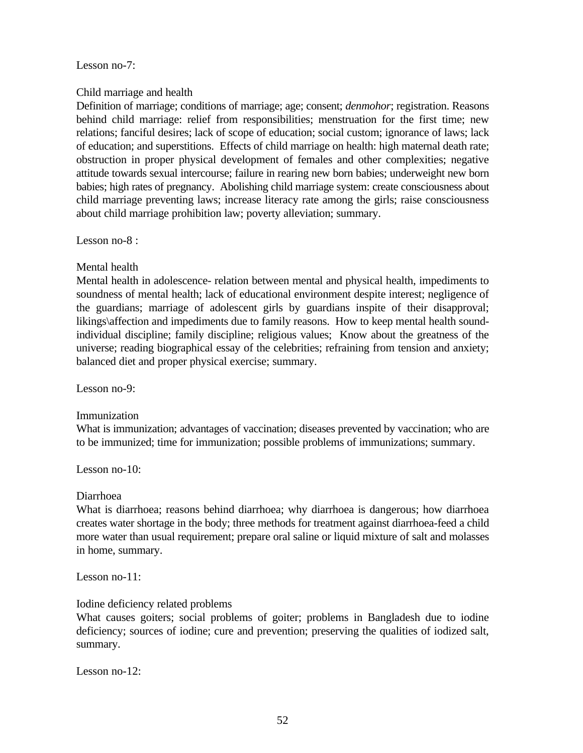Lesson no-7:

# Child marriage and health

Definition of marriage; conditions of marriage; age; consent; *denmohor*; registration. Reasons behind child marriage: relief from responsibilities; menstruation for the first time; new relations; fanciful desires; lack of scope of education; social custom; ignorance of laws; lack of education; and superstitions. Effects of child marriage on health: high maternal death rate; obstruction in proper physical development of females and other complexities; negative attitude towards sexual intercourse; failure in rearing new born babies; underweight new born babies; high rates of pregnancy. Abolishing child marriage system: create consciousness about child marriage preventing laws; increase literacy rate among the girls; raise consciousness about child marriage prohibition law; poverty alleviation; summary.

Lesson no-8 :

Mental health

Mental health in adolescence- relation between mental and physical health, impediments to soundness of mental health; lack of educational environment despite interest; negligence of the guardians; marriage of adolescent girls by guardians inspite of their disapproval; likings\affection and impediments due to family reasons. How to keep mental health soundindividual discipline; family discipline; religious values; Know about the greatness of the universe; reading biographical essay of the celebrities; refraining from tension and anxiety; balanced diet and proper physical exercise; summary.

Lesson no-9:

Immunization

What is immunization; advantages of vaccination; diseases prevented by vaccination; who are to be immunized; time for immunization; possible problems of immunizations; summary.

Lesson no-10:

Diarrhoea

What is diarrhoea; reasons behind diarrhoea; why diarrhoea is dangerous; how diarrhoea creates water shortage in the body; three methods for treatment against diarrhoea-feed a child more water than usual requirement; prepare oral saline or liquid mixture of salt and molasses in home, summary.

Lesson no-11:

Iodine deficiency related problems

What causes goiters; social problems of goiter; problems in Bangladesh due to iodine deficiency; sources of iodine; cure and prevention; preserving the qualities of iodized salt, summary.

Lesson no-12: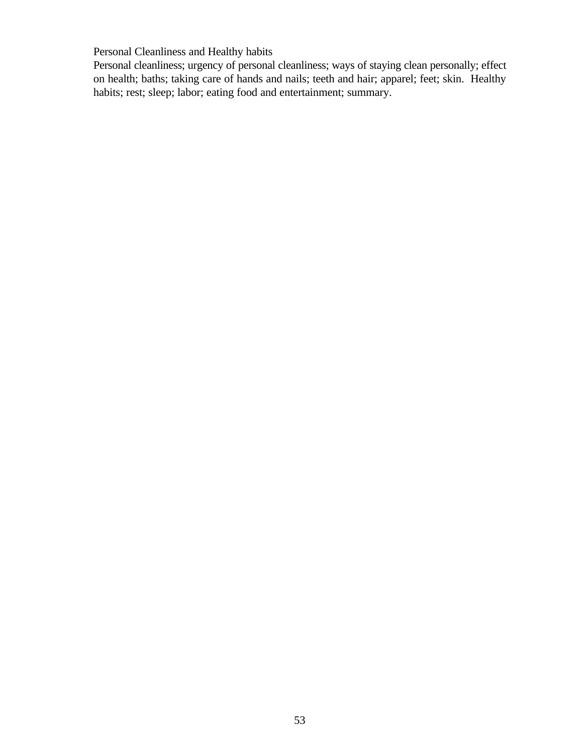Personal Cleanliness and Healthy habits

Personal cleanliness; urgency of personal cleanliness; ways of staying clean personally; effect on health; baths; taking care of hands and nails; teeth and hair; apparel; feet; skin. Healthy habits; rest; sleep; labor; eating food and entertainment; summary.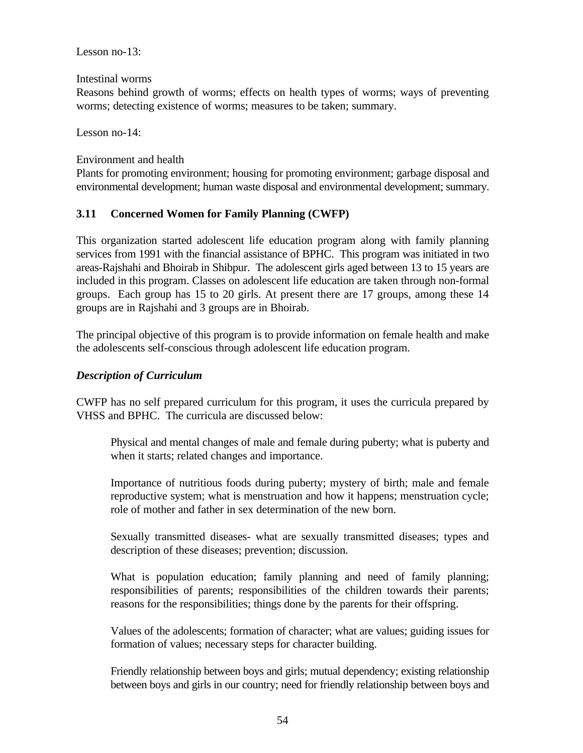Lesson no-13:

Intestinal worms

Reasons behind growth of worms; effects on health types of worms; ways of preventing worms; detecting existence of worms; measures to be taken; summary.

Lesson no-14:

Environment and health

Plants for promoting environment; housing for promoting environment; garbage disposal and environmental development; human waste disposal and environmental development; summary.

# **3.11 Concerned Women for Family Planning (CWFP)**

This organization started adolescent life education program along with family planning services from 1991 with the financial assistance of BPHC. This program was initiated in two areas-Rajshahi and Bhoirab in Shibpur. The adolescent girls aged between 13 to 15 years are included in this program. Classes on adolescent life education are taken through non-formal groups. Each group has 15 to 20 girls. At present there are 17 groups, among these 14 groups are in Rajshahi and 3 groups are in Bhoirab.

The principal objective of this program is to provide information on female health and make the adolescents self-conscious through adolescent life education program.

# *Description of Curriculum*

CWFP has no self prepared curriculum for this program, it uses the curricula prepared by VHSS and BPHC. The curricula are discussed below:

Physical and mental changes of male and female during puberty; what is puberty and when it starts; related changes and importance.

Importance of nutritious foods during puberty; mystery of birth; male and female reproductive system; what is menstruation and how it happens; menstruation cycle; role of mother and father in sex determination of the new born.

Sexually transmitted diseases- what are sexually transmitted diseases; types and description of these diseases; prevention; discussion.

What is population education; family planning and need of family planning; responsibilities of parents; responsibilities of the children towards their parents; reasons for the responsibilities; things done by the parents for their offspring.

Values of the adolescents; formation of character; what are values; guiding issues for formation of values; necessary steps for character building.

Friendly relationship between boys and girls; mutual dependency; existing relationship between boys and girls in our country; need for friendly relationship between boys and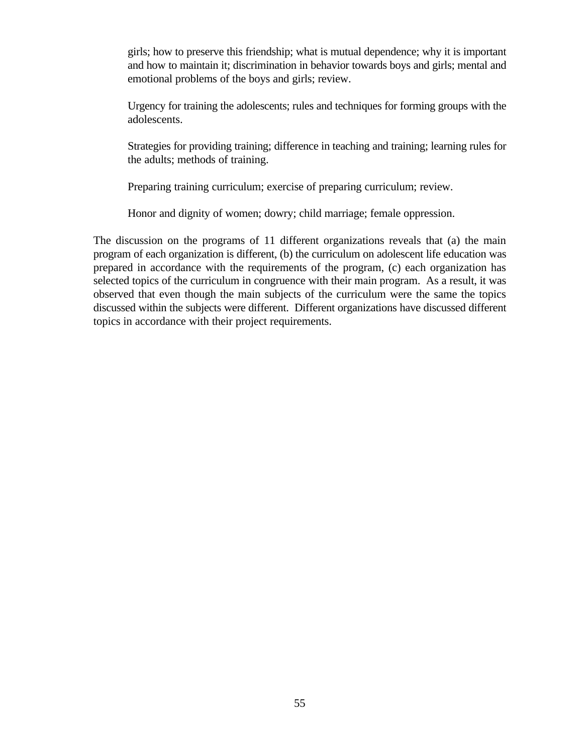girls; how to preserve this friendship; what is mutual dependence; why it is important and how to maintain it; discrimination in behavior towards boys and girls; mental and emotional problems of the boys and girls; review.

Urgency for training the adolescents; rules and techniques for forming groups with the adolescents.

Strategies for providing training; difference in teaching and training; learning rules for the adults; methods of training.

Preparing training curriculum; exercise of preparing curriculum; review.

Honor and dignity of women; dowry; child marriage; female oppression.

The discussion on the programs of 11 different organizations reveals that (a) the main program of each organization is different, (b) the curriculum on adolescent life education was prepared in accordance with the requirements of the program, (c) each organization has selected topics of the curriculum in congruence with their main program. As a result, it was observed that even though the main subjects of the curriculum were the same the topics discussed within the subjects were different. Different organizations have discussed different topics in accordance with their project requirements.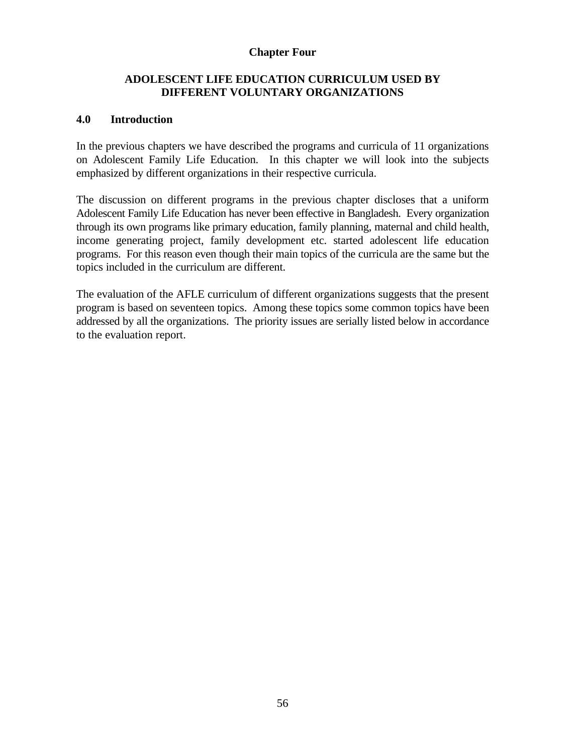#### **Chapter Four**

# **ADOLESCENT LIFE EDUCATION CURRICULUM USED BY DIFFERENT VOLUNTARY ORGANIZATIONS**

#### **4.0 Introduction**

In the previous chapters we have described the programs and curricula of 11 organizations on Adolescent Family Life Education. In this chapter we will look into the subjects emphasized by different organizations in their respective curricula.

The discussion on different programs in the previous chapter discloses that a uniform Adolescent Family Life Education has never been effective in Bangladesh. Every organization through its own programs like primary education, family planning, maternal and child health, income generating project, family development etc. started adolescent life education programs. For this reason even though their main topics of the curricula are the same but the topics included in the curriculum are different.

The evaluation of the AFLE curriculum of different organizations suggests that the present program is based on seventeen topics. Among these topics some common topics have been addressed by all the organizations. The priority issues are serially listed below in accordance to the evaluation report.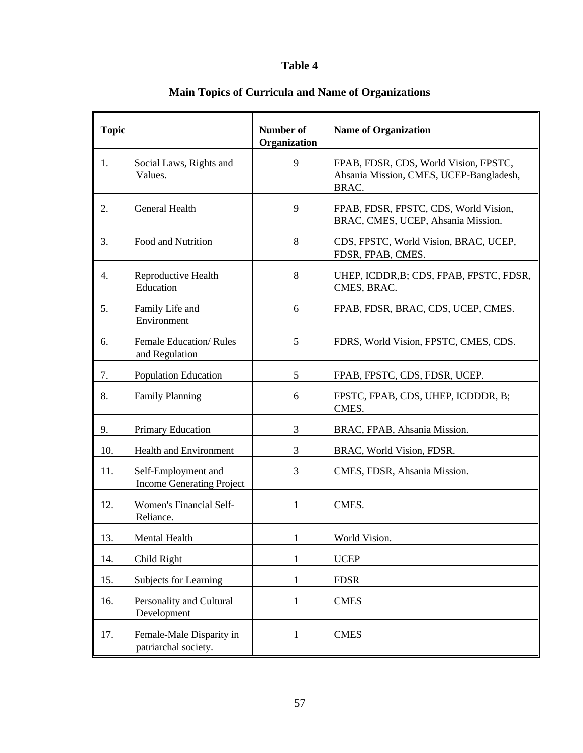# **Table 4**

| <b>Topic</b> |                                                         | <b>Number of</b><br>Organization | <b>Name of Organization</b>                                                               |
|--------------|---------------------------------------------------------|----------------------------------|-------------------------------------------------------------------------------------------|
| 1.           | Social Laws, Rights and<br>Values.                      | 9                                | FPAB, FDSR, CDS, World Vision, FPSTC,<br>Ahsania Mission, CMES, UCEP-Bangladesh,<br>BRAC. |
| 2.           | General Health                                          | 9                                | FPAB, FDSR, FPSTC, CDS, World Vision,<br>BRAC, CMES, UCEP, Ahsania Mission.               |
| 3.           | Food and Nutrition                                      | 8                                | CDS, FPSTC, World Vision, BRAC, UCEP,<br>FDSR, FPAB, CMES.                                |
| 4.           | Reproductive Health<br>Education                        | 8                                | UHEP, ICDDR, B; CDS, FPAB, FPSTC, FDSR,<br>CMES, BRAC.                                    |
| 5.           | Family Life and<br>Environment                          | 6                                | FPAB, FDSR, BRAC, CDS, UCEP, CMES.                                                        |
| 6.           | Female Education/Rules<br>and Regulation                | 5                                | FDRS, World Vision, FPSTC, CMES, CDS.                                                     |
| 7.           | <b>Population Education</b>                             | 5                                | FPAB, FPSTC, CDS, FDSR, UCEP.                                                             |
| 8.           | <b>Family Planning</b>                                  | 6                                | FPSTC, FPAB, CDS, UHEP, ICDDDR, B;<br>CMES.                                               |
| 9.           | <b>Primary Education</b>                                | 3                                | BRAC, FPAB, Ahsania Mission.                                                              |
| 10.          | Health and Environment                                  | 3                                | BRAC, World Vision, FDSR.                                                                 |
| 11.          | Self-Employment and<br><b>Income Generating Project</b> | 3                                | CMES, FDSR, Ahsania Mission.                                                              |
| 12.          | Women's Financial Self-<br>Reliance.                    | 1                                | CMES.                                                                                     |
| 13.          | Mental Health                                           | $\mathbf{1}$                     | World Vision.                                                                             |
| 14.          | Child Right                                             | $\mathbf{1}$                     | <b>UCEP</b>                                                                               |
| 15.          | Subjects for Learning                                   | 1                                | <b>FDSR</b>                                                                               |
| 16.          | Personality and Cultural<br>Development                 | $\mathbf{1}$                     | <b>CMES</b>                                                                               |
| 17.          | Female-Male Disparity in<br>patriarchal society.        | 1                                | <b>CMES</b>                                                                               |

# **Main Topics of Curricula and Name of Organizations**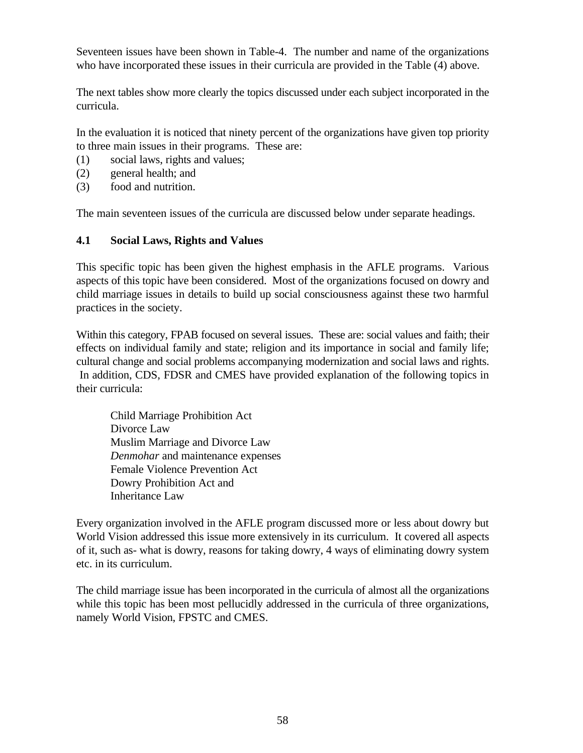Seventeen issues have been shown in Table-4. The number and name of the organizations who have incorporated these issues in their curricula are provided in the Table (4) above.

The next tables show more clearly the topics discussed under each subject incorporated in the curricula.

In the evaluation it is noticed that ninety percent of the organizations have given top priority to three main issues in their programs. These are:

- (1) social laws, rights and values;
- (2) general health; and
- (3) food and nutrition.

The main seventeen issues of the curricula are discussed below under separate headings.

# **4.1 Social Laws, Rights and Values**

This specific topic has been given the highest emphasis in the AFLE programs. Various aspects of this topic have been considered. Most of the organizations focused on dowry and child marriage issues in details to build up social consciousness against these two harmful practices in the society.

Within this category, FPAB focused on several issues. These are: social values and faith; their effects on individual family and state; religion and its importance in social and family life; cultural change and social problems accompanying modernization and social laws and rights. In addition, CDS, FDSR and CMES have provided explanation of the following topics in their curricula:

Child Marriage Prohibition Act Divorce Law Muslim Marriage and Divorce Law *Denmohar* and maintenance expenses Female Violence Prevention Act Dowry Prohibition Act and Inheritance Law

Every organization involved in the AFLE program discussed more or less about dowry but World Vision addressed this issue more extensively in its curriculum. It covered all aspects of it, such as- what is dowry, reasons for taking dowry, 4 ways of eliminating dowry system etc. in its curriculum.

The child marriage issue has been incorporated in the curricula of almost all the organizations while this topic has been most pellucidly addressed in the curricula of three organizations, namely World Vision, FPSTC and CMES.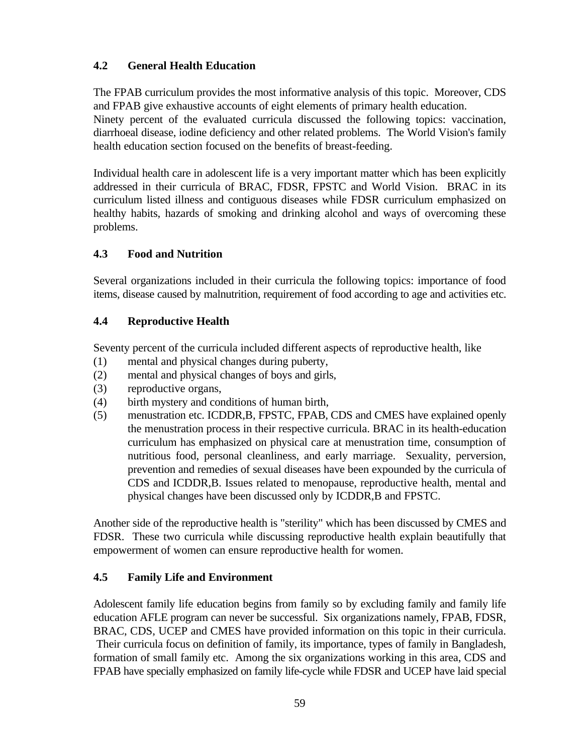# **4.2 General Health Education**

The FPAB curriculum provides the most informative analysis of this topic. Moreover, CDS and FPAB give exhaustive accounts of eight elements of primary health education.

Ninety percent of the evaluated curricula discussed the following topics: vaccination, diarrhoeal disease, iodine deficiency and other related problems. The World Vision's family health education section focused on the benefits of breast-feeding.

Individual health care in adolescent life is a very important matter which has been explicitly addressed in their curricula of BRAC, FDSR, FPSTC and World Vision. BRAC in its curriculum listed illness and contiguous diseases while FDSR curriculum emphasized on healthy habits, hazards of smoking and drinking alcohol and ways of overcoming these problems.

# **4.3 Food and Nutrition**

Several organizations included in their curricula the following topics: importance of food items, disease caused by malnutrition, requirement of food according to age and activities etc.

# **4.4 Reproductive Health**

Seventy percent of the curricula included different aspects of reproductive health, like

- (1) mental and physical changes during puberty,
- (2) mental and physical changes of boys and girls,
- (3) reproductive organs,
- (4) birth mystery and conditions of human birth,
- (5) menustration etc. ICDDR,B, FPSTC, FPAB, CDS and CMES have explained openly the menustration process in their respective curricula. BRAC in its health-education curriculum has emphasized on physical care at menustration time, consumption of nutritious food, personal cleanliness, and early marriage. Sexuality, perversion, prevention and remedies of sexual diseases have been expounded by the curricula of CDS and ICDDR,B. Issues related to menopause, reproductive health, mental and physical changes have been discussed only by ICDDR,B and FPSTC.

Another side of the reproductive health is "sterility" which has been discussed by CMES and FDSR. These two curricula while discussing reproductive health explain beautifully that empowerment of women can ensure reproductive health for women.

# **4.5 Family Life and Environment**

Adolescent family life education begins from family so by excluding family and family life education AFLE program can never be successful. Six organizations namely, FPAB, FDSR, BRAC, CDS, UCEP and CMES have provided information on this topic in their curricula. Their curricula focus on definition of family, its importance, types of family in Bangladesh, formation of small family etc. Among the six organizations working in this area, CDS and FPAB have specially emphasized on family life-cycle while FDSR and UCEP have laid special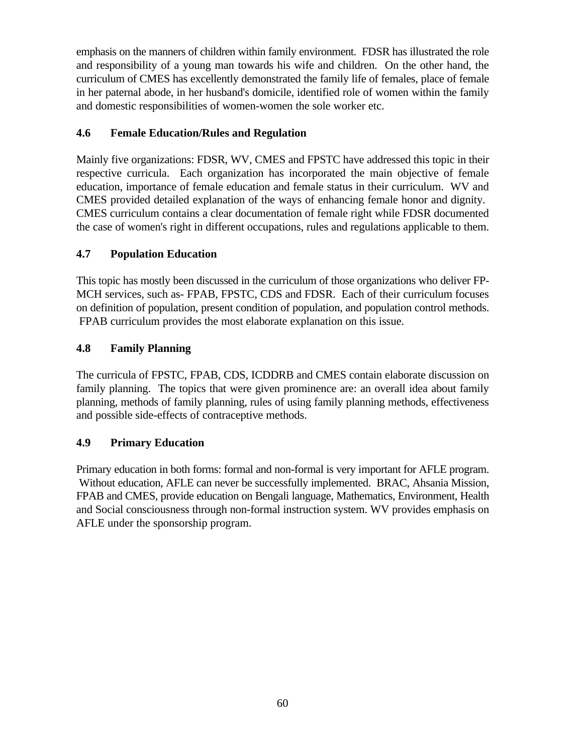emphasis on the manners of children within family environment. FDSR has illustrated the role and responsibility of a young man towards his wife and children. On the other hand, the curriculum of CMES has excellently demonstrated the family life of females, place of female in her paternal abode, in her husband's domicile, identified role of women within the family and domestic responsibilities of women-women the sole worker etc.

# **4.6 Female Education/Rules and Regulation**

Mainly five organizations: FDSR, WV, CMES and FPSTC have addressed this topic in their respective curricula. Each organization has incorporated the main objective of female education, importance of female education and female status in their curriculum. WV and CMES provided detailed explanation of the ways of enhancing female honor and dignity. CMES curriculum contains a clear documentation of female right while FDSR documented the case of women's right in different occupations, rules and regulations applicable to them.

# **4.7 Population Education**

This topic has mostly been discussed in the curriculum of those organizations who deliver FP-MCH services, such as- FPAB, FPSTC, CDS and FDSR. Each of their curriculum focuses on definition of population, present condition of population, and population control methods. FPAB curriculum provides the most elaborate explanation on this issue.

# **4.8 Family Planning**

The curricula of FPSTC, FPAB, CDS, ICDDRB and CMES contain elaborate discussion on family planning. The topics that were given prominence are: an overall idea about family planning, methods of family planning, rules of using family planning methods, effectiveness and possible side-effects of contraceptive methods.

# **4.9 Primary Education**

Primary education in both forms: formal and non-formal is very important for AFLE program. Without education, AFLE can never be successfully implemented. BRAC, Ahsania Mission, FPAB and CMES, provide education on Bengali language, Mathematics, Environment, Health and Social consciousness through non-formal instruction system. WV provides emphasis on AFLE under the sponsorship program.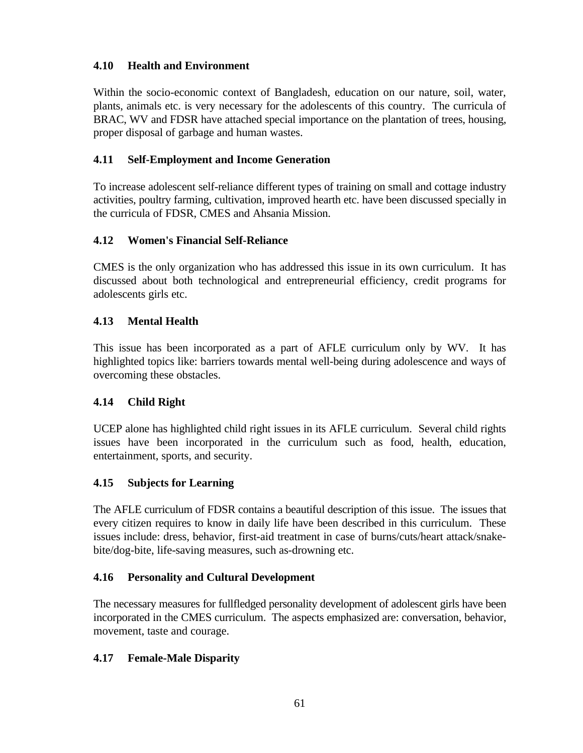# **4.10 Health and Environment**

Within the socio-economic context of Bangladesh, education on our nature, soil, water, plants, animals etc. is very necessary for the adolescents of this country. The curricula of BRAC, WV and FDSR have attached special importance on the plantation of trees, housing, proper disposal of garbage and human wastes.

# **4.11 Self-Employment and Income Generation**

To increase adolescent self-reliance different types of training on small and cottage industry activities, poultry farming, cultivation, improved hearth etc. have been discussed specially in the curricula of FDSR, CMES and Ahsania Mission.

# **4.12 Women's Financial Self-Reliance**

CMES is the only organization who has addressed this issue in its own curriculum. It has discussed about both technological and entrepreneurial efficiency, credit programs for adolescents girls etc.

# **4.13 Mental Health**

This issue has been incorporated as a part of AFLE curriculum only by WV. It has highlighted topics like: barriers towards mental well-being during adolescence and ways of overcoming these obstacles.

# **4.14 Child Right**

UCEP alone has highlighted child right issues in its AFLE curriculum. Several child rights issues have been incorporated in the curriculum such as food, health, education, entertainment, sports, and security.

# **4.15 Subjects for Learning**

The AFLE curriculum of FDSR contains a beautiful description of this issue. The issues that every citizen requires to know in daily life have been described in this curriculum. These issues include: dress, behavior, first-aid treatment in case of burns/cuts/heart attack/snakebite/dog-bite, life-saving measures, such as-drowning etc.

# **4.16 Personality and Cultural Development**

The necessary measures for fullfledged personality development of adolescent girls have been incorporated in the CMES curriculum. The aspects emphasized are: conversation, behavior, movement, taste and courage.

# **4.17 Female-Male Disparity**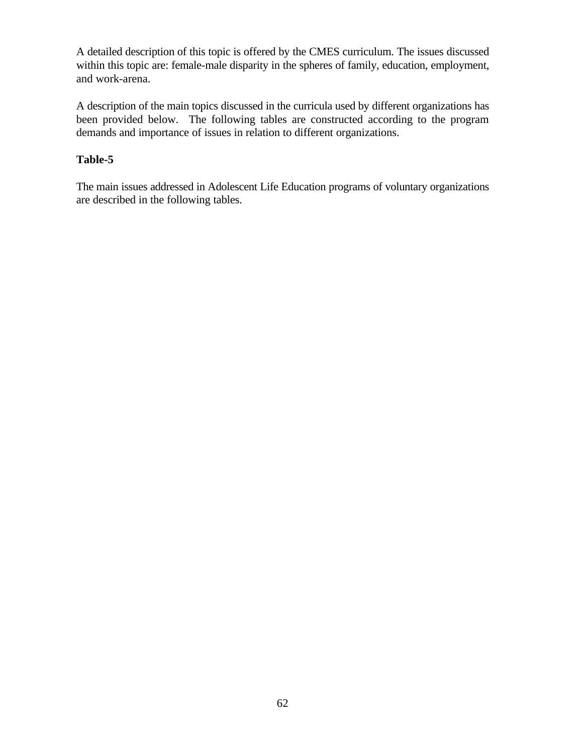A detailed description of this topic is offered by the CMES curriculum. The issues discussed within this topic are: female-male disparity in the spheres of family, education, employment, and work-arena.

A description of the main topics discussed in the curricula used by different organizations has been provided below. The following tables are constructed according to the program demands and importance of issues in relation to different organizations.

# **Table-5**

The main issues addressed in Adolescent Life Education programs of voluntary organizations are described in the following tables.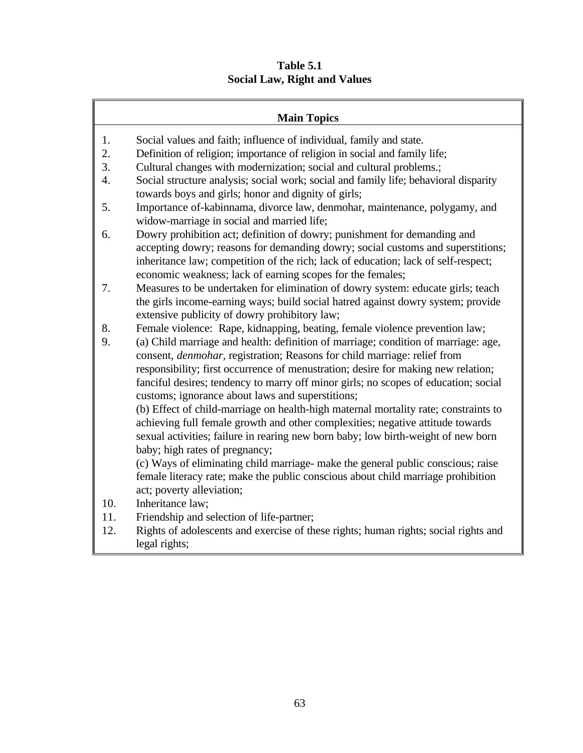# **Table 5.1 Social Law, Right and Values**

| <b>Main Topics</b>                                                                                                                                                   |  |  |  |  |
|----------------------------------------------------------------------------------------------------------------------------------------------------------------------|--|--|--|--|
| 1.<br>Social values and faith; influence of individual, family and state.                                                                                            |  |  |  |  |
| 2.<br>Definition of religion; importance of religion in social and family life;                                                                                      |  |  |  |  |
| 3.<br>Cultural changes with modernization; social and cultural problems.;                                                                                            |  |  |  |  |
| Social structure analysis; social work; social and family life; behavioral disparity<br>4.                                                                           |  |  |  |  |
| towards boys and girls; honor and dignity of girls;                                                                                                                  |  |  |  |  |
| 5.<br>Importance of-kabinnama, divorce law, denmohar, maintenance, polygamy, and                                                                                     |  |  |  |  |
| widow-marriage in social and married life;                                                                                                                           |  |  |  |  |
| Dowry prohibition act; definition of dowry; punishment for demanding and<br>6.                                                                                       |  |  |  |  |
| accepting dowry; reasons for demanding dowry; social customs and superstitions;                                                                                      |  |  |  |  |
| inheritance law; competition of the rich; lack of education; lack of self-respect;                                                                                   |  |  |  |  |
| economic weakness; lack of earning scopes for the females;                                                                                                           |  |  |  |  |
| Measures to be undertaken for elimination of dowry system: educate girls; teach<br>7.                                                                                |  |  |  |  |
| the girls income-earning ways; build social hatred against dowry system; provide                                                                                     |  |  |  |  |
| extensive publicity of dowry prohibitory law;                                                                                                                        |  |  |  |  |
| 8.<br>Female violence: Rape, kidnapping, beating, female violence prevention law;                                                                                    |  |  |  |  |
| (a) Child marriage and health: definition of marriage; condition of marriage: age,<br>9.                                                                             |  |  |  |  |
| consent, <i>denmohar</i> , registration; Reasons for child marriage: relief from                                                                                     |  |  |  |  |
| responsibility; first occurrence of menustration; desire for making new relation;                                                                                    |  |  |  |  |
| fanciful desires; tendency to marry off minor girls; no scopes of education; social                                                                                  |  |  |  |  |
| customs; ignorance about laws and superstitions;                                                                                                                     |  |  |  |  |
| (b) Effect of child-marriage on health-high maternal mortality rate; constraints to                                                                                  |  |  |  |  |
| achieving full female growth and other complexities; negative attitude towards                                                                                       |  |  |  |  |
| sexual activities; failure in rearing new born baby; low birth-weight of new born                                                                                    |  |  |  |  |
| baby; high rates of pregnancy;                                                                                                                                       |  |  |  |  |
| (c) Ways of eliminating child marriage- make the general public conscious; raise<br>female literacy rate; make the public conscious about child marriage prohibition |  |  |  |  |
| act; poverty alleviation;                                                                                                                                            |  |  |  |  |
| 10.<br>Inheritance law;                                                                                                                                              |  |  |  |  |
| Friendship and selection of life-partner;<br>11.                                                                                                                     |  |  |  |  |
| 12.<br>Rights of adolescents and exercise of these rights; human rights; social rights and                                                                           |  |  |  |  |

legal rights;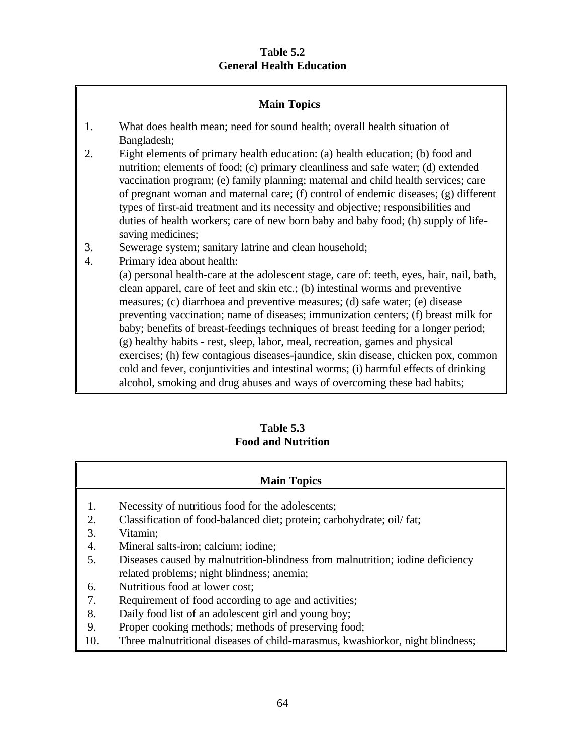# **Table 5.2 General Health Education**

|    | <b>Main Topics</b>                                                                                                                                                                                                                                                                                                                                                                                                                                                                                                                                                                                               |
|----|------------------------------------------------------------------------------------------------------------------------------------------------------------------------------------------------------------------------------------------------------------------------------------------------------------------------------------------------------------------------------------------------------------------------------------------------------------------------------------------------------------------------------------------------------------------------------------------------------------------|
| 1. | What does health mean; need for sound health; overall health situation of<br>Bangladesh;                                                                                                                                                                                                                                                                                                                                                                                                                                                                                                                         |
| 2. | Eight elements of primary health education: (a) health education; (b) food and<br>nutrition; elements of food; (c) primary cleanliness and safe water; (d) extended<br>vaccination program; (e) family planning; maternal and child health services; care<br>of pregnant woman and maternal care; (f) control of endemic diseases; (g) different<br>types of first-aid treatment and its necessity and objective; responsibilities and<br>duties of health workers; care of new born baby and baby food; (h) supply of life-<br>saving medicines;                                                                |
| 3. | Sewerage system; sanitary latrine and clean household;                                                                                                                                                                                                                                                                                                                                                                                                                                                                                                                                                           |
| 4. | Primary idea about health:                                                                                                                                                                                                                                                                                                                                                                                                                                                                                                                                                                                       |
|    | (a) personal health-care at the adolescent stage, care of: teeth, eyes, hair, nail, bath,<br>clean apparel, care of feet and skin etc.; (b) intestinal worms and preventive<br>measures; (c) diarrhoea and preventive measures; (d) safe water; (e) disease<br>preventing vaccination; name of diseases; immunization centers; (f) breast milk for<br>baby; benefits of breast-feedings techniques of breast feeding for a longer period;<br>(g) healthy habits - rest, sleep, labor, meal, recreation, games and physical<br>exercises; (h) few contagious diseases-jaundice, skin disease, chicken pox, common |
|    | cold and fever, conjuntivities and intestinal worms; (i) harmful effects of drinking                                                                                                                                                                                                                                                                                                                                                                                                                                                                                                                             |

alcohol, smoking and drug abuses and ways of overcoming these bad habits;

# **Table 5.3 Food and Nutrition**

- 1. Necessity of nutritious food for the adolescents;
- 2. Classification of food-balanced diet; protein; carbohydrate; oil/ fat;
- 3. Vitamin;
- 4. Mineral salts-iron; calcium; iodine;
- 5. Diseases caused by malnutrition-blindness from malnutrition; iodine deficiency related problems; night blindness; anemia;
- 6. Nutritious food at lower cost;
- 7. Requirement of food according to age and activities;
- 8. Daily food list of an adolescent girl and young boy;
- 9. Proper cooking methods; methods of preserving food;
- 10. Three malnutritional diseases of child-marasmus, kwashiorkor, night blindness;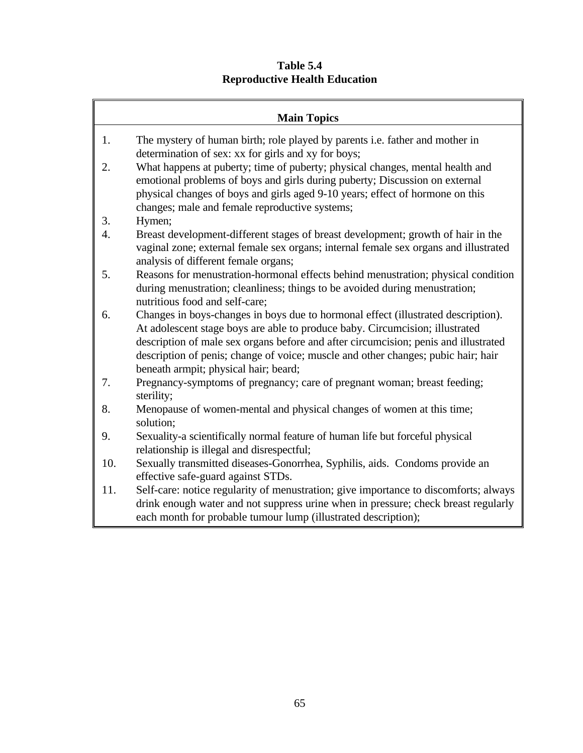**Table 5.4 Reproductive Health Education**

| <b>Main Topics</b> |                                                                                                                                                                                                                                                                                                                                                                                        |  |  |  |
|--------------------|----------------------------------------------------------------------------------------------------------------------------------------------------------------------------------------------------------------------------------------------------------------------------------------------------------------------------------------------------------------------------------------|--|--|--|
| 1.                 | The mystery of human birth; role played by parents i.e. father and mother in                                                                                                                                                                                                                                                                                                           |  |  |  |
|                    | determination of sex: xx for girls and xy for boys;                                                                                                                                                                                                                                                                                                                                    |  |  |  |
| 2.                 | What happens at puberty; time of puberty; physical changes, mental health and<br>emotional problems of boys and girls during puberty; Discussion on external<br>physical changes of boys and girls aged 9-10 years; effect of hormone on this<br>changes; male and female reproductive systems;                                                                                        |  |  |  |
| 3.                 | Hymen;                                                                                                                                                                                                                                                                                                                                                                                 |  |  |  |
| 4.                 | Breast development-different stages of breast development; growth of hair in the<br>vaginal zone; external female sex organs; internal female sex organs and illustrated<br>analysis of different female organs;                                                                                                                                                                       |  |  |  |
| 5.                 | Reasons for menustration-hormonal effects behind menustration; physical condition<br>during menustration; cleanliness; things to be avoided during menustration;<br>nutritious food and self-care;                                                                                                                                                                                     |  |  |  |
| 6.                 | Changes in boys-changes in boys due to hormonal effect (illustrated description).<br>At adolescent stage boys are able to produce baby. Circumcision; illustrated<br>description of male sex organs before and after circumcision; penis and illustrated<br>description of penis; change of voice; muscle and other changes; pubic hair; hair<br>beneath armpit; physical hair; beard; |  |  |  |
| 7.                 | Pregnancy-symptoms of pregnancy; care of pregnant woman; breast feeding;<br>sterility;                                                                                                                                                                                                                                                                                                 |  |  |  |
| 8.                 | Menopause of women-mental and physical changes of women at this time;<br>solution;                                                                                                                                                                                                                                                                                                     |  |  |  |
| 9.                 | Sexuality-a scientifically normal feature of human life but forceful physical<br>relationship is illegal and disrespectful;                                                                                                                                                                                                                                                            |  |  |  |
| 10.                | Sexually transmitted diseases-Gonorrhea, Syphilis, aids. Condoms provide an<br>effective safe-guard against STDs.                                                                                                                                                                                                                                                                      |  |  |  |
| 11.                | Self-care: notice regularity of menustration; give importance to discomforts; always                                                                                                                                                                                                                                                                                                   |  |  |  |
|                    | drink enough water and not suppress urine when in pressure; check breast regularly<br>each month for probable tumour lump (illustrated description);                                                                                                                                                                                                                                   |  |  |  |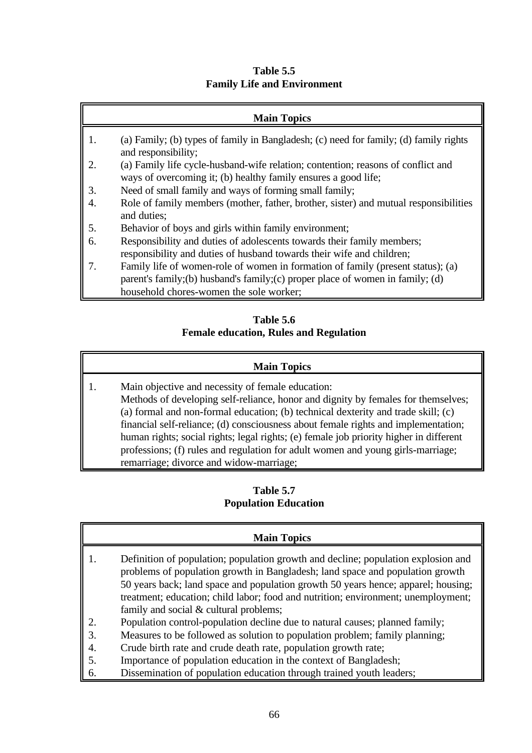**Table 5.5 Family Life and Environment**

- 1. (a) Family; (b) types of family in Bangladesh; (c) need for family; (d) family rights and responsibility;
- 2. (a) Family life cycle-husband-wife relation; contention; reasons of conflict and ways of overcoming it; (b) healthy family ensures a good life;
- 3. Need of small family and ways of forming small family;
- 4. Role of family members (mother, father, brother, sister) and mutual responsibilities and duties;
- 5. Behavior of boys and girls within family environment;
- 6. Responsibility and duties of adolescents towards their family members; responsibility and duties of husband towards their wife and children;
- 7. Family life of women-role of women in formation of family (present status); (a) parent's family;(b) husband's family;(c) proper place of women in family; (d) household chores-women the sole worker;

# **Table 5.6 Female education, Rules and Regulation**

# **Main Topics**

1. Main objective and necessity of female education: Methods of developing self-reliance, honor and dignity by females for themselves; (a) formal and non-formal education; (b) technical dexterity and trade skill; (c) financial self-reliance; (d) consciousness about female rights and implementation; human rights; social rights; legal rights; (e) female job priority higher in different professions; (f) rules and regulation for adult women and young girls-marriage; remarriage; divorce and widow-marriage;

# **Table 5.7 Population Education**

- 1. Definition of population; population growth and decline; population explosion and problems of population growth in Bangladesh; land space and population growth 50 years back; land space and population growth 50 years hence; apparel; housing; treatment; education; child labor; food and nutrition; environment; unemployment; family and social & cultural problems;
- 2. Population control-population decline due to natural causes; planned family;
- 3. Measures to be followed as solution to population problem; family planning;
- 4. Crude birth rate and crude death rate, population growth rate;
- 5. Importance of population education in the context of Bangladesh;
- 6. Dissemination of population education through trained youth leaders;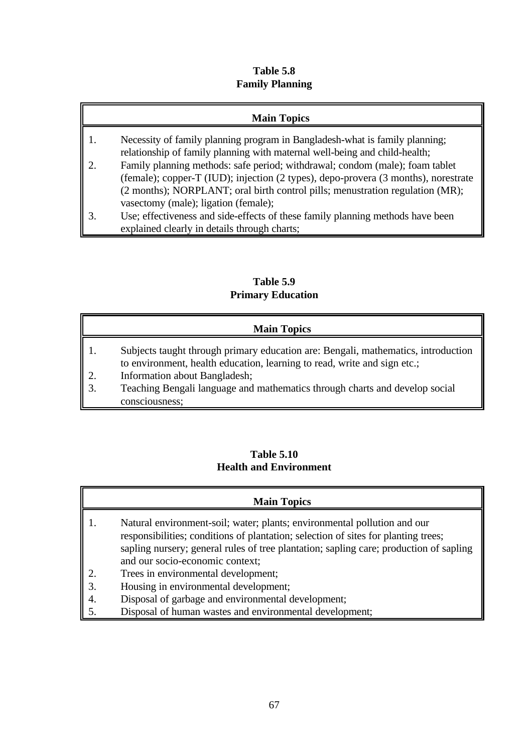# **Table 5.8 Family Planning**

# **Main Topics**

- 1. Necessity of family planning program in Bangladesh-what is family planning; relationship of family planning with maternal well-being and child-health;
- 2. Family planning methods: safe period; withdrawal; condom (male); foam tablet (female); copper-T (IUD); injection (2 types), depo-provera (3 months), norestrate (2 months); NORPLANT; oral birth control pills; menustration regulation (MR); vasectomy (male); ligation (female);
- 3. Use; effectiveness and side-effects of these family planning methods have been explained clearly in details through charts;

# **Table 5.9 Primary Education**

# **Main Topics**

- 1. Subjects taught through primary education are: Bengali, mathematics, introduction to environment, health education, learning to read, write and sign etc.;
- 2. Information about Bangladesh;
- 3. Teaching Bengali language and mathematics through charts and develop social consciousness;

# **Table 5.10 Health and Environment**

- 1. Natural environment-soil; water; plants; environmental pollution and our responsibilities; conditions of plantation; selection of sites for planting trees; sapling nursery; general rules of tree plantation; sapling care; production of sapling and our socio-economic context;
- 2. Trees in environmental development;
- 3. Housing in environmental development;
- 4. Disposal of garbage and environmental development;
- 5. Disposal of human wastes and environmental development;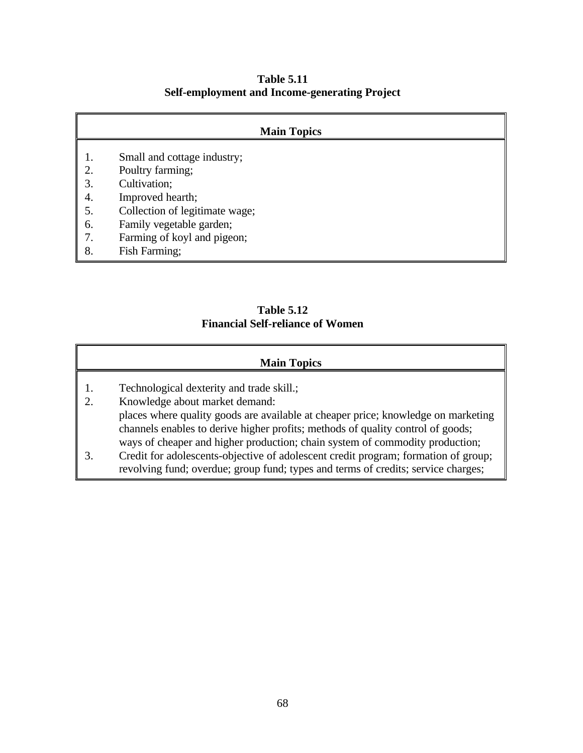**Table 5.11 Self-employment and Income-generating Project**

|    | <b>Main Topics</b>             |
|----|--------------------------------|
|    | Small and cottage industry;    |
| 2. | Poultry farming;               |
| 3. | Cultivation;                   |
| 4. | Improved hearth;               |
| 5. | Collection of legitimate wage; |
| 6. | Family vegetable garden;       |
| 7. | Farming of koyl and pigeon;    |
| 8. | Fish Farming;                  |

# **Table 5.12 Financial Self-reliance of Women**

- 1. Technological dexterity and trade skill.;
- 2. Knowledge about market demand: places where quality goods are available at cheaper price; knowledge on marketing channels enables to derive higher profits; methods of quality control of goods; ways of cheaper and higher production; chain system of commodity production;
- 3. Credit for adolescents-objective of adolescent credit program; formation of group; revolving fund; overdue; group fund; types and terms of credits; service charges;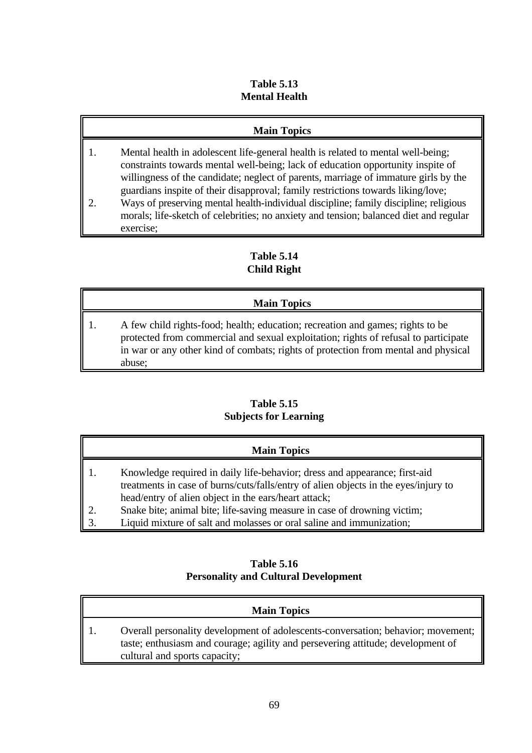#### **Table 5.13 Mental Health**

### **Main Topics**

- 1. Mental health in adolescent life-general health is related to mental well-being; constraints towards mental well-being; lack of education opportunity inspite of willingness of the candidate; neglect of parents, marriage of immature girls by the guardians inspite of their disapproval; family restrictions towards liking/love;
- 2. Ways of preserving mental health-individual discipline; family discipline; religious morals; life-sketch of celebrities; no anxiety and tension; balanced diet and regular exercise;

### **Table 5.14 Child Right**

### **Main Topics**

1. A few child rights-food; health; education; recreation and games; rights to be protected from commercial and sexual exploitation; rights of refusal to participate in war or any other kind of combats; rights of protection from mental and physical abuse;

### **Table 5.15 Subjects for Learning**

| <b>Main Topics</b>                                                                                                                                                                                                        |
|---------------------------------------------------------------------------------------------------------------------------------------------------------------------------------------------------------------------------|
| Knowledge required in daily life-behavior; dress and appearance; first-aid<br>treatments in case of burns/cuts/falls/entry of alien objects in the eyes/injury to<br>head/entry of alien object in the ears/heart attack; |
| Snake bite; animal bite; life-saving measure in case of drowning victim;                                                                                                                                                  |
| Liquid mixture of salt and molasses or oral saline and immunization;                                                                                                                                                      |

### **Table 5.16 Personality and Cultural Development**

| <b>Main Topics</b>                                                                                                                                                                                   |
|------------------------------------------------------------------------------------------------------------------------------------------------------------------------------------------------------|
| Overall personality development of adolescents-conversation; behavior; movement;<br>taste; enthusiasm and courage; agility and persevering attitude; development of<br>cultural and sports capacity; |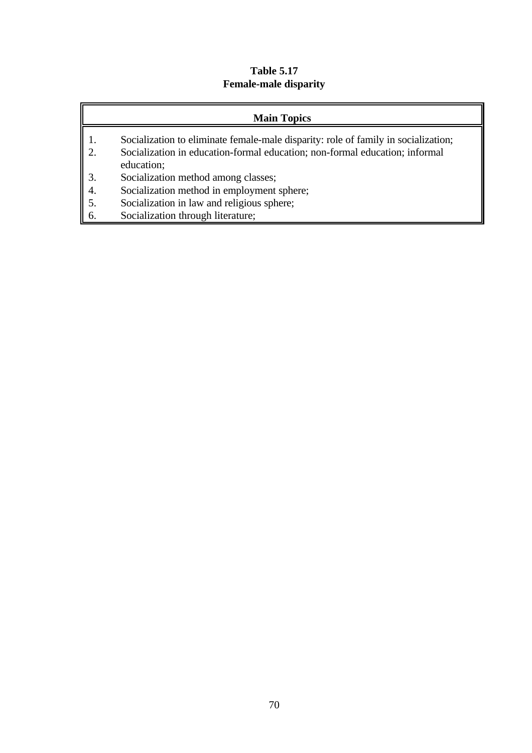### **Table 5.17 Female-male disparity**

### **Main Topics**

- 1. Socialization to eliminate female-male disparity: role of family in socialization;<br>2. Socialization in education-formal education; non-formal education; informal
- 2. Socialization in education-formal education; non-formal education; informal education;
- 3. Socialization method among classes;
- 4. Socialization method in employment sphere;
- 5. Socialization in law and religious sphere;
- 6. Socialization through literature;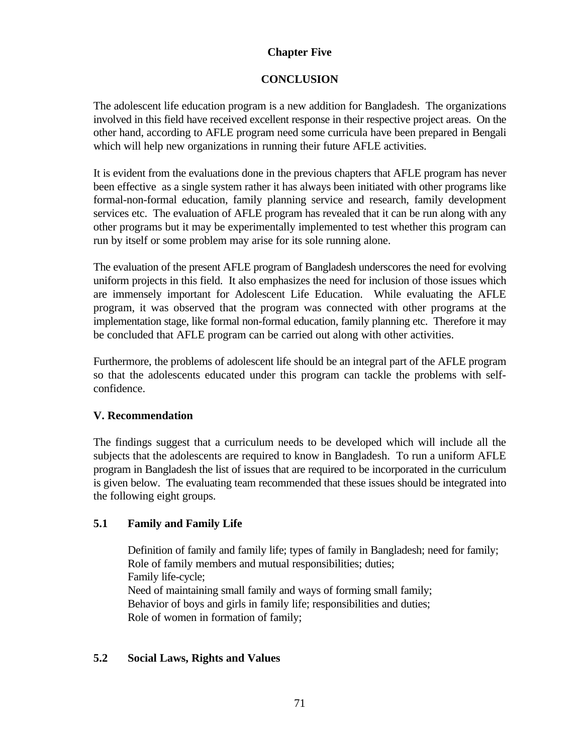### **Chapter Five**

### **CONCLUSION**

The adolescent life education program is a new addition for Bangladesh. The organizations involved in this field have received excellent response in their respective project areas. On the other hand, according to AFLE program need some curricula have been prepared in Bengali which will help new organizations in running their future AFLE activities.

It is evident from the evaluations done in the previous chapters that AFLE program has never been effective as a single system rather it has always been initiated with other programs like formal-non-formal education, family planning service and research, family development services etc. The evaluation of AFLE program has revealed that it can be run along with any other programs but it may be experimentally implemented to test whether this program can run by itself or some problem may arise for its sole running alone.

The evaluation of the present AFLE program of Bangladesh underscores the need for evolving uniform projects in this field. It also emphasizes the need for inclusion of those issues which are immensely important for Adolescent Life Education. While evaluating the AFLE program, it was observed that the program was connected with other programs at the implementation stage, like formal non-formal education, family planning etc. Therefore it may be concluded that AFLE program can be carried out along with other activities.

Furthermore, the problems of adolescent life should be an integral part of the AFLE program so that the adolescents educated under this program can tackle the problems with selfconfidence.

### **V. Recommendation**

The findings suggest that a curriculum needs to be developed which will include all the subjects that the adolescents are required to know in Bangladesh. To run a uniform AFLE program in Bangladesh the list of issues that are required to be incorporated in the curriculum is given below. The evaluating team recommended that these issues should be integrated into the following eight groups.

### **5.1 Family and Family Life**

Definition of family and family life; types of family in Bangladesh; need for family; Role of family members and mutual responsibilities; duties; Family life-cycle; Need of maintaining small family and ways of forming small family; Behavior of boys and girls in family life; responsibilities and duties; Role of women in formation of family;

### **5.2 Social Laws, Rights and Values**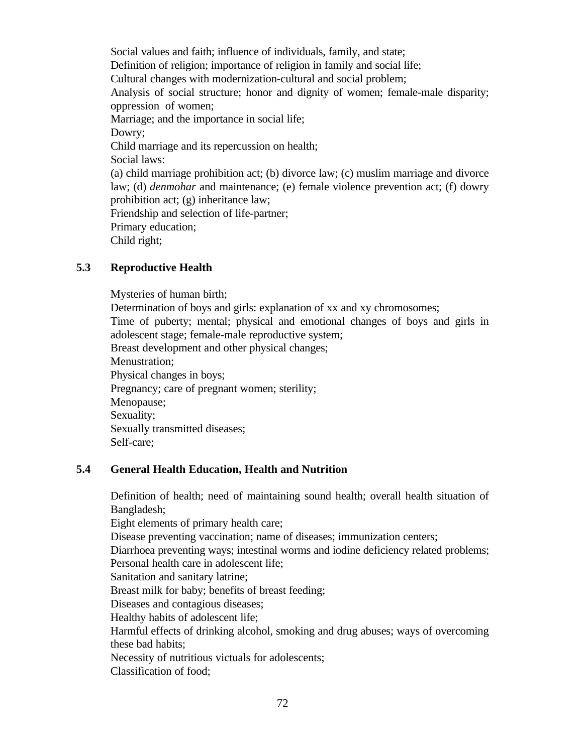Social values and faith; influence of individuals, family, and state; Definition of religion; importance of religion in family and social life; Cultural changes with modernization-cultural and social problem; Analysis of social structure; honor and dignity of women; female-male disparity; oppression of women; Marriage; and the importance in social life; Dowry; Child marriage and its repercussion on health; Social laws: (a) child marriage prohibition act; (b) divorce law; (c) muslim marriage and divorce law; (d) *denmohar* and maintenance; (e) female violence prevention act; (f) dowry prohibition act; (g) inheritance law; Friendship and selection of life-partner; Primary education; Child right;

#### **5.3 Reproductive Health**

Mysteries of human birth; Determination of boys and girls: explanation of xx and xy chromosomes; Time of puberty; mental; physical and emotional changes of boys and girls in adolescent stage; female-male reproductive system; Breast development and other physical changes; Menustration; Physical changes in boys; Pregnancy; care of pregnant women; sterility; Menopause; Sexuality; Sexually transmitted diseases; Self-care;

#### **5.4 General Health Education, Health and Nutrition**

Definition of health; need of maintaining sound health; overall health situation of Bangladesh;

Eight elements of primary health care;

Disease preventing vaccination; name of diseases; immunization centers;

Diarrhoea preventing ways; intestinal worms and iodine deficiency related problems;

Personal health care in adolescent life;

Sanitation and sanitary latrine;

Breast milk for baby; benefits of breast feeding;

Diseases and contagious diseases;

Healthy habits of adolescent life;

Harmful effects of drinking alcohol, smoking and drug abuses; ways of overcoming these bad habits;

Necessity of nutritious victuals for adolescents;

Classification of food;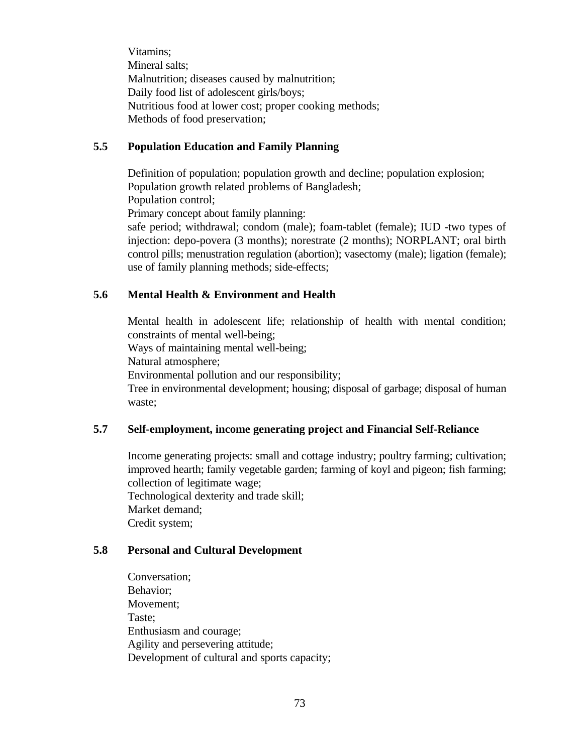Vitamins; Mineral salts; Malnutrition; diseases caused by malnutrition; Daily food list of adolescent girls/boys; Nutritious food at lower cost; proper cooking methods; Methods of food preservation;

#### **5.5 Population Education and Family Planning**

Definition of population; population growth and decline; population explosion; Population growth related problems of Bangladesh;

Population control;

Primary concept about family planning:

safe period; withdrawal; condom (male); foam-tablet (female); IUD -two types of injection: depo-povera (3 months); norestrate (2 months); NORPLANT; oral birth control pills; menustration regulation (abortion); vasectomy (male); ligation (female); use of family planning methods; side-effects;

#### **5.6 Mental Health & Environment and Health**

Mental health in adolescent life; relationship of health with mental condition; constraints of mental well-being;

Ways of maintaining mental well-being;

Natural atmosphere;

Environmental pollution and our responsibility;

Tree in environmental development; housing; disposal of garbage; disposal of human waste;

### **5.7 Self-employment, income generating project and Financial Self-Reliance**

Income generating projects: small and cottage industry; poultry farming; cultivation; improved hearth; family vegetable garden; farming of koyl and pigeon; fish farming; collection of legitimate wage;

Technological dexterity and trade skill; Market demand; Credit system;

#### **5.8 Personal and Cultural Development**

Conversation; Behavior; Movement; Taste; Enthusiasm and courage; Agility and persevering attitude; Development of cultural and sports capacity;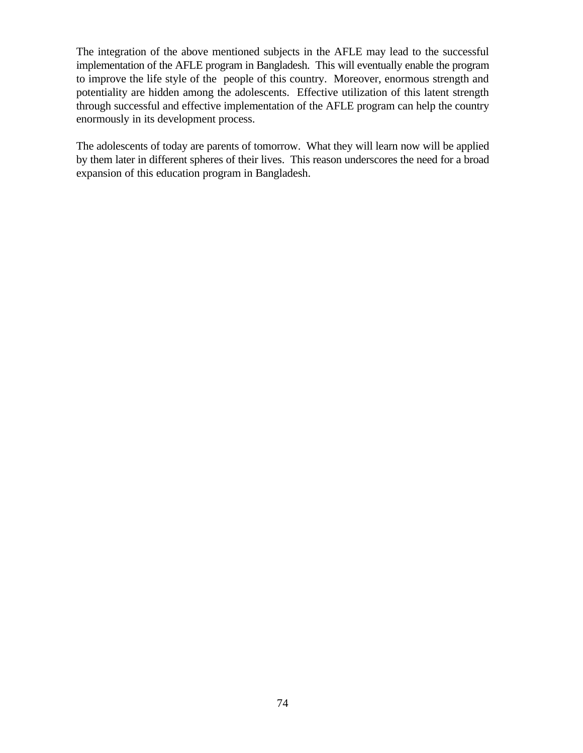The integration of the above mentioned subjects in the AFLE may lead to the successful implementation of the AFLE program in Bangladesh. This will eventually enable the program to improve the life style of the people of this country. Moreover, enormous strength and potentiality are hidden among the adolescents. Effective utilization of this latent strength through successful and effective implementation of the AFLE program can help the country enormously in its development process.

The adolescents of today are parents of tomorrow. What they will learn now will be applied by them later in different spheres of their lives. This reason underscores the need for a broad expansion of this education program in Bangladesh.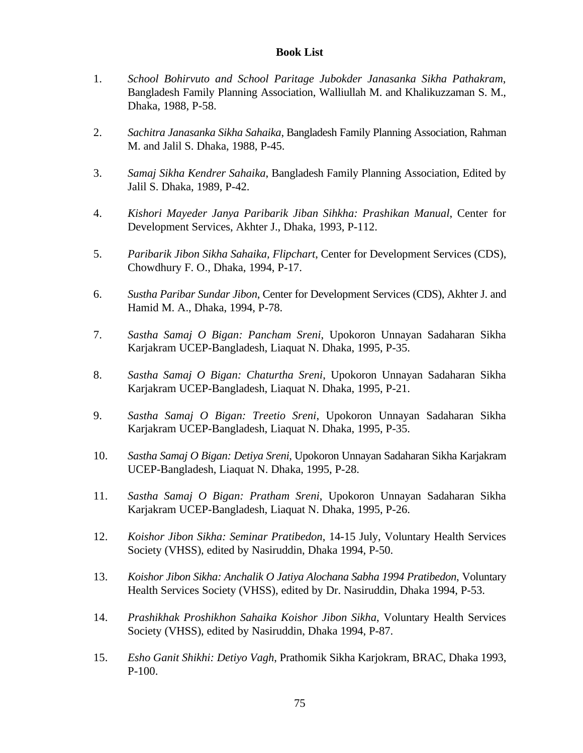#### **Book List**

- 1. *School Bohirvuto and School Paritage Jubokder Janasanka Sikha Pathakram*, Bangladesh Family Planning Association, Walliullah M. and Khalikuzzaman S. M., Dhaka, 1988, P-58.
- 2. *Sachitra Janasanka Sikha Sahaika*, Bangladesh Family Planning Association, Rahman M. and Jalil S. Dhaka, 1988, P-45.
- 3. *Samaj Sikha Kendrer Sahaika*, Bangladesh Family Planning Association, Edited by Jalil S. Dhaka, 1989, P-42.
- 4. *Kishori Mayeder Janya Paribarik Jiban Sihkha: Prashikan Manual*, Center for Development Services, Akhter J., Dhaka, 1993, P-112.
- 5. *Paribarik Jibon Sikha Sahaika, Flipchart*, Center for Development Services (CDS), Chowdhury F. O., Dhaka, 1994, P-17.
- 6. *Sustha Paribar Sundar Jibon*, Center for Development Services (CDS), Akhter J. and Hamid M. A., Dhaka, 1994, P-78.
- 7. *Sastha Samaj O Bigan: Pancham Sreni*, Upokoron Unnayan Sadaharan Sikha Karjakram UCEP-Bangladesh, Liaquat N. Dhaka, 1995, P-35.
- 8. *Sastha Samaj O Bigan: Chaturtha Sreni*, Upokoron Unnayan Sadaharan Sikha Karjakram UCEP-Bangladesh, Liaquat N. Dhaka, 1995, P-21.
- 9. *Sastha Samaj O Bigan: Treetio Sreni*, Upokoron Unnayan Sadaharan Sikha Karjakram UCEP-Bangladesh, Liaquat N. Dhaka, 1995, P-35.
- 10. *Sastha Samaj O Bigan: Detiya Sreni*, Upokoron Unnayan Sadaharan Sikha Karjakram UCEP-Bangladesh, Liaquat N. Dhaka, 1995, P-28.
- 11. *Sastha Samaj O Bigan: Pratham Sreni*, Upokoron Unnayan Sadaharan Sikha Karjakram UCEP-Bangladesh, Liaquat N. Dhaka, 1995, P-26.
- 12. *Koishor Jibon Sikha: Seminar Pratibedon*, 14-15 July, Voluntary Health Services Society (VHSS), edited by Nasiruddin, Dhaka 1994, P-50.
- 13. *Koishor Jibon Sikha: Anchalik O Jatiya Alochana Sabha 1994 Pratibedon*, Voluntary Health Services Society (VHSS), edited by Dr. Nasiruddin, Dhaka 1994, P-53.
- 14. *Prashikhak Proshikhon Sahaika Koishor Jibon Sikha*, Voluntary Health Services Society (VHSS), edited by Nasiruddin, Dhaka 1994, P-87.
- 15. *Esho Ganit Shikhi: Detiyo Vagh*, Prathomik Sikha Karjokram, BRAC, Dhaka 1993, P-100.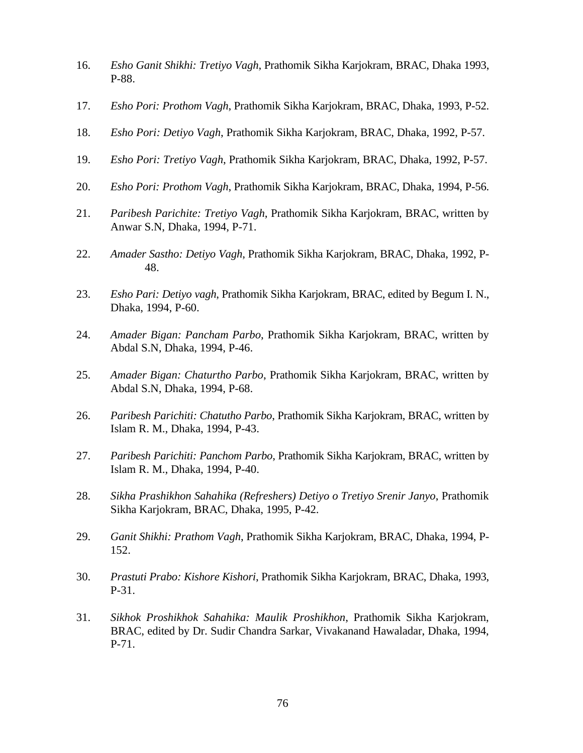- 16. *Esho Ganit Shikhi: Tretiyo Vagh*, Prathomik Sikha Karjokram, BRAC, Dhaka 1993, P-88.
- 17. *Esho Pori: Prothom Vagh*, Prathomik Sikha Karjokram, BRAC, Dhaka, 1993, P-52.
- 18. *Esho Pori: Detiyo Vagh*, Prathomik Sikha Karjokram, BRAC, Dhaka, 1992, P-57.
- 19. *Esho Pori: Tretiyo Vagh*, Prathomik Sikha Karjokram, BRAC, Dhaka, 1992, P-57.
- 20. *Esho Pori: Prothom Vagh*, Prathomik Sikha Karjokram, BRAC, Dhaka, 1994, P-56.
- 21. *Paribesh Parichite: Tretiyo Vagh*, Prathomik Sikha Karjokram, BRAC, written by Anwar S.N, Dhaka, 1994, P-71.
- 22. *Amader Sastho: Detiyo Vagh*, Prathomik Sikha Karjokram, BRAC, Dhaka, 1992, P-48.
- 23. *Esho Pari: Detiyo vagh*, Prathomik Sikha Karjokram, BRAC, edited by Begum I. N., Dhaka, 1994, P-60.
- 24. *Amader Bigan: Pancham Parbo*, Prathomik Sikha Karjokram, BRAC, written by Abdal S.N, Dhaka, 1994, P-46.
- 25. *Amader Bigan: Chaturtho Parbo*, Prathomik Sikha Karjokram, BRAC, written by Abdal S.N, Dhaka, 1994, P-68.
- 26. *Paribesh Parichiti: Chatutho Parbo*, Prathomik Sikha Karjokram, BRAC, written by Islam R. M., Dhaka, 1994, P-43.
- 27. *Paribesh Parichiti: Panchom Parbo*, Prathomik Sikha Karjokram, BRAC, written by Islam R. M., Dhaka, 1994, P-40.
- 28. *Sikha Prashikhon Sahahika (Refreshers) Detiyo o Tretiyo Srenir Janyo*, Prathomik Sikha Karjokram, BRAC, Dhaka, 1995, P-42.
- 29. *Ganit Shikhi: Prathom Vagh*, Prathomik Sikha Karjokram, BRAC, Dhaka, 1994, P-152.
- 30. *Prastuti Prabo: Kishore Kishori*, Prathomik Sikha Karjokram, BRAC, Dhaka, 1993, P-31.
- 31. *Sikhok Proshikhok Sahahika: Maulik Proshikhon*, Prathomik Sikha Karjokram, BRAC, edited by Dr. Sudir Chandra Sarkar, Vivakanand Hawaladar, Dhaka, 1994, P-71.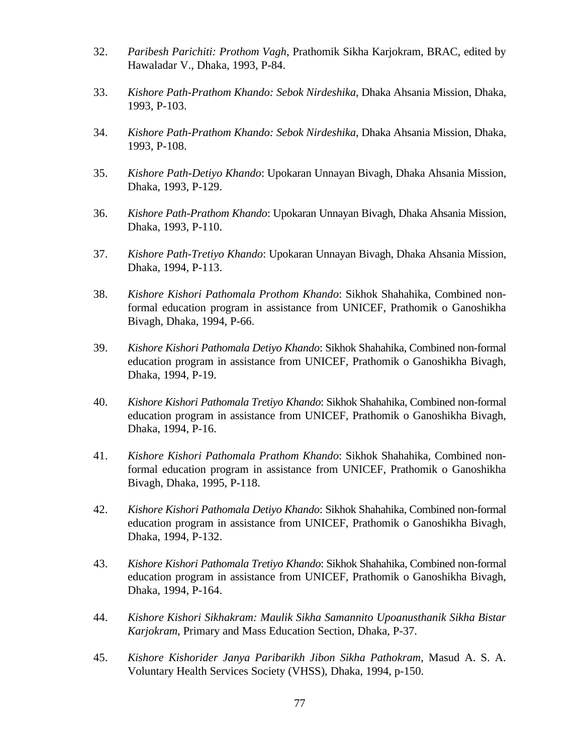- 32. *Paribesh Parichiti: Prothom Vagh*, Prathomik Sikha Karjokram, BRAC, edited by Hawaladar V., Dhaka, 1993, P-84.
- 33. *Kishore Path-Prathom Khando: Sebok Nirdeshika*, Dhaka Ahsania Mission, Dhaka, 1993, P-103.
- 34. *Kishore Path-Prathom Khando: Sebok Nirdeshika*, Dhaka Ahsania Mission, Dhaka, 1993, P-108.
- 35. *Kishore Path-Detiyo Khando*: Upokaran Unnayan Bivagh, Dhaka Ahsania Mission, Dhaka, 1993, P-129.
- 36. *Kishore Path-Prathom Khando*: Upokaran Unnayan Bivagh, Dhaka Ahsania Mission, Dhaka, 1993, P-110.
- 37. *Kishore Path-Tretiyo Khando*: Upokaran Unnayan Bivagh, Dhaka Ahsania Mission, Dhaka, 1994, P-113.
- 38. *Kishore Kishori Pathomala Prothom Khando*: Sikhok Shahahika, Combined nonformal education program in assistance from UNICEF, Prathomik o Ganoshikha Bivagh, Dhaka, 1994, P-66.
- 39. *Kishore Kishori Pathomala Detiyo Khando*: Sikhok Shahahika, Combined non-formal education program in assistance from UNICEF, Prathomik o Ganoshikha Bivagh, Dhaka, 1994, P-19.
- 40. *Kishore Kishori Pathomala Tretiyo Khando*: Sikhok Shahahika, Combined non-formal education program in assistance from UNICEF, Prathomik o Ganoshikha Bivagh, Dhaka, 1994, P-16.
- 41. *Kishore Kishori Pathomala Prathom Khando*: Sikhok Shahahika, Combined nonformal education program in assistance from UNICEF, Prathomik o Ganoshikha Bivagh, Dhaka, 1995, P-118.
- 42. *Kishore Kishori Pathomala Detiyo Khando*: Sikhok Shahahika, Combined non-formal education program in assistance from UNICEF, Prathomik o Ganoshikha Bivagh, Dhaka, 1994, P-132.
- 43. *Kishore Kishori Pathomala Tretiyo Khando*: Sikhok Shahahika, Combined non-formal education program in assistance from UNICEF, Prathomik o Ganoshikha Bivagh, Dhaka, 1994, P-164.
- 44. *Kishore Kishori Sikhakram: Maulik Sikha Samannito Upoanusthanik Sikha Bistar Karjokram*, Primary and Mass Education Section, Dhaka, P-37.
- 45. *Kishore Kishorider Janya Paribarikh Jibon Sikha Pathokram*, Masud A. S. A. Voluntary Health Services Society (VHSS), Dhaka, 1994, p-150.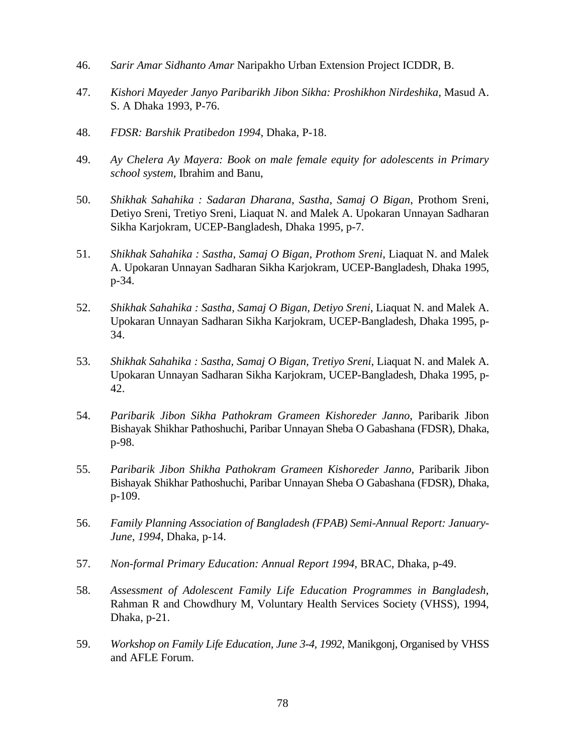- 46. *Sarir Amar Sidhanto Amar* Naripakho Urban Extension Project ICDDR, B.
- 47. *Kishori Mayeder Janyo Paribarikh Jibon Sikha: Proshikhon Nirdeshika*, Masud A. S. A Dhaka 1993, P-76.
- 48. *FDSR: Barshik Pratibedon 1994*, Dhaka, P-18.
- 49. *Ay Chelera Ay Mayera: Book on male female equity for adolescents in Primary school system*, Ibrahim and Banu,
- 50. *Shikhak Sahahika : Sadaran Dharana, Sastha, Samaj O Bigan*, Prothom Sreni, Detiyo Sreni, Tretiyo Sreni, Liaquat N. and Malek A. Upokaran Unnayan Sadharan Sikha Karjokram, UCEP-Bangladesh, Dhaka 1995, p-7.
- 51. *Shikhak Sahahika : Sastha, Samaj O Bigan, Prothom Sreni*, Liaquat N. and Malek A. Upokaran Unnayan Sadharan Sikha Karjokram, UCEP-Bangladesh, Dhaka 1995, p-34.
- 52. *Shikhak Sahahika : Sastha, Samaj O Bigan, Detiyo Sreni*, Liaquat N. and Malek A. Upokaran Unnayan Sadharan Sikha Karjokram, UCEP-Bangladesh, Dhaka 1995, p-34.
- 53. *Shikhak Sahahika : Sastha, Samaj O Bigan, Tretiyo Sreni*, Liaquat N. and Malek A. Upokaran Unnayan Sadharan Sikha Karjokram, UCEP-Bangladesh, Dhaka 1995, p-42.
- 54. *Paribarik Jibon Sikha Pathokram Grameen Kishoreder Janno*, Paribarik Jibon Bishayak Shikhar Pathoshuchi, Paribar Unnayan Sheba O Gabashana (FDSR), Dhaka, p-98.
- 55. *Paribarik Jibon Shikha Pathokram Grameen Kishoreder Janno*, Paribarik Jibon Bishayak Shikhar Pathoshuchi, Paribar Unnayan Sheba O Gabashana (FDSR), Dhaka, p-109.
- 56. *Family Planning Association of Bangladesh (FPAB) Semi-Annual Report: January-June, 1994*, Dhaka, p-14.
- 57. *Non-formal Primary Education: Annual Report 1994*, BRAC, Dhaka, p-49.
- 58. *Assessment of Adolescent Family Life Education Programmes in Bangladesh*, Rahman R and Chowdhury M, Voluntary Health Services Society (VHSS), 1994, Dhaka, p-21.
- 59. *Workshop on Family Life Education, June 3-4, 1992*, Manikgonj, Organised by VHSS and AFLE Forum.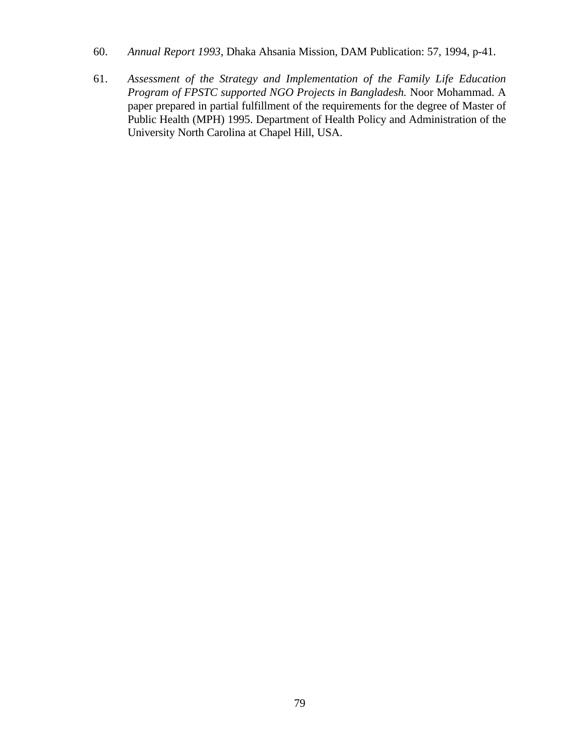- 60. *Annual Report 1993*, Dhaka Ahsania Mission, DAM Publication: 57, 1994, p-41.
- 61. *Assessment of the Strategy and Implementation of the Family Life Education Program of FPSTC supported NGO Projects in Bangladesh.* Noor Mohammad. A paper prepared in partial fulfillment of the requirements for the degree of Master of Public Health (MPH) 1995. Department of Health Policy and Administration of the University North Carolina at Chapel Hill, USA.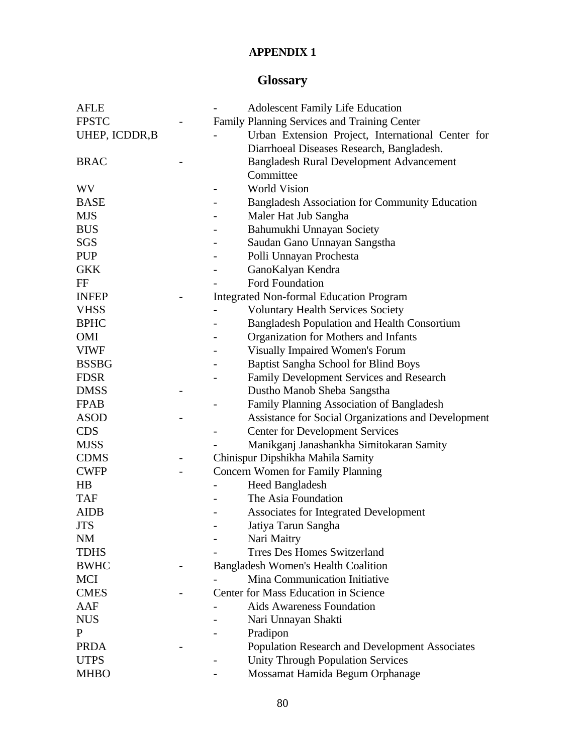### **APPENDIX 1**

# **Glossary**

| <b>AFLE</b>    | <b>Adolescent Family Life Education</b>                              |
|----------------|----------------------------------------------------------------------|
| <b>FPSTC</b>   | Family Planning Services and Training Center                         |
| UHEP, ICDDR, B | Urban Extension Project, International Center for                    |
|                | Diarrhoeal Diseases Research, Bangladesh.                            |
| <b>BRAC</b>    | <b>Bangladesh Rural Development Advancement</b>                      |
|                | Committee                                                            |
| WV             | <b>World Vision</b><br>$\overline{\phantom{a}}$                      |
| <b>BASE</b>    | <b>Bangladesh Association for Community Education</b>                |
| <b>MJS</b>     | Maler Hat Jub Sangha                                                 |
| <b>BUS</b>     | Bahumukhi Unnayan Society                                            |
| SGS            | Saudan Gano Unnayan Sangstha                                         |
| <b>PUP</b>     | Polli Unnayan Prochesta                                              |
| <b>GKK</b>     | GanoKalyan Kendra                                                    |
| FF             | <b>Ford Foundation</b>                                               |
| <b>INFEP</b>   | <b>Integrated Non-formal Education Program</b>                       |
| <b>VHSS</b>    | <b>Voluntary Health Services Society</b>                             |
| <b>BPHC</b>    | <b>Bangladesh Population and Health Consortium</b>                   |
| OMI            | Organization for Mothers and Infants                                 |
| <b>VIWF</b>    | Visually Impaired Women's Forum                                      |
| <b>BSSBG</b>   | Baptist Sangha School for Blind Boys                                 |
| <b>FDSR</b>    | Family Development Services and Research                             |
| <b>DMSS</b>    | Dustho Manob Sheba Sangstha                                          |
| <b>FPAB</b>    | Family Planning Association of Bangladesh                            |
| <b>ASOD</b>    | Assistance for Social Organizations and Development                  |
| <b>CDS</b>     | <b>Center for Development Services</b>                               |
| <b>MJSS</b>    | Manikganj Janashankha Simitokaran Samity                             |
| <b>CDMS</b>    | Chinispur Dipshikha Mahila Samity                                    |
| <b>CWFP</b>    | Concern Women for Family Planning                                    |
| $_{\rm HB}$    | <b>Heed Bangladesh</b>                                               |
| <b>TAF</b>     | The Asia Foundation                                                  |
| <b>AIDB</b>    | Associates for Integrated Development                                |
| <b>JTS</b>     | Jatiya Tarun Sangha                                                  |
| NM             | Nari Maitry                                                          |
| <b>TDHS</b>    | <b>Trres Des Homes Switzerland</b>                                   |
| <b>BWHC</b>    | <b>Bangladesh Women's Health Coalition</b>                           |
| MCI            | Mina Communication Initiative                                        |
| <b>CMES</b>    | Center for Mass Education in Science                                 |
| AAF            | Aids Awareness Foundation                                            |
| <b>NUS</b>     | Nari Unnayan Shakti                                                  |
| P              | Pradipon                                                             |
| <b>PRDA</b>    | <b>Population Research and Development Associates</b>                |
| <b>UTPS</b>    | <b>Unity Through Population Services</b><br>$\overline{\phantom{a}}$ |
| <b>MHBO</b>    | Mossamat Hamida Begum Orphanage                                      |
|                |                                                                      |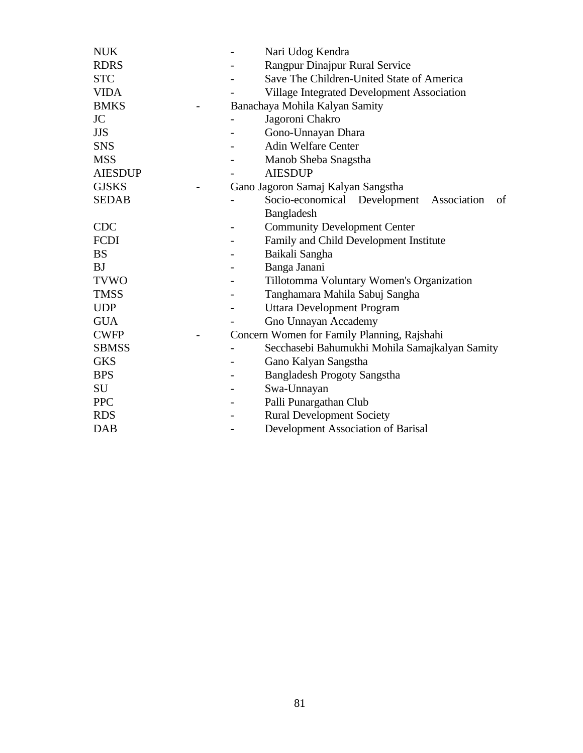|                                             | Nari Udog Kendra<br>Rangpur Dinajpur Rural Service           |  |  |  |  |
|---------------------------------------------|--------------------------------------------------------------|--|--|--|--|
|                                             | Save The Children-United State of America                    |  |  |  |  |
|                                             | Village Integrated Development Association                   |  |  |  |  |
| Banachaya Mohila Kalyan Samity              |                                                              |  |  |  |  |
|                                             | Jagoroni Chakro                                              |  |  |  |  |
|                                             | Gono-Unnayan Dhara                                           |  |  |  |  |
|                                             | <b>Adin Welfare Center</b>                                   |  |  |  |  |
|                                             | Manob Sheba Snagstha                                         |  |  |  |  |
|                                             | <b>AIESDUP</b>                                               |  |  |  |  |
| Gano Jagoron Samaj Kalyan Sangstha          |                                                              |  |  |  |  |
|                                             | Socio-economical Development Association<br>of<br>Bangladesh |  |  |  |  |
|                                             | <b>Community Development Center</b>                          |  |  |  |  |
|                                             | Family and Child Development Institute                       |  |  |  |  |
|                                             | Baikali Sangha                                               |  |  |  |  |
|                                             | Banga Janani                                                 |  |  |  |  |
|                                             | Tillotomma Voluntary Women's Organization                    |  |  |  |  |
|                                             | Tanghamara Mahila Sabuj Sangha                               |  |  |  |  |
|                                             | Uttara Development Program                                   |  |  |  |  |
|                                             | Gno Unnayan Accademy                                         |  |  |  |  |
| Concern Women for Family Planning, Rajshahi |                                                              |  |  |  |  |
|                                             | Secchasebi Bahumukhi Mohila Samajkalyan Samity               |  |  |  |  |
|                                             | Gano Kalyan Sangstha                                         |  |  |  |  |
|                                             | <b>Bangladesh Progoty Sangstha</b>                           |  |  |  |  |
|                                             | Swa-Unnayan                                                  |  |  |  |  |
|                                             | Palli Punargathan Club                                       |  |  |  |  |
|                                             | <b>Rural Development Society</b>                             |  |  |  |  |
|                                             | Development Association of Barisal                           |  |  |  |  |
|                                             |                                                              |  |  |  |  |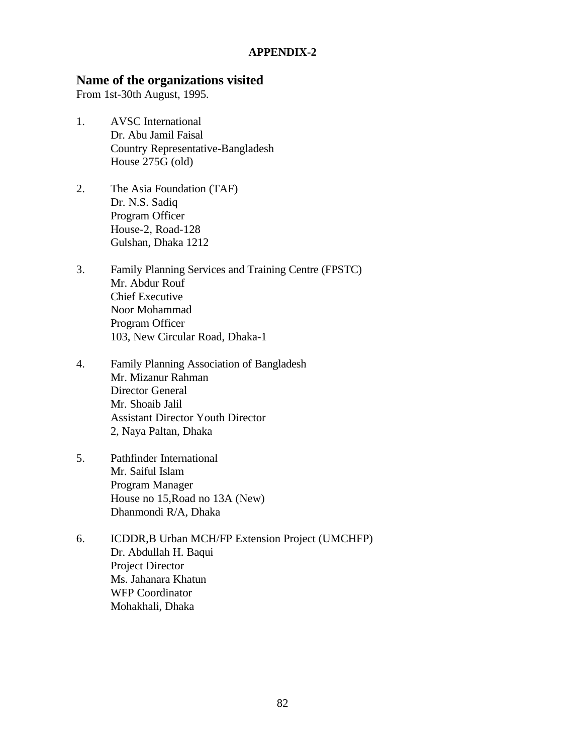#### **APPENDIX-2**

### **Name of the organizations visited**

From 1st-30th August, 1995.

- 1. AVSC International Dr. Abu Jamil Faisal Country Representative-Bangladesh House 275G (old)
- 2. The Asia Foundation (TAF) Dr. N.S. Sadiq Program Officer House-2, Road-128 Gulshan, Dhaka 1212
- 3. Family Planning Services and Training Centre (FPSTC) Mr. Abdur Rouf Chief Executive Noor Mohammad Program Officer 103, New Circular Road, Dhaka-1
- 4. Family Planning Association of Bangladesh Mr. Mizanur Rahman Director General Mr. Shoaib Jalil Assistant Director Youth Director 2, Naya Paltan, Dhaka
- 5. Pathfinder International Mr. Saiful Islam Program Manager House no 15,Road no 13A (New) Dhanmondi R/A, Dhaka
- 6. ICDDR,B Urban MCH/FP Extension Project (UMCHFP) Dr. Abdullah H. Baqui Project Director Ms. Jahanara Khatun WFP Coordinator Mohakhali, Dhaka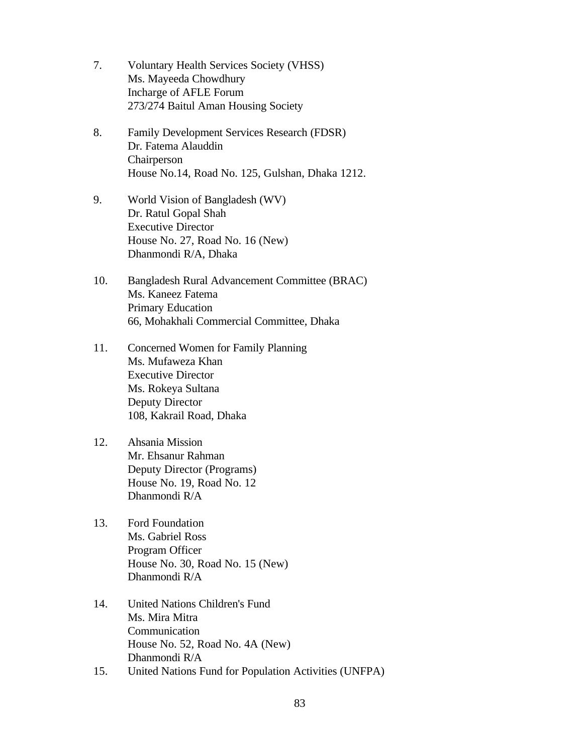- 7. Voluntary Health Services Society (VHSS) Ms. Mayeeda Chowdhury Incharge of AFLE Forum 273/274 Baitul Aman Housing Society
- 8. Family Development Services Research (FDSR) Dr. Fatema Alauddin Chairperson House No.14, Road No. 125, Gulshan, Dhaka 1212.
- 9. World Vision of Bangladesh (WV) Dr. Ratul Gopal Shah Executive Director House No. 27, Road No. 16 (New) Dhanmondi R/A, Dhaka
- 10. Bangladesh Rural Advancement Committee (BRAC) Ms. Kaneez Fatema Primary Education 66, Mohakhali Commercial Committee, Dhaka
- 11. Concerned Women for Family Planning Ms. Mufaweza Khan Executive Director Ms. Rokeya Sultana Deputy Director 108, Kakrail Road, Dhaka
- 12. Ahsania Mission Mr. Ehsanur Rahman Deputy Director (Programs) House No. 19, Road No. 12 Dhanmondi R/A
- 13. Ford Foundation Ms. Gabriel Ross Program Officer House No. 30, Road No. 15 (New) Dhanmondi R/A
- 14. United Nations Children's Fund Ms. Mira Mitra Communication House No. 52, Road No. 4A (New) Dhanmondi R/A
- 15. United Nations Fund for Population Activities (UNFPA)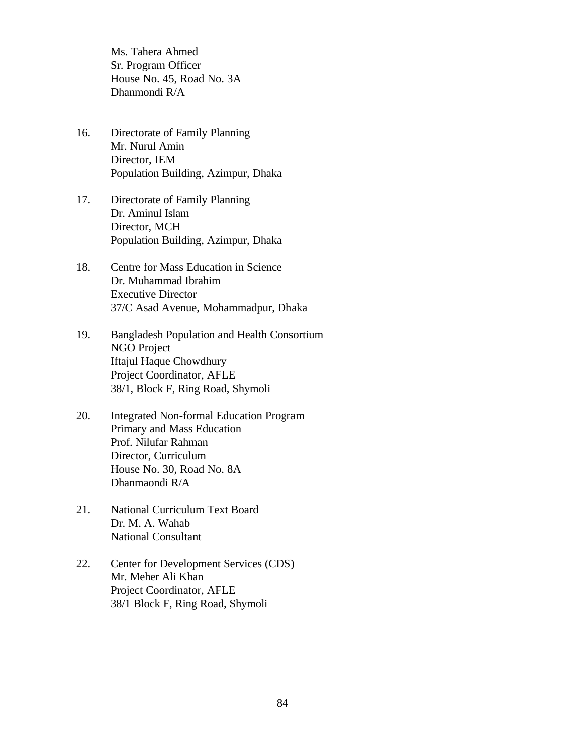Ms. Tahera Ahmed Sr. Program Officer House No. 45, Road No. 3A Dhanmondi R/A

- 16. Directorate of Family Planning Mr. Nurul Amin Director, IEM Population Building, Azimpur, Dhaka
- 17. Directorate of Family Planning Dr. Aminul Islam Director, MCH Population Building, Azimpur, Dhaka
- 18. Centre for Mass Education in Science Dr. Muhammad Ibrahim Executive Director 37/C Asad Avenue, Mohammadpur, Dhaka
- 19. Bangladesh Population and Health Consortium NGO Project Iftajul Haque Chowdhury Project Coordinator, AFLE 38/1, Block F, Ring Road, Shymoli
- 20. Integrated Non-formal Education Program Primary and Mass Education Prof. Nilufar Rahman Director, Curriculum House No. 30, Road No. 8A Dhanmaondi R/A
- 21. National Curriculum Text Board Dr. M. A. Wahab National Consultant
- 22. Center for Development Services (CDS) Mr. Meher Ali Khan Project Coordinator, AFLE 38/1 Block F, Ring Road, Shymoli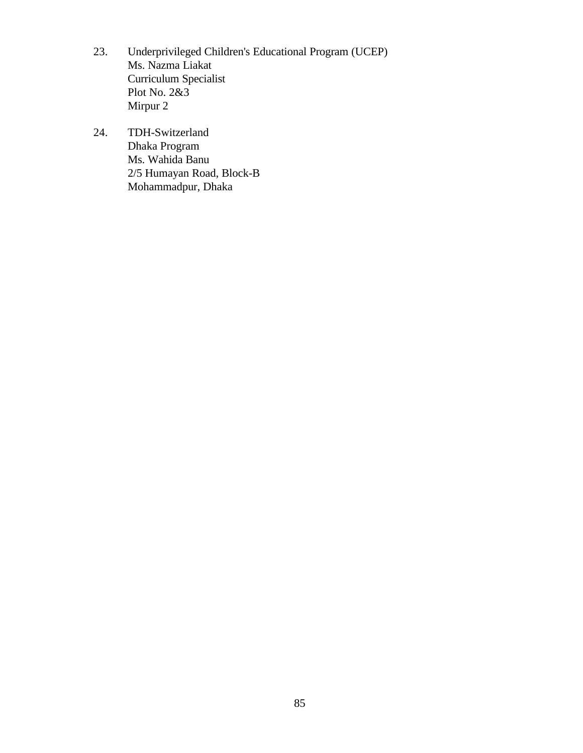- 23. Underprivileged Children's Educational Program (UCEP) Ms. Nazma Liakat Curriculum Specialist Plot No. 2&3 Mirpur 2
- 24. TDH-Switzerland Dhaka Program Ms. Wahida Banu 2/5 Humayan Road, Block-B Mohammadpur, Dhaka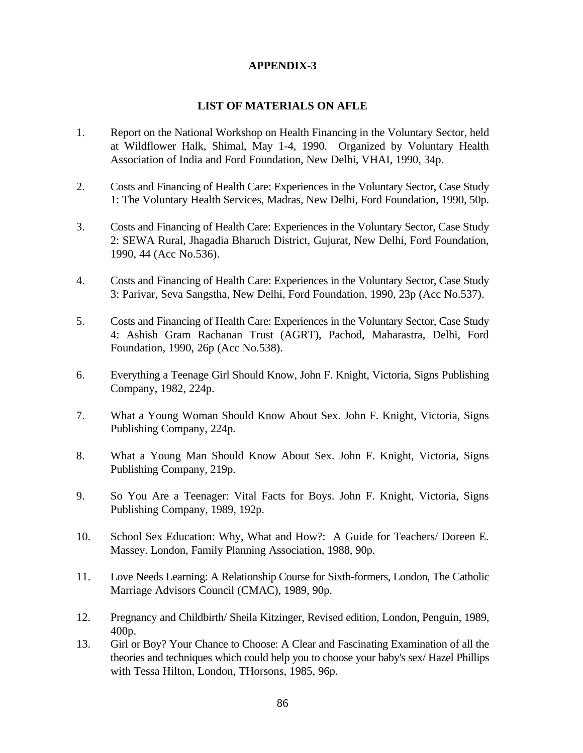#### **APPENDIX-3**

#### **LIST OF MATERIALS ON AFLE**

- 1. Report on the National Workshop on Health Financing in the Voluntary Sector, held at Wildflower Halk, Shimal, May 1-4, 1990. Organized by Voluntary Health Association of India and Ford Foundation, New Delhi, VHAI, 1990, 34p.
- 2. Costs and Financing of Health Care: Experiences in the Voluntary Sector, Case Study 1: The Voluntary Health Services, Madras, New Delhi, Ford Foundation, 1990, 50p.
- 3. Costs and Financing of Health Care: Experiences in the Voluntary Sector, Case Study 2: SEWA Rural, Jhagadia Bharuch District, Gujurat, New Delhi, Ford Foundation, 1990, 44 (Acc No.536).
- 4. Costs and Financing of Health Care: Experiences in the Voluntary Sector, Case Study 3: Parivar, Seva Sangstha, New Delhi, Ford Foundation, 1990, 23p (Acc No.537).
- 5. Costs and Financing of Health Care: Experiences in the Voluntary Sector, Case Study 4: Ashish Gram Rachanan Trust (AGRT), Pachod, Maharastra, Delhi, Ford Foundation, 1990, 26p (Acc No.538).
- 6. Everything a Teenage Girl Should Know, John F. Knight, Victoria, Signs Publishing Company, 1982, 224p.
- 7. What a Young Woman Should Know About Sex. John F. Knight, Victoria, Signs Publishing Company, 224p.
- 8. What a Young Man Should Know About Sex. John F. Knight, Victoria, Signs Publishing Company, 219p.
- 9. So You Are a Teenager: Vital Facts for Boys. John F. Knight, Victoria, Signs Publishing Company, 1989, 192p.
- 10. School Sex Education: Why, What and How?: A Guide for Teachers/ Doreen E. Massey. London, Family Planning Association, 1988, 90p.
- 11. Love Needs Learning: A Relationship Course for Sixth-formers, London, The Catholic Marriage Advisors Council (CMAC), 1989, 90p.
- 12. Pregnancy and Childbirth/ Sheila Kitzinger, Revised edition, London, Penguin, 1989, 400p.
- 13. Girl or Boy? Your Chance to Choose: A Clear and Fascinating Examination of all the theories and techniques which could help you to choose your baby's sex/ Hazel Phillips with Tessa Hilton, London, THorsons, 1985, 96p.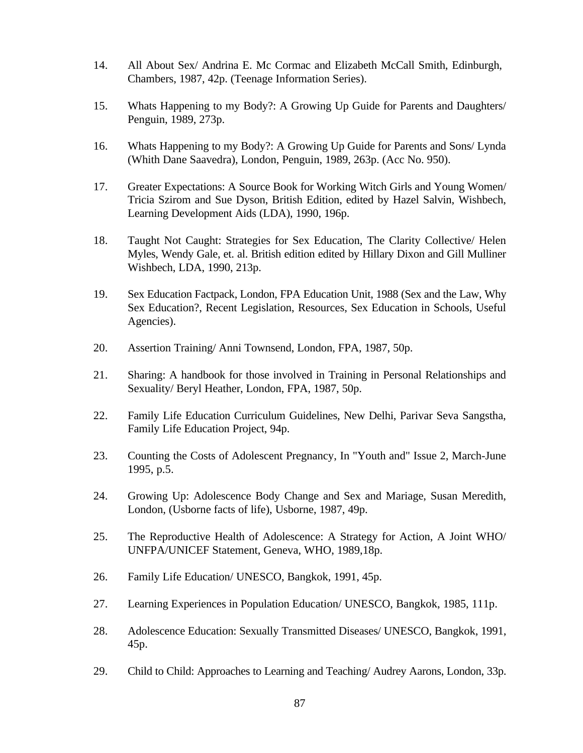- 14. All About Sex/ Andrina E. Mc Cormac and Elizabeth McCall Smith, Edinburgh, Chambers, 1987, 42p. (Teenage Information Series).
- 15. Whats Happening to my Body?: A Growing Up Guide for Parents and Daughters/ Penguin, 1989, 273p.
- 16. Whats Happening to my Body?: A Growing Up Guide for Parents and Sons/ Lynda (Whith Dane Saavedra), London, Penguin, 1989, 263p. (Acc No. 950).
- 17. Greater Expectations: A Source Book for Working Witch Girls and Young Women/ Tricia Szirom and Sue Dyson, British Edition, edited by Hazel Salvin, Wishbech, Learning Development Aids (LDA), 1990, 196p.
- 18. Taught Not Caught: Strategies for Sex Education, The Clarity Collective/ Helen Myles, Wendy Gale, et. al. British edition edited by Hillary Dixon and Gill Mulliner Wishbech, LDA, 1990, 213p.
- 19. Sex Education Factpack, London, FPA Education Unit, 1988 (Sex and the Law, Why Sex Education?, Recent Legislation, Resources, Sex Education in Schools, Useful Agencies).
- 20. Assertion Training/ Anni Townsend, London, FPA, 1987, 50p.
- 21. Sharing: A handbook for those involved in Training in Personal Relationships and Sexuality/ Beryl Heather, London, FPA, 1987, 50p.
- 22. Family Life Education Curriculum Guidelines, New Delhi, Parivar Seva Sangstha, Family Life Education Project, 94p.
- 23. Counting the Costs of Adolescent Pregnancy, In "Youth and" Issue 2, March-June 1995, p.5.
- 24. Growing Up: Adolescence Body Change and Sex and Mariage, Susan Meredith, London, (Usborne facts of life), Usborne, 1987, 49p.
- 25. The Reproductive Health of Adolescence: A Strategy for Action, A Joint WHO/ UNFPA/UNICEF Statement, Geneva, WHO, 1989,18p.
- 26. Family Life Education/ UNESCO, Bangkok, 1991, 45p.
- 27. Learning Experiences in Population Education/ UNESCO, Bangkok, 1985, 111p.
- 28. Adolescence Education: Sexually Transmitted Diseases/ UNESCO, Bangkok, 1991, 45p.
- 29. Child to Child: Approaches to Learning and Teaching/ Audrey Aarons, London, 33p.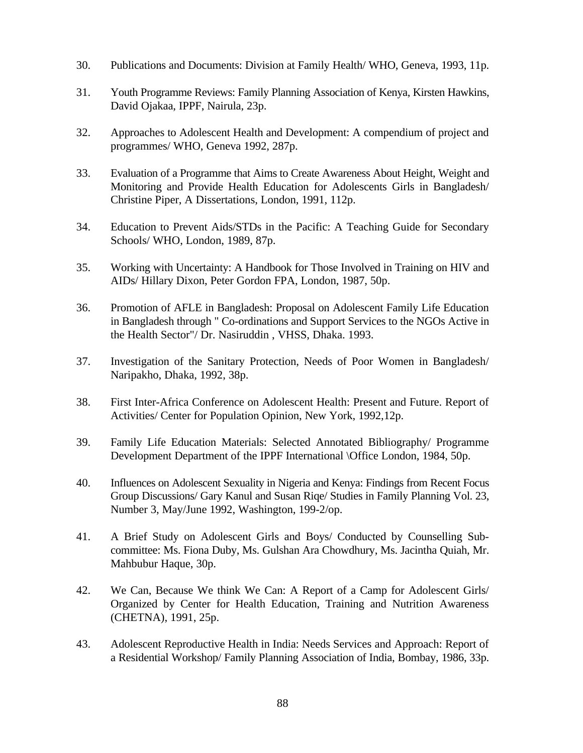- 30. Publications and Documents: Division at Family Health/ WHO, Geneva, 1993, 11p.
- 31. Youth Programme Reviews: Family Planning Association of Kenya, Kirsten Hawkins, David Ojakaa, IPPF, Nairula, 23p.
- 32. Approaches to Adolescent Health and Development: A compendium of project and programmes/ WHO, Geneva 1992, 287p.
- 33. Evaluation of a Programme that Aims to Create Awareness About Height, Weight and Monitoring and Provide Health Education for Adolescents Girls in Bangladesh/ Christine Piper, A Dissertations, London, 1991, 112p.
- 34. Education to Prevent Aids/STDs in the Pacific: A Teaching Guide for Secondary Schools/ WHO, London, 1989, 87p.
- 35. Working with Uncertainty: A Handbook for Those Involved in Training on HIV and AIDs/ Hillary Dixon, Peter Gordon FPA, London, 1987, 50p.
- 36. Promotion of AFLE in Bangladesh: Proposal on Adolescent Family Life Education in Bangladesh through " Co-ordinations and Support Services to the NGOs Active in the Health Sector"/ Dr. Nasiruddin , VHSS, Dhaka. 1993.
- 37. Investigation of the Sanitary Protection, Needs of Poor Women in Bangladesh/ Naripakho, Dhaka, 1992, 38p.
- 38. First Inter-Africa Conference on Adolescent Health: Present and Future. Report of Activities/ Center for Population Opinion, New York, 1992,12p.
- 39. Family Life Education Materials: Selected Annotated Bibliography/ Programme Development Department of the IPPF International \Office London, 1984, 50p.
- 40. Influences on Adolescent Sexuality in Nigeria and Kenya: Findings from Recent Focus Group Discussions/ Gary Kanul and Susan Riqe/ Studies in Family Planning Vol. 23, Number 3, May/June 1992, Washington, 199-2/op.
- 41. A Brief Study on Adolescent Girls and Boys/ Conducted by Counselling Subcommittee: Ms. Fiona Duby, Ms. Gulshan Ara Chowdhury, Ms. Jacintha Quiah, Mr. Mahbubur Haque, 30p.
- 42. We Can, Because We think We Can: A Report of a Camp for Adolescent Girls/ Organized by Center for Health Education, Training and Nutrition Awareness (CHETNA), 1991, 25p.
- 43. Adolescent Reproductive Health in India: Needs Services and Approach: Report of a Residential Workshop/ Family Planning Association of India, Bombay, 1986, 33p.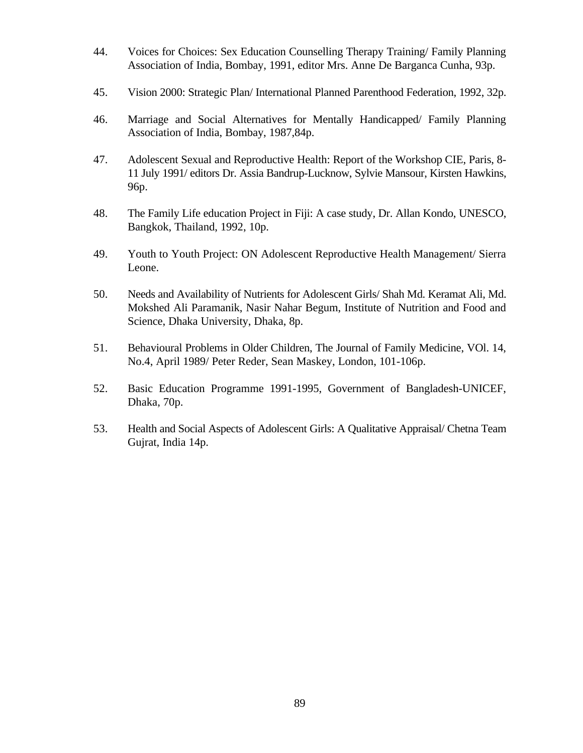- 44. Voices for Choices: Sex Education Counselling Therapy Training/ Family Planning Association of India, Bombay, 1991, editor Mrs. Anne De Barganca Cunha, 93p.
- 45. Vision 2000: Strategic Plan/ International Planned Parenthood Federation, 1992, 32p.
- 46. Marriage and Social Alternatives for Mentally Handicapped/ Family Planning Association of India, Bombay, 1987,84p.
- 47. Adolescent Sexual and Reproductive Health: Report of the Workshop CIE, Paris, 8- 11 July 1991/ editors Dr. Assia Bandrup-Lucknow, Sylvie Mansour, Kirsten Hawkins, 96p.
- 48. The Family Life education Project in Fiji: A case study, Dr. Allan Kondo, UNESCO, Bangkok, Thailand, 1992, 10p.
- 49. Youth to Youth Project: ON Adolescent Reproductive Health Management/ Sierra Leone.
- 50. Needs and Availability of Nutrients for Adolescent Girls/ Shah Md. Keramat Ali, Md. Mokshed Ali Paramanik, Nasir Nahar Begum, Institute of Nutrition and Food and Science, Dhaka University, Dhaka, 8p.
- 51. Behavioural Problems in Older Children, The Journal of Family Medicine, VOl. 14, No.4, April 1989/ Peter Reder, Sean Maskey, London, 101-106p.
- 52. Basic Education Programme 1991-1995, Government of Bangladesh-UNICEF, Dhaka, 70p.
- 53. Health and Social Aspects of Adolescent Girls: A Qualitative Appraisal/ Chetna Team Gujrat, India 14p.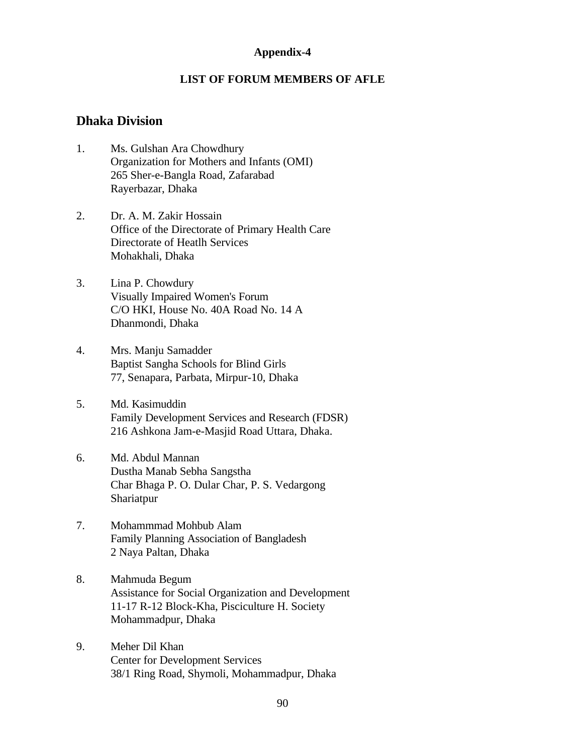#### **Appendix-4**

#### **LIST OF FORUM MEMBERS OF AFLE**

#### **Dhaka Division**

- 1. Ms. Gulshan Ara Chowdhury Organization for Mothers and Infants (OMI) 265 Sher-e-Bangla Road, Zafarabad Rayerbazar, Dhaka
- 2. Dr. A. M. Zakir Hossain Office of the Directorate of Primary Health Care Directorate of Heatlh Services Mohakhali, Dhaka
- 3. Lina P. Chowdury Visually Impaired Women's Forum C/O HKI, House No. 40A Road No. 14 A Dhanmondi, Dhaka
- 4. Mrs. Manju Samadder Baptist Sangha Schools for Blind Girls 77, Senapara, Parbata, Mirpur-10, Dhaka
- 5. Md. Kasimuddin Family Development Services and Research (FDSR) 216 Ashkona Jam-e-Masjid Road Uttara, Dhaka.
- 6. Md. Abdul Mannan Dustha Manab Sebha Sangstha Char Bhaga P. O. Dular Char, P. S. Vedargong Shariatpur
- 7. Mohammmad Mohbub Alam Family Planning Association of Bangladesh 2 Naya Paltan, Dhaka
- 8. Mahmuda Begum Assistance for Social Organization and Development 11-17 R-12 Block-Kha, Pisciculture H. Society Mohammadpur, Dhaka
- 9. Meher Dil Khan Center for Development Services 38/1 Ring Road, Shymoli, Mohammadpur, Dhaka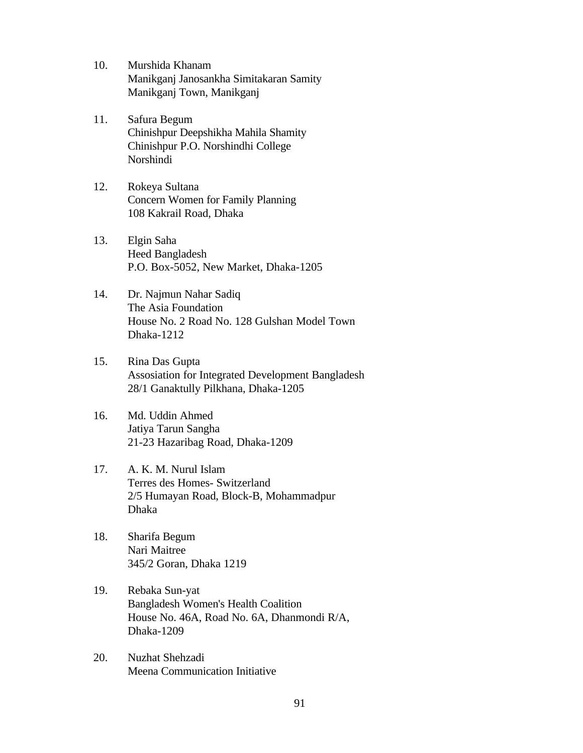- 10. Murshida Khanam Manikganj Janosankha Simitakaran Samity Manikganj Town, Manikganj
- 11. Safura Begum Chinishpur Deepshikha Mahila Shamity Chinishpur P.O. Norshindhi College Norshindi
- 12. Rokeya Sultana Concern Women for Family Planning 108 Kakrail Road, Dhaka
- 13. Elgin Saha Heed Bangladesh P.O. Box-5052, New Market, Dhaka-1205
- 14. Dr. Najmun Nahar Sadiq The Asia Foundation House No. 2 Road No. 128 Gulshan Model Town Dhaka-1212
- 15. Rina Das Gupta Assosiation for Integrated Development Bangladesh 28/1 Ganaktully Pilkhana, Dhaka-1205
- 16. Md. Uddin Ahmed Jatiya Tarun Sangha 21-23 Hazaribag Road, Dhaka-1209
- 17. A. K. M. Nurul Islam Terres des Homes- Switzerland 2/5 Humayan Road, Block-B, Mohammadpur Dhaka
- 18. Sharifa Begum Nari Maitree 345/2 Goran, Dhaka 1219
- 19. Rebaka Sun-yat Bangladesh Women's Health Coalition House No. 46A, Road No. 6A, Dhanmondi R/A, Dhaka-1209
- 20. Nuzhat Shehzadi Meena Communication Initiative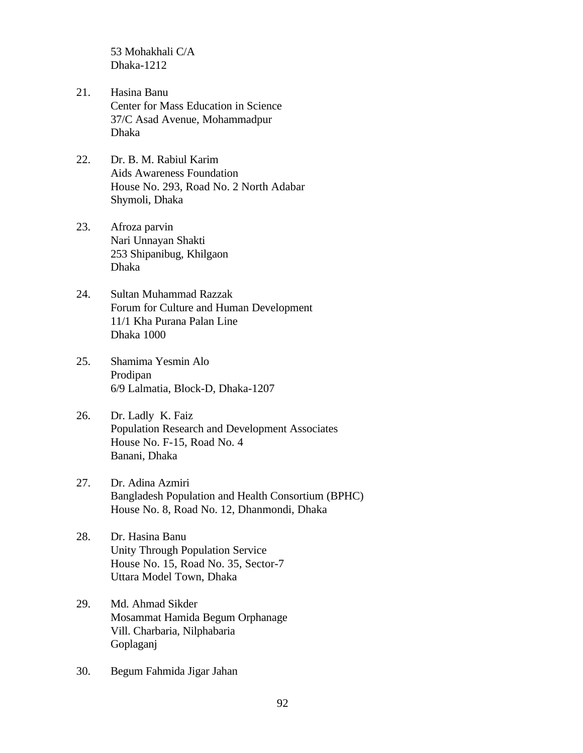53 Mohakhali C/A Dhaka-1212

- 21. Hasina Banu Center for Mass Education in Science 37/C Asad Avenue, Mohammadpur Dhaka
- 22. Dr. B. M. Rabiul Karim Aids Awareness Foundation House No. 293, Road No. 2 North Adabar Shymoli, Dhaka
- 23. Afroza parvin Nari Unnayan Shakti 253 Shipanibug, Khilgaon Dhaka
- 24. Sultan Muhammad Razzak Forum for Culture and Human Development 11/1 Kha Purana Palan Line Dhaka 1000
- 25. Shamima Yesmin Alo Prodipan 6/9 Lalmatia, Block-D, Dhaka-1207
- 26. Dr. Ladly K. Faiz Population Research and Development Associates House No. F-15, Road No. 4 Banani, Dhaka
- 27. Dr. Adina Azmiri Bangladesh Population and Health Consortium (BPHC) House No. 8, Road No. 12, Dhanmondi, Dhaka
- 28. Dr. Hasina Banu Unity Through Population Service House No. 15, Road No. 35, Sector-7 Uttara Model Town, Dhaka
- 29. Md. Ahmad Sikder Mosammat Hamida Begum Orphanage Vill. Charbaria, Nilphabaria Goplaganj
- 30. Begum Fahmida Jigar Jahan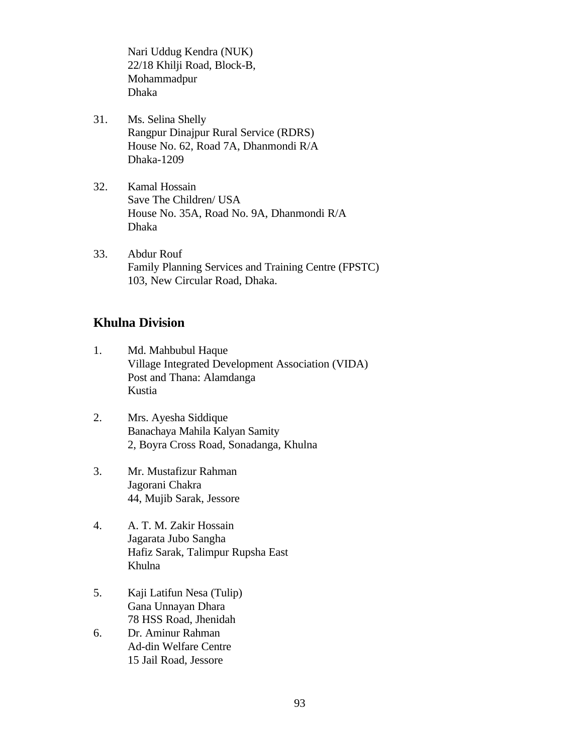Nari Uddug Kendra (NUK) 22/18 Khilji Road, Block-B, Mohammadpur Dhaka

- 31. Ms. Selina Shelly Rangpur Dinajpur Rural Service (RDRS) House No. 62, Road 7A, Dhanmondi R/A Dhaka-1209
- 32. Kamal Hossain Save The Children/ USA House No. 35A, Road No. 9A, Dhanmondi R/A Dhaka
- 33. Abdur Rouf Family Planning Services and Training Centre (FPSTC) 103, New Circular Road, Dhaka.

### **Khulna Division**

- 1. Md. Mahbubul Haque Village Integrated Development Association (VIDA) Post and Thana: Alamdanga Kustia
- 2. Mrs. Ayesha Siddique Banachaya Mahila Kalyan Samity 2, Boyra Cross Road, Sonadanga, Khulna
- 3. Mr. Mustafizur Rahman Jagorani Chakra 44, Mujib Sarak, Jessore
- 4. A. T. M. Zakir Hossain Jagarata Jubo Sangha Hafiz Sarak, Talimpur Rupsha East Khulna
- 5. Kaji Latifun Nesa (Tulip) Gana Unnayan Dhara 78 HSS Road, Jhenidah
- 6. Dr. Aminur Rahman Ad-din Welfare Centre 15 Jail Road, Jessore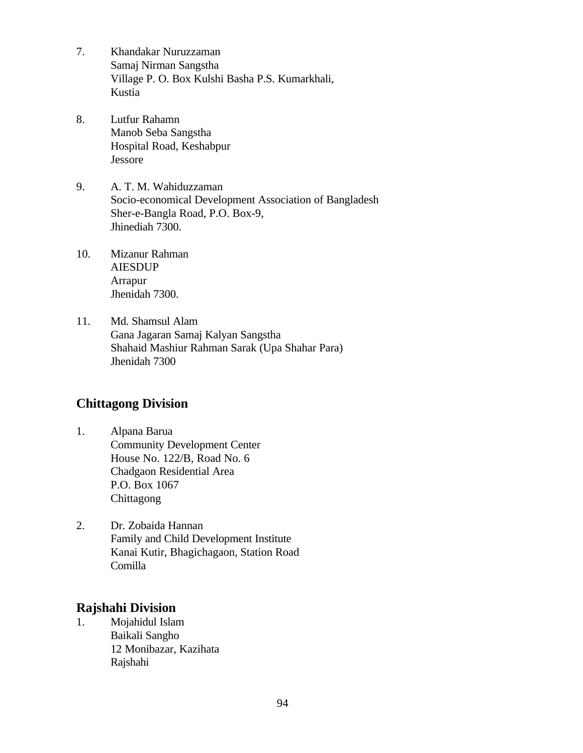- 7. Khandakar Nuruzzaman Samaj Nirman Sangstha Village P. O. Box Kulshi Basha P.S. Kumarkhali, Kustia
- 8. Lutfur Rahamn Manob Seba Sangstha Hospital Road, Keshabpur Jessore
- 9. A. T. M. Wahiduzzaman Socio-economical Development Association of Bangladesh Sher-e-Bangla Road, P.O. Box-9, Jhinediah 7300.
- 10. Mizanur Rahman AIESDUP Arrapur Jhenidah 7300.
- 11. Md. Shamsul Alam Gana Jagaran Samaj Kalyan Sangstha Shahaid Mashiur Rahman Sarak (Upa Shahar Para) Jhenidah 7300

### **Chittagong Division**

- 1. Alpana Barua Community Development Center House No. 122/B, Road No. 6 Chadgaon Residential Area P.O. Box 1067 **Chittagong**
- 2. Dr. Zobaida Hannan Family and Child Development Institute Kanai Kutir, Bhagichagaon, Station Road Comilla

### **Rajshahi Division**

1. Mojahidul Islam Baikali Sangho 12 Monibazar, Kazihata Rajshahi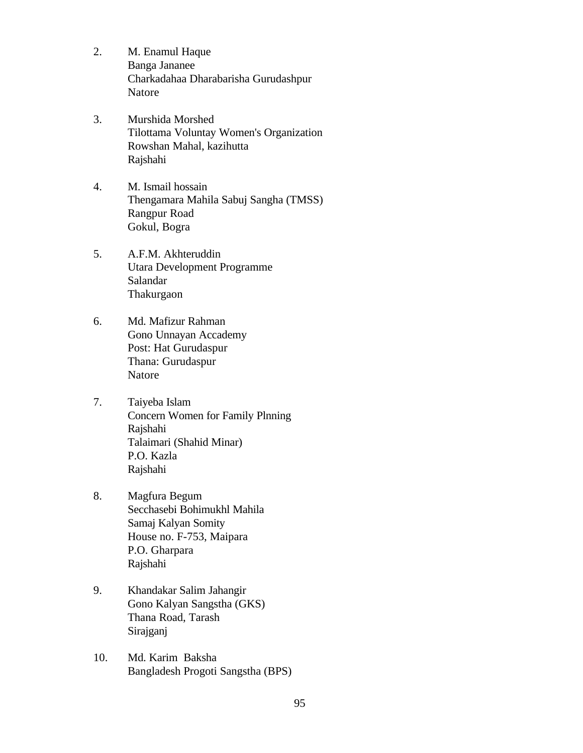- 2. M. Enamul Haque Banga Jananee Charkadahaa Dharabarisha Gurudashpur Natore
- 3. Murshida Morshed Tilottama Voluntay Women's Organization Rowshan Mahal, kazihutta Rajshahi
- 4. M. Ismail hossain Thengamara Mahila Sabuj Sangha (TMSS) Rangpur Road Gokul, Bogra
- 5. A.F.M. Akhteruddin Utara Development Programme Salandar Thakurgaon
- 6. Md. Mafizur Rahman Gono Unnayan Accademy Post: Hat Gurudaspur Thana: Gurudaspur Natore
- 7. Taiyeba Islam Concern Women for Family Plnning Rajshahi Talaimari (Shahid Minar) P.O. Kazla Rajshahi
- 8. Magfura Begum Secchasebi Bohimukhl Mahila Samaj Kalyan Somity House no. F-753, Maipara P.O. Gharpara Rajshahi
- 9. Khandakar Salim Jahangir Gono Kalyan Sangstha (GKS) Thana Road, Tarash Sirajganj
- 10. Md. Karim Baksha Bangladesh Progoti Sangstha (BPS)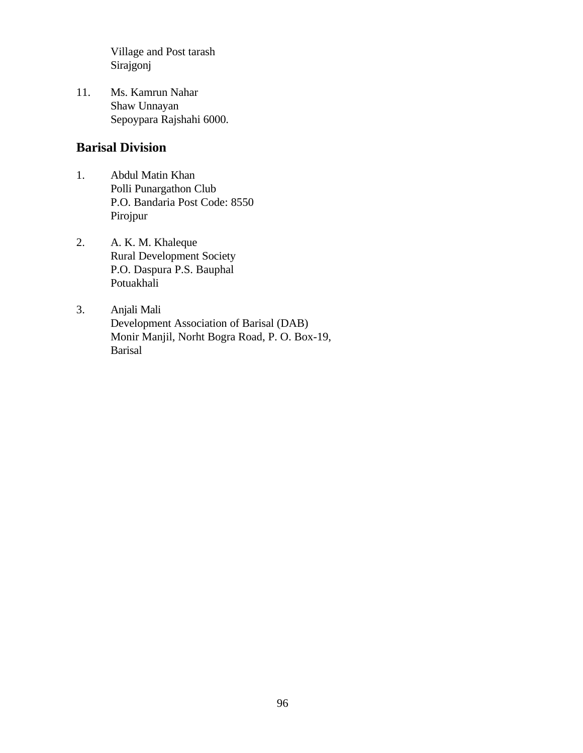Village and Post tarash Sirajgonj

11. Ms. Kamrun Nahar Shaw Unnayan Sepoypara Rajshahi 6000.

### **Barisal Division**

- 1. Abdul Matin Khan Polli Punargathon Club P.O. Bandaria Post Code: 8550 Pirojpur
- 2. A. K. M. Khaleque Rural Development Society P.O. Daspura P.S. Bauphal Potuakhali
- 3. Anjali Mali Development Association of Barisal (DAB) Monir Manjil, Norht Bogra Road, P. O. Box-19, Barisal